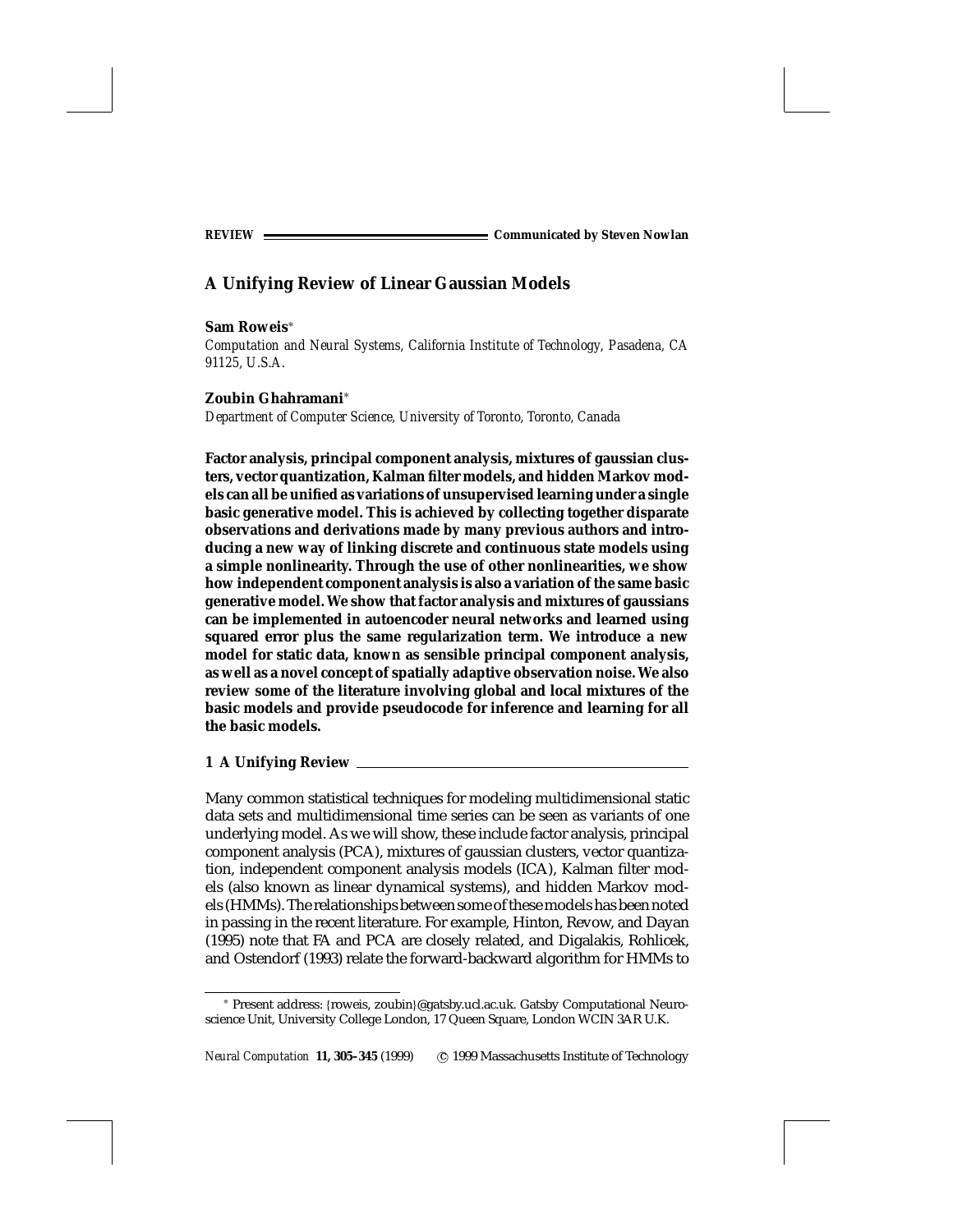*REVIEW* **Communicated by Steven Nowlan**

# **A Unifying Review of Linear Gaussian Models**

#### **Sam Roweis**<sup>∗</sup>

*Computation and Neural Systems, California Institute of Technology, Pasadena, CA 91125, U.S.A.*

#### **Zoubin Ghahramani**<sup>∗</sup>

*Department of Computer Science, University of Toronto, Toronto, Canada*

**Factor analysis, principal component analysis, mixtures of gaussian clusters, vector quantization, Kalman filter models, and hidden Markov models can all be unified as variations of unsupervised learning under a single basic generative model. This is achieved by collecting together disparate observations and derivations made by many previous authors and introducing a new way of linking discrete and continuous state models using a simple nonlinearity. Through the use of other nonlinearities, we show how independent component analysis is also a variation of the same basic generative model. We show that factor analysis and mixtures of gaussians can be implemented in autoencoder neural networks and learned using squared error plus the same regularization term. We introduce a new model for static data, known as sensible principal component analysis, as well as a novel concept of spatially adaptive observation noise. We also review some of the literature involving global and local mixtures of the basic models and provide pseudocode for inference and learning for all the basic models.**

**1 A Unifying Review**

Many common statistical techniques for modeling multidimensional static data sets and multidimensional time series can be seen as variants of one underlying model. As we will show, these include factor analysis, principal component analysis (PCA), mixtures of gaussian clusters, vector quantization, independent component analysis models (ICA), Kalman filter models (also known as linear dynamical systems), and hidden Markov models (HMMs). The relationships between some of these models has been noted in passing in the recent literature. For example, Hinton, Revow, and Dayan (1995) note that FA and PCA are closely related, and Digalakis, Rohlicek, and Ostendorf (1993) relate the forward-backward algorithm for HMMs to

*Neural Computation* **11, 305–345** (1999) © 1999 Massachusetts Institute of Technology

<sup>∗</sup> Present address: {roweis, zoubin}@gatsby.ucl.ac.uk. Gatsby Computational Neuroscience Unit, University College London, 17 Queen Square, London WCIN 3AR U.K.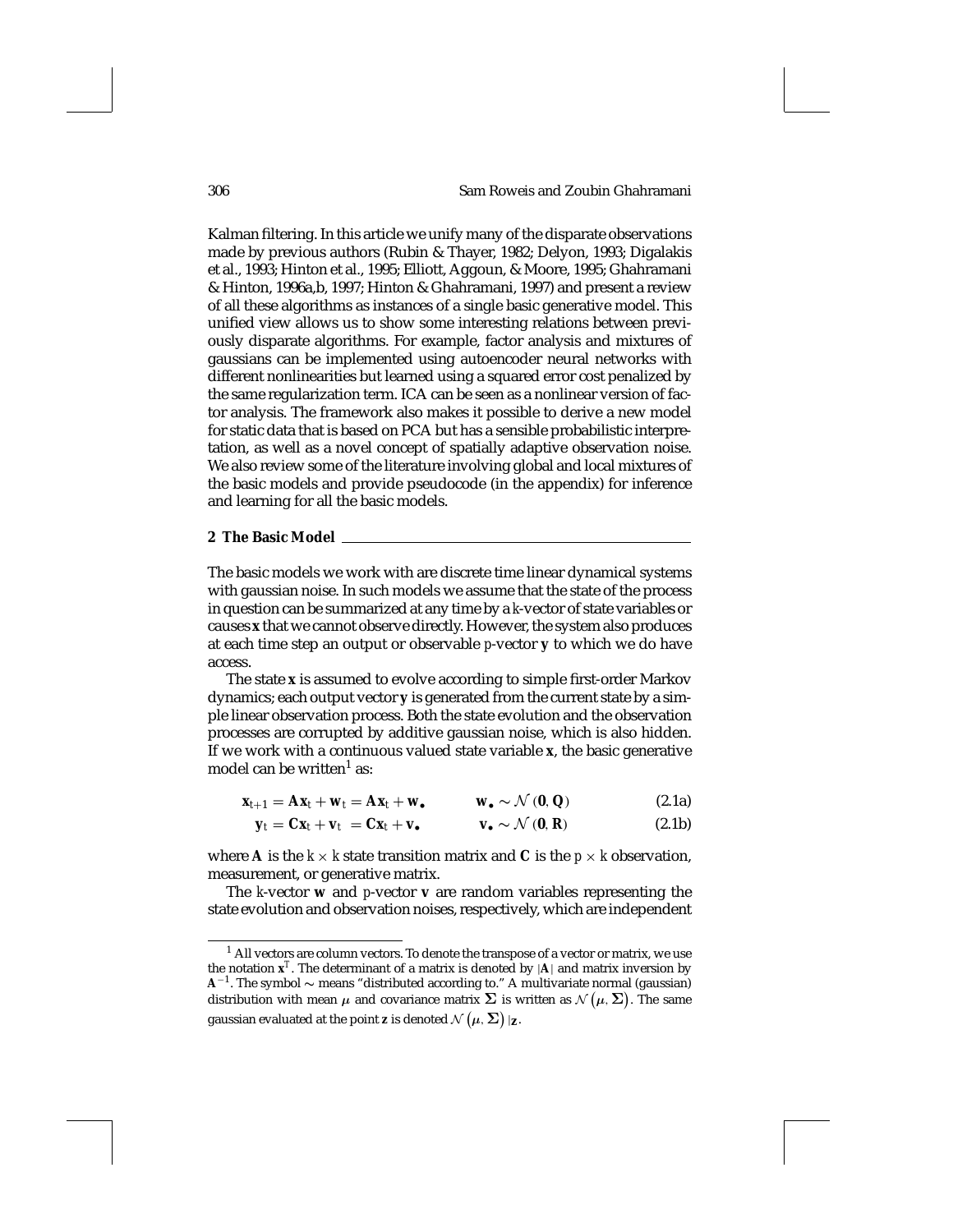306 Sam Roweis and Zoubin Ghahramani

Kalman filtering. In this article we unify many of the disparate observations made by previous authors (Rubin & Thayer, 1982; Delyon, 1993; Digalakis et al., 1993; Hinton et al., 1995; Elliott, Aggoun, & Moore, 1995; Ghahramani & Hinton, 1996a,b, 1997; Hinton & Ghahramani, 1997) and present a review of all these algorithms as instances of a single basic generative model. This unified view allows us to show some interesting relations between previously disparate algorithms. For example, factor analysis and mixtures of gaussians can be implemented using autoencoder neural networks with different nonlinearities but learned using a squared error cost penalized by the same regularization term. ICA can be seen as a nonlinear version of factor analysis. The framework also makes it possible to derive a new model for static data that is based on PCA but has a sensible probabilistic interpretation, as well as a novel concept of spatially adaptive observation noise. We also review some of the literature involving global and local mixtures of the basic models and provide pseudocode (in the appendix) for inference and learning for all the basic models.

#### **2 The Basic Model**

The basic models we work with are discrete time linear dynamical systems with gaussian noise. In such models we assume that the state of the process in question can be summarized at any time by a *k*-vector of state variables or causes **x** that we cannot observe directly. However, the system also produces at each time step an output or observable *p*-vector **y** to which we do have access.

The state **x** is assumed to evolve according to simple first-order Markov dynamics; each output vector **y** is generated from the current state by a simple linear observation process. Both the state evolution and the observation processes are corrupted by additive gaussian noise, which is also hidden. If we work with a continuous valued state variable **x**, the basic generative model can be written<sup>1</sup> as:

**x**<sub>*t*+1</sub> = **Ax**<sub>*t*</sub> + **w**<sub>*t*</sub> = **Ax**<sub>*t*</sub> + **w**<sub>**c**</sub>  $\sim \mathcal{N}$  (**0**, **Q**) (2.1a)

$$
\mathbf{y}_t = \mathbf{C}\mathbf{x}_t + \mathbf{v}_t = \mathbf{C}\mathbf{x}_t + \mathbf{v}_\bullet \qquad \mathbf{v}_\bullet \sim \mathcal{N}(\mathbf{0}, \mathbf{R}) \tag{2.1b}
$$

where **A** is the *k*  $\times$  *k* state transition matrix and **C** is the *p*  $\times$  *k* observation, measurement, or generative matrix.

The *k*-vector **w** and *p*-vector **v** are random variables representing the state evolution and observation noises, respectively, which are independent

<sup>&</sup>lt;sup>1</sup> All vectors are column vectors. To denote the transpose of a vector or matrix, we use the notation  $\mathbf{x}^T$ . The determinant of a matrix is denoted by  $|\mathbf{A}|$  and matrix inversion by **A**<sup>−</sup>1. The symbol ∼ means "distributed according to." A multivariate normal (gaussian) distribution with mean  $\mu$  and covariance matrix  $\Sigma$  is written as  $\mathcal{N}(\mu, \Sigma)$ . The same gaussian evaluated at the point **z** is denoted  $\mathcal{N}\left(\mu, \boldsymbol{\Sigma}\right)|_{\mathbf{Z}}$ .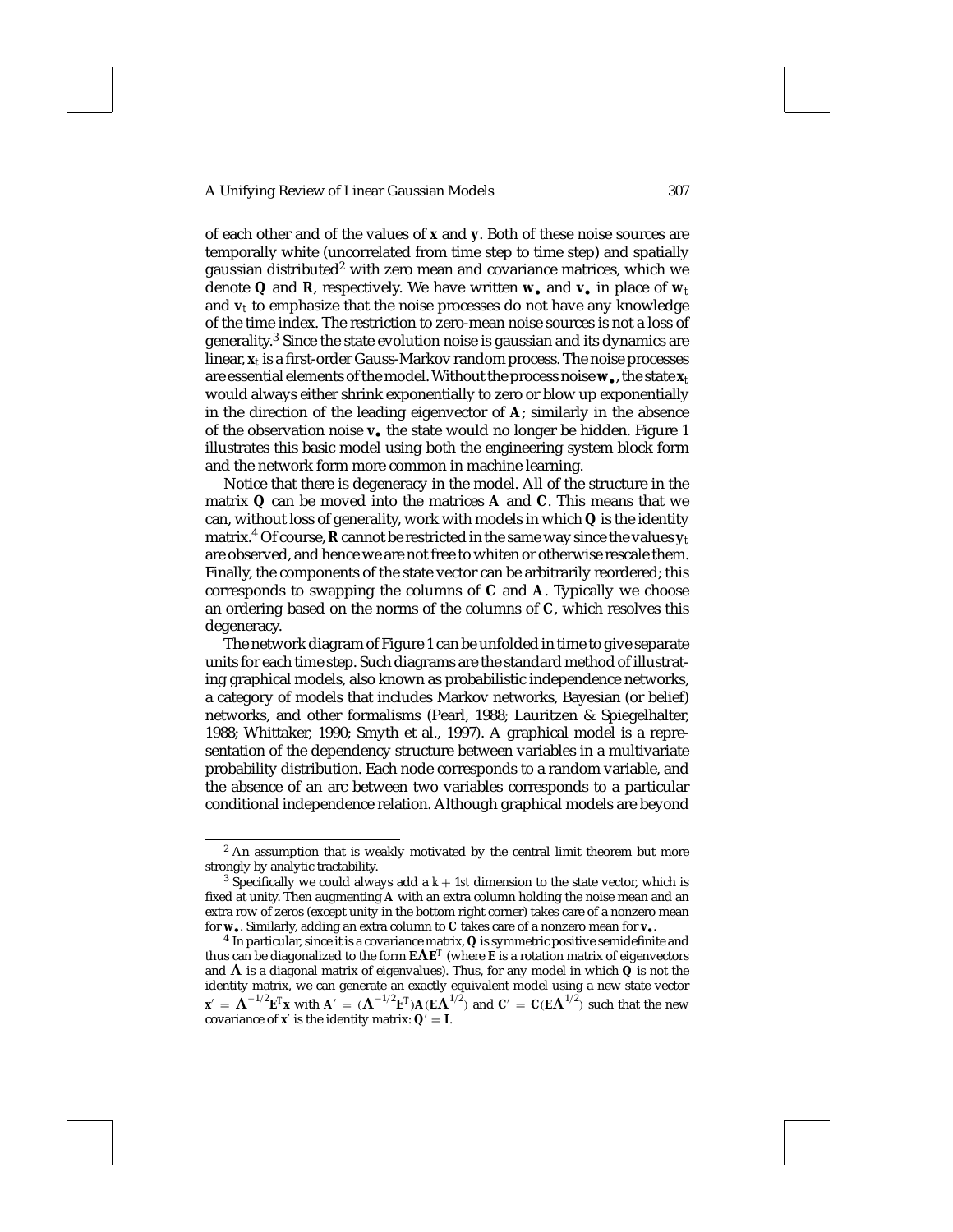of each other and of the values of **x** and **y**. Both of these noise sources are temporally white (uncorrelated from time step to time step) and spatially gaussian distributed<sup>2</sup> with zero mean and covariance matrices, which we denote **Q** and **R**, respectively. We have written **w**• and **v**• in place of **w***<sup>t</sup>* and  $v_t$  to emphasize that the noise processes do not have any knowledge of the time index. The restriction to zero-mean noise sources is not a loss of generality.<sup>3</sup> Since the state evolution noise is gaussian and its dynamics are linear, **x***<sup>t</sup>* is a first-order Gauss-Markov random process. The noise processes are essential elements of the model. Without the process noise **w**•, the state **x***<sup>t</sup>* would always either shrink exponentially to zero or blow up exponentially in the direction of the leading eigenvector of **A**; similarly in the absence of the observation noise **v**• the state would no longer be hidden. Figure 1 illustrates this basic model using both the engineering system block form and the network form more common in machine learning.

Notice that there is degeneracy in the model. All of the structure in the matrix **Q** can be moved into the matrices **A** and **C**. This means that we can, without loss of generality, work with models in which **Q** is the identity matrix.<sup>4</sup> Of course, **R** cannot be restricted in the same way since the values  $y_t$ are observed, and hence we are not free to whiten or otherwise rescale them. Finally, the components of the state vector can be arbitrarily reordered; this corresponds to swapping the columns of **C** and **A**. Typically we choose an ordering based on the norms of the columns of **C**, which resolves this degeneracy.

The network diagram of Figure 1 can be unfolded in time to give separate units for each time step. Such diagrams are the standard method of illustrating graphical models, also known as probabilistic independence networks, a category of models that includes Markov networks, Bayesian (or belief) networks, and other formalisms (Pearl, 1988; Lauritzen & Spiegelhalter, 1988; Whittaker, 1990; Smyth et al., 1997). A graphical model is a representation of the dependency structure between variables in a multivariate probability distribution. Each node corresponds to a random variable, and the absence of an arc between two variables corresponds to a particular conditional independence relation. Although graphical models are beyond

<sup>&</sup>lt;sup>2</sup> An assumption that is weakly motivated by the central limit theorem but more strongly by analytic tractability.

<sup>&</sup>lt;sup>3</sup> Specifically we could always add a  $k + 1$ st dimension to the state vector, which is fixed at unity. Then augmenting **A** with an extra column holding the noise mean and an extra row of zeros (except unity in the bottom right corner) takes care of a nonzero mean for **w**•. Similarly, adding an extra column to **C** takes care of a nonzero mean for **v**•.

<sup>4</sup> In particular, since it is a covariance matrix, **Q** is symmetric positive semidefinite and thus can be diagonalized to the form **EΛE***<sup>T</sup>* (where **E** is a rotation matrix of eigenvectors and  $\Lambda$  is a diagonal matrix of eigenvalues). Thus, for any model in which **Q** is not the identity matrix, we can generate an exactly equivalent model using a new state vector  $\mathbf{x}' = \mathbf{\Lambda}^{-1/2} \mathbf{E}^T \mathbf{x}$  with  $\mathbf{A}' = (\mathbf{\Lambda}^{-1/2} \mathbf{E}^T) \mathbf{A} (\mathbf{E} \mathbf{\Lambda}^{1/2})$  and  $\mathbf{C}' = \mathbf{C} (\mathbf{E} \mathbf{\Lambda}^{1/2})$  such that the new covariance of **x**<sup> $\prime$ </sup> is the identity matrix:  $Q' = I$ .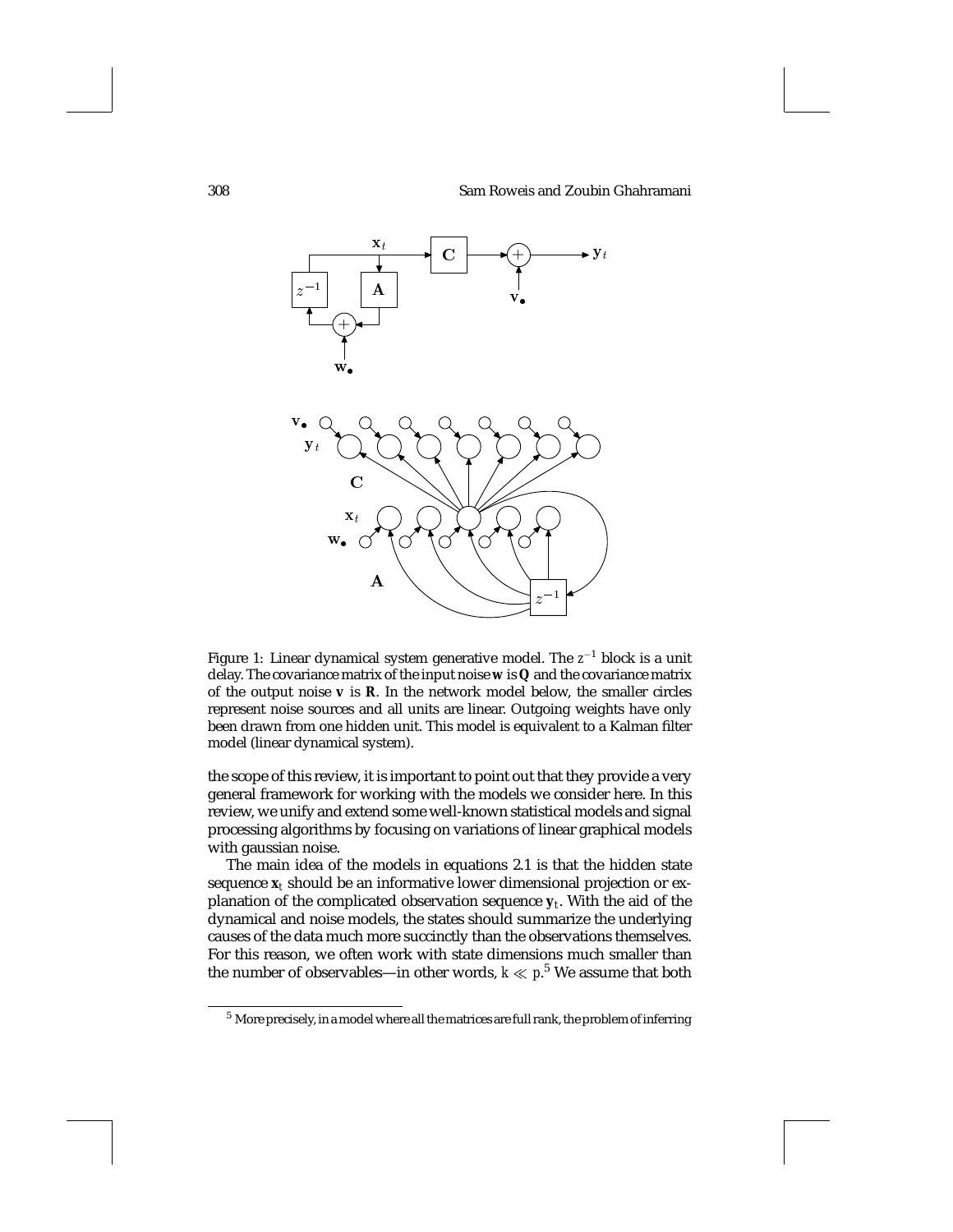

Figure 1: Linear dynamical system generative model. The *z*<sup>−</sup><sup>1</sup> block is a unit delay. The covariance matrix of the input noise **w** is **Q** and the covariance matrix of the output noise **v** is **R**. In the network model below, the smaller circles represent noise sources and all units are linear. Outgoing weights have only been drawn from one hidden unit. This model is equivalent to a Kalman filter model (linear dynamical system).

the scope of this review, it is important to point out that they provide a very general framework for working with the models we consider here. In this review, we unify and extend some well-known statistical models and signal processing algorithms by focusing on variations of linear graphical models with gaussian noise.

The main idea of the models in equations 2.1 is that the hidden state sequence **x***<sup>t</sup>* should be an informative lower dimensional projection or explanation of the complicated observation sequence **y***t*. With the aid of the dynamical and noise models, the states should summarize the underlying causes of the data much more succinctly than the observations themselves. For this reason, we often work with state dimensions much smaller than the number of observables—in other words,  $k \ll p$ .<sup>5</sup> We assume that both

<sup>5</sup> More precisely, in a model where all the matrices are full rank, the problem of inferring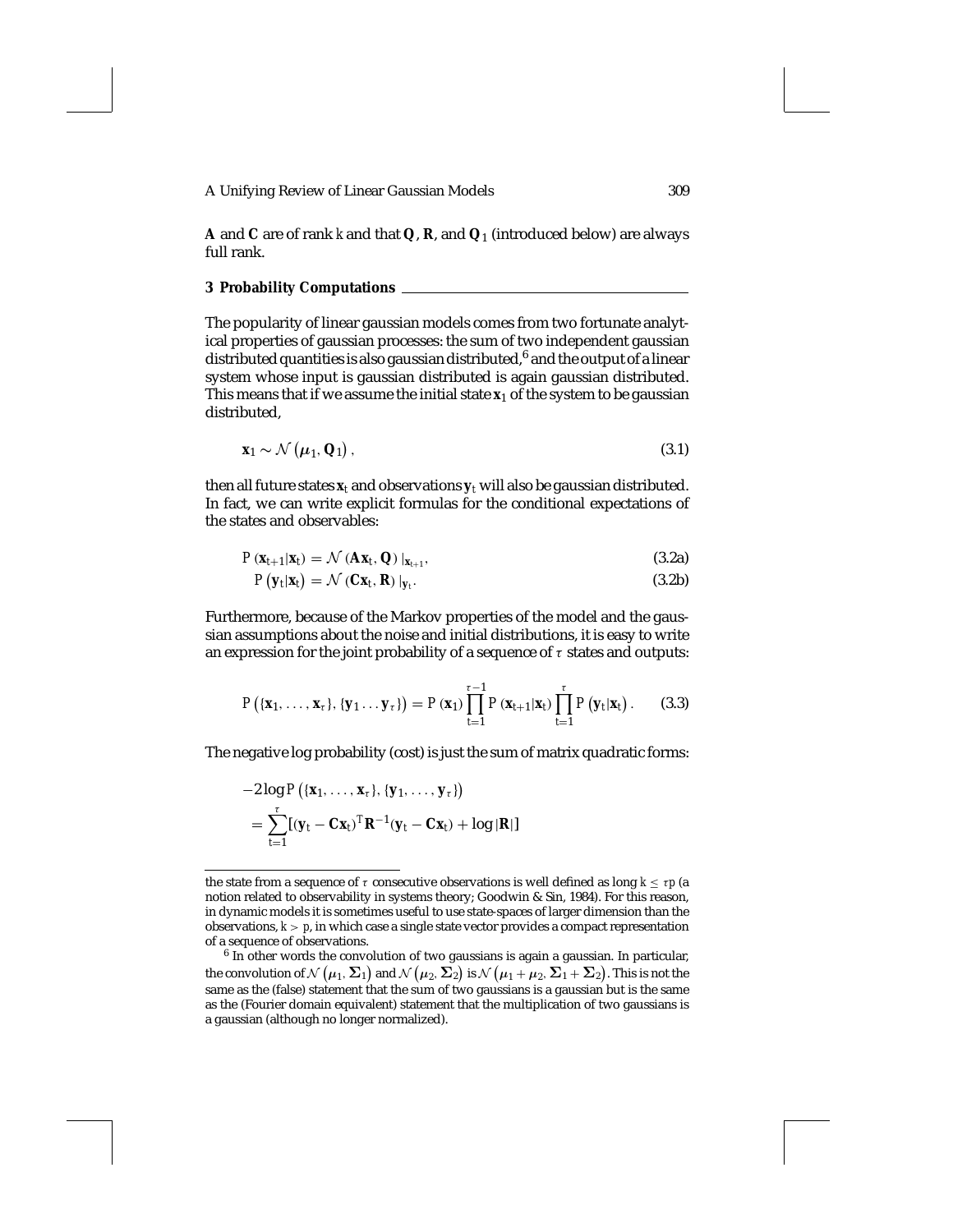**A** and **C** are of rank *k* and that **Q**, **R**, and **Q**<sup>1</sup> (introduced below) are always full rank.

**3 Probability Computations**

The popularity of linear gaussian models comes from two fortunate analytical properties of gaussian processes: the sum of two independent gaussian distributed quantities is also gaussian distributed, $6$  and the output of a linear system whose input is gaussian distributed is again gaussian distributed. This means that if we assume the initial state **x**<sup>1</sup> of the system to be gaussian distributed,

$$
\mathbf{x}_1 \sim \mathcal{N}\left(\mu_1, \mathbf{Q}_1\right),\tag{3.1}
$$

then all future states  $\mathbf{x}_t$  and observations  $\mathbf{y}_t$  will also be gaussian distributed. In fact, we can write explicit formulas for the conditional expectations of the states and observables:

$$
P(\mathbf{x}_{t+1}|\mathbf{x}_t) = \mathcal{N}(\mathbf{A}\mathbf{x}_t, \mathbf{Q})|_{\mathbf{x}_{t+1}},
$$
\n(3.2a)

$$
P(\mathbf{y}_t|\mathbf{x}_t) = \mathcal{N}(\mathbf{C}\mathbf{x}_t, \mathbf{R})|_{\mathbf{y}_t}.
$$
 (3.2b)

Furthermore, because of the Markov properties of the model and the gaussian assumptions about the noise and initial distributions, it is easy to write an expression for the joint probability of a sequence of  $\tau$  states and outputs:

$$
P\left(\{\mathbf{x}_1,\ldots,\mathbf{x}_{\tau}\},\{\mathbf{y}_1\ldots,\mathbf{y}_{\tau}\}\right)=P\left(\mathbf{x}_1\right)\prod_{t=1}^{\tau-1}P\left(\mathbf{x}_{t+1}|\mathbf{x}_t\right)\prod_{t=1}^{\tau}P\left(\mathbf{y}_t|\mathbf{x}_t\right). \hspace{1cm} (3.3)
$$

The negative log probability (cost) is just the sum of matrix quadratic forms:

$$
-2\log P\big((\mathbf{x}_1,\ldots,\mathbf{x}_\tau),\{\mathbf{y}_1,\ldots,\mathbf{y}_\tau\}\big)
$$
  
= 
$$
\sum_{t=1}^\tau [(\mathbf{y}_t-\mathbf{C}\mathbf{x}_t)^T\mathbf{R}^{-1}(\mathbf{y}_t-\mathbf{C}\mathbf{x}_t)+\log|\mathbf{R}|]
$$

the state from a sequence of  $\tau$  consecutive observations is well defined as long  $k \leq \tau p$  (a notion related to observability in systems theory; Goodwin & Sin, 1984). For this reason, in dynamic models it is sometimes useful to use state-spaces of larger dimension than the observations,  $k > p$ , in which case a single state vector provides a compact representation of a sequence of observations.

<sup>&</sup>lt;sup>6</sup> In other words the convolution of two gaussians is again a gaussian. In particular, the convolution of  $\mathcal{N}\left(\mu_1, \boldsymbol{\Sigma}_1\right)$  and  $\mathcal{N}\left(\mu_2, \boldsymbol{\Sigma}_2\right)$  is  $\mathcal{N}\left(\mu_1+\mu_2, \boldsymbol{\Sigma}_1+\boldsymbol{\Sigma}_2\right)$ . This is not the same as the (false) statement that the sum of two gaussians is a gaussian but is the same as the (Fourier domain equivalent) statement that the multiplication of two gaussians is a gaussian (although no longer normalized).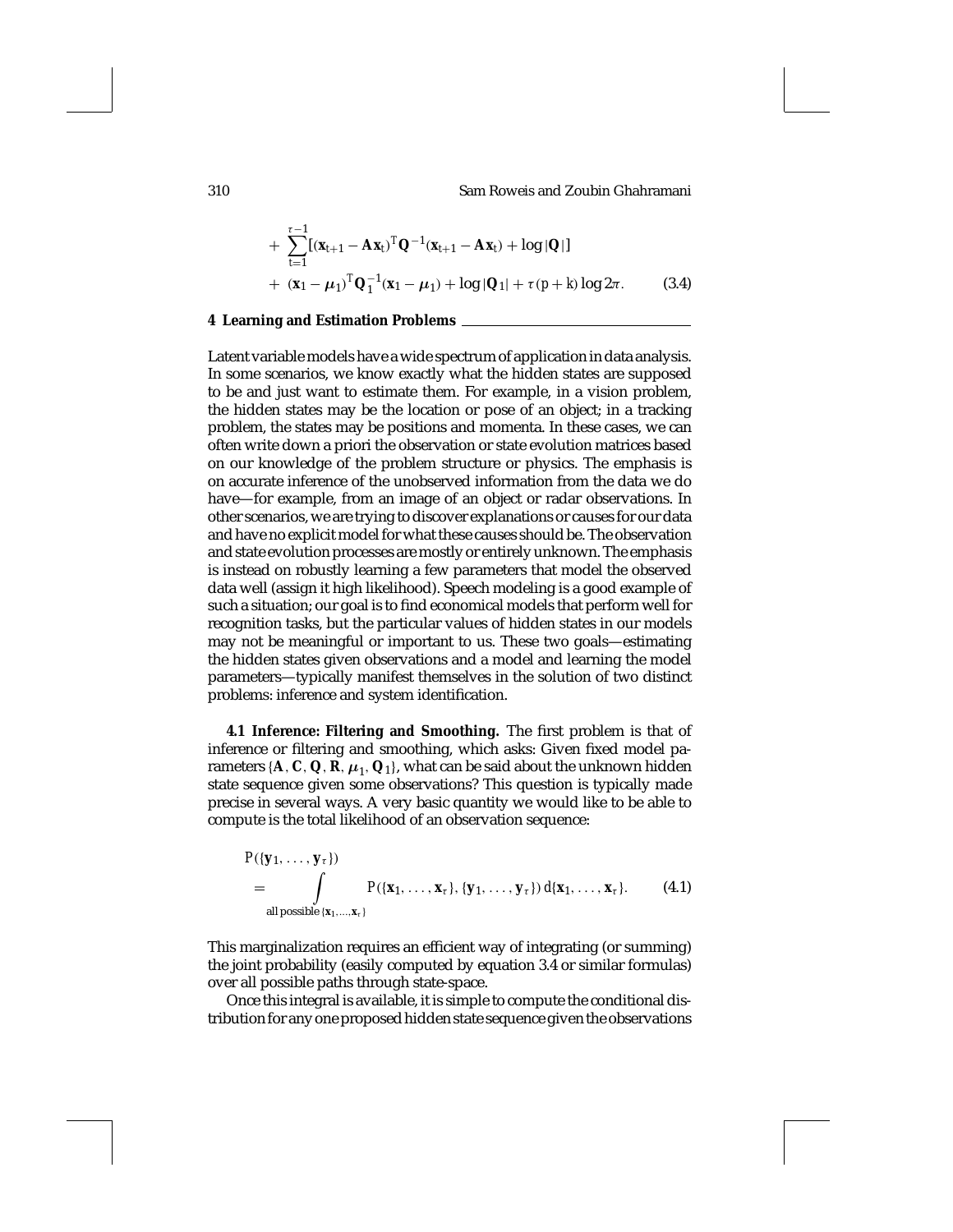310 Sam Roweis and Zoubin Ghahramani

+ 
$$
\sum_{t=1}^{\tau-1} [(\mathbf{x}_{t+1} - \mathbf{A}\mathbf{x}_t)^T \mathbf{Q}^{-1} (\mathbf{x}_{t+1} - \mathbf{A}\mathbf{x}_t) + \log |\mathbf{Q}|]
$$
  
+ 
$$
(\mathbf{x}_1 - \mu_1)^T \mathbf{Q}_1^{-1} (\mathbf{x}_1 - \mu_1) + \log |\mathbf{Q}_1| + \tau (p + k) \log 2\pi.
$$
 (3.4)

#### **4 Learning and Estimation Problems**

Latent variable models have a wide spectrum of application in data analysis. In some scenarios, we know exactly what the hidden states are supposed to be and just want to estimate them. For example, in a vision problem, the hidden states may be the location or pose of an object; in a tracking problem, the states may be positions and momenta. In these cases, we can often write down a priori the observation or state evolution matrices based on our knowledge of the problem structure or physics. The emphasis is on accurate inference of the unobserved information from the data we do have—for example, from an image of an object or radar observations. In other scenarios, we are trying to discover explanations or causes for our data and have no explicit model for what these causes should be. The observation and state evolution processes are mostly or entirely unknown. The emphasis is instead on robustly learning a few parameters that model the observed data well (assign it high likelihood). Speech modeling is a good example of such a situation; our goal is to find economical models that perform well for recognition tasks, but the particular values of hidden states in our models may not be meaningful or important to us. These two goals—estimating the hidden states given observations and a model and learning the model parameters—typically manifest themselves in the solution of two distinct problems: inference and system identification.

**4.1 Inference: Filtering and Smoothing.** The first problem is that of inference or filtering and smoothing, which asks: Given fixed model parameters  $\{A, C, Q, R, \mu_1, Q_1\}$ , what can be said about the unknown hidden state sequence given some observations? This question is typically made precise in several ways. A very basic quantity we would like to be able to compute is the total likelihood of an observation sequence:

$$
P({\mathbf{y}_1, \ldots, \mathbf{y}_{\tau}})
$$
  
= 
$$
\int_{\text{all possible } {\mathbf{x}_1, \ldots, \mathbf{x}_{\tau}}} P({\mathbf{x}_1, \ldots, \mathbf{x}_{\tau}}, {\mathbf{y}_1, \ldots, \mathbf{y}_{\tau}}) d({\mathbf{x}_1, \ldots, \mathbf{x}_{\tau}}). \qquad (4.1)
$$

This marginalization requires an efficient way of integrating (or summing) the joint probability (easily computed by equation 3.4 or similar formulas) over all possible paths through state-space.

Once this integral is available, it is simple to compute the conditional distribution for any one proposed hidden state sequence given the observations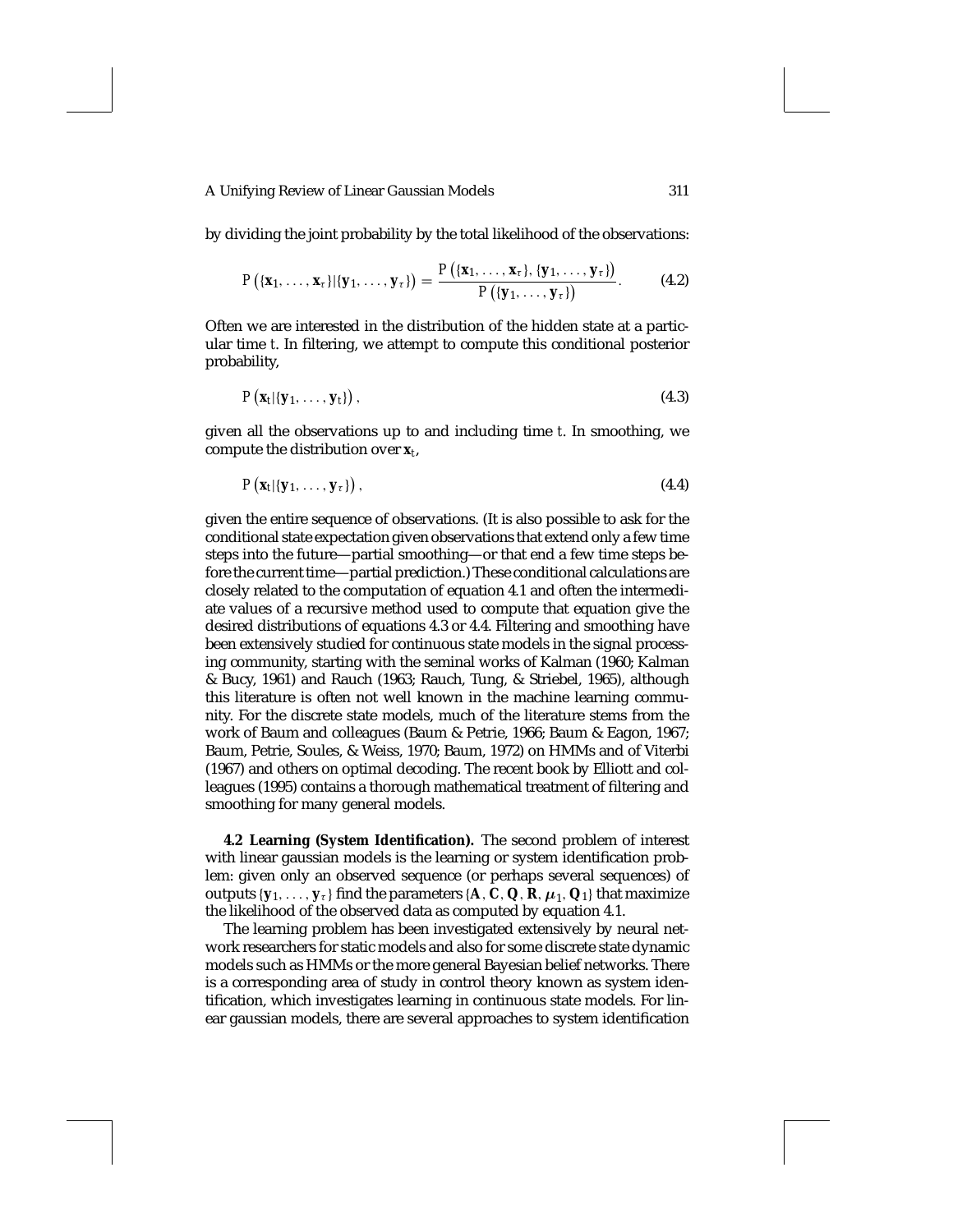by dividing the joint probability by the total likelihood of the observations:

$$
P\big(\{\mathbf{x}_1,\ldots,\mathbf{x}_{\tau}\}|\{\mathbf{y}_1,\ldots,\mathbf{y}_{\tau}\}\big)=\frac{P\big(\{\mathbf{x}_1,\ldots,\mathbf{x}_{\tau}\},\{\mathbf{y}_1,\ldots,\mathbf{y}_{\tau}\}\big)}{P\big(\{\mathbf{y}_1,\ldots,\mathbf{y}_{\tau}\}\big)}.
$$
(4.2)

Often we are interested in the distribution of the hidden state at a particular time *t*. In filtering, we attempt to compute this conditional posterior probability,

$$
P\left(\mathbf{x}_t|\{\mathbf{y}_1,\ldots,\mathbf{y}_t\}\right),\tag{4.3}
$$

given all the observations up to and including time *t*. In smoothing, we compute the distribution over **x***t*,

$$
P\left(\mathbf{x}_t | \{\mathbf{y}_1, \ldots, \mathbf{y}_\tau\}\right),\tag{4.4}
$$

given the entire sequence of observations. (It is also possible to ask for the conditional state expectation given observations that extend only a few time steps into the future—partial smoothing—or that end a few time steps before the current time—partial prediction.) These conditional calculations are closely related to the computation of equation 4.1 and often the intermediate values of a recursive method used to compute that equation give the desired distributions of equations 4.3 or 4.4. Filtering and smoothing have been extensively studied for continuous state models in the signal processing community, starting with the seminal works of Kalman (1960; Kalman & Bucy, 1961) and Rauch (1963; Rauch, Tung, & Striebel, 1965), although this literature is often not well known in the machine learning community. For the discrete state models, much of the literature stems from the work of Baum and colleagues (Baum & Petrie, 1966; Baum & Eagon, 1967; Baum, Petrie, Soules, & Weiss, 1970; Baum, 1972) on HMMs and of Viterbi (1967) and others on optimal decoding. The recent book by Elliott and colleagues (1995) contains a thorough mathematical treatment of filtering and smoothing for many general models.

**4.2 Learning (System Identification).** The second problem of interest with linear gaussian models is the learning or system identification problem: given only an observed sequence (or perhaps several sequences) of outputs  $\{y_1, \ldots, y_{\tau}\}\$  find the parameters  $\{A, C, Q, R, \mu_1, Q_1\}$  that maximize the likelihood of the observed data as computed by equation 4.1.

The learning problem has been investigated extensively by neural network researchers for static models and also for some discrete state dynamic models such as HMMs or the more general Bayesian belief networks. There is a corresponding area of study in control theory known as system identification, which investigates learning in continuous state models. For linear gaussian models, there are several approaches to system identification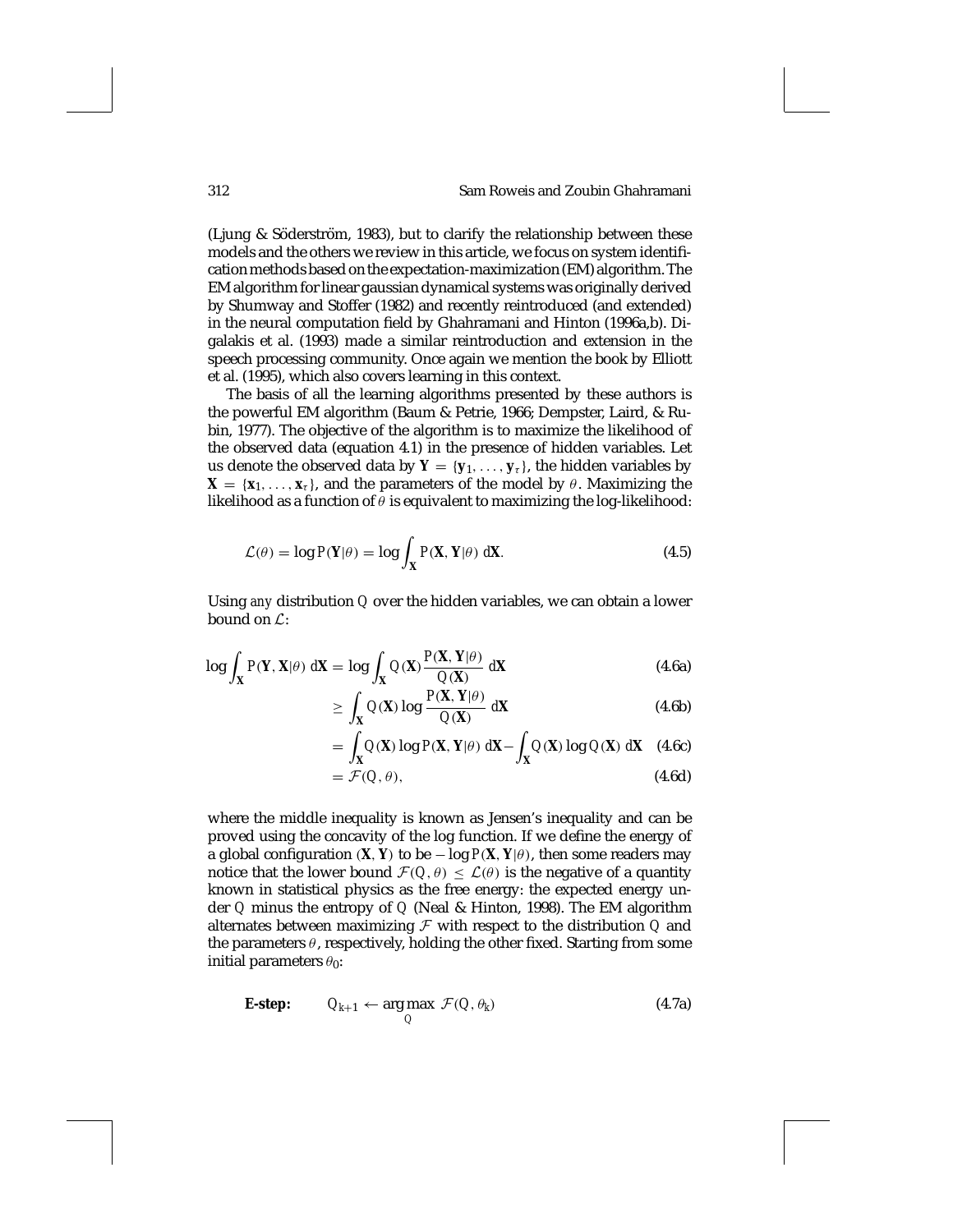(Ljung & Söderström, 1983), but to clarify the relationship between these models and the others we review in this article, we focus on system identification methods based on the expectation-maximization (EM) algorithm. The EM algorithm for linear gaussian dynamical systems was originally derived by Shumway and Stoffer (1982) and recently reintroduced (and extended) in the neural computation field by Ghahramani and Hinton (1996a,b). Digalakis et al. (1993) made a similar reintroduction and extension in the speech processing community. Once again we mention the book by Elliott et al. (1995), which also covers learning in this context.

The basis of all the learning algorithms presented by these authors is the powerful EM algorithm (Baum & Petrie, 1966; Dempster, Laird, & Rubin, 1977). The objective of the algorithm is to maximize the likelihood of the observed data (equation 4.1) in the presence of hidden variables. Let us denote the observed data by  $Y = \{y_1, \ldots, y_{\tau}\}\)$ , the hidden variables by  $X = \{x_1, \ldots, x_{\tau}\}\$ , and the parameters of the model by  $\theta$ . Maximizing the likelihood as a function of  $\theta$  is equivalent to maximizing the log-likelihood:

$$
\mathcal{L}(\theta) = \log P(\mathbf{Y}|\theta) = \log \int_{\mathbf{X}} P(\mathbf{X}, \mathbf{Y}|\theta) \, d\mathbf{X}.\tag{4.5}
$$

Using *any* distribution *Q* over the hidden variables, we can obtain a lower bound on L:

$$
\log \int_{\mathbf{X}} P(\mathbf{Y}, \mathbf{X} | \theta) \ d\mathbf{X} = \log \int_{\mathbf{X}} Q(\mathbf{X}) \frac{P(\mathbf{X}, \mathbf{Y} | \theta)}{Q(\mathbf{X})} \ d\mathbf{X}
$$
 (4.6a)

$$
\geq \int_{\mathbf{X}} Q(\mathbf{X}) \log \frac{P(\mathbf{X}, \mathbf{Y} | \theta)}{Q(\mathbf{X})} d\mathbf{X}
$$
 (4.6b)

$$
= \int_{\mathbf{X}} Q(\mathbf{X}) \log P(\mathbf{X}, \mathbf{Y} | \theta) \ d\mathbf{X} - \int_{\mathbf{X}} Q(\mathbf{X}) \log Q(\mathbf{X}) \ d\mathbf{X} \quad (4.6c)
$$

$$
= \mathcal{F}(Q, \theta), \tag{4.6d}
$$

where the middle inequality is known as Jensen's inequality and can be proved using the concavity of the log function. If we define the energy of a global configuration  $(X, Y)$  to be  $-\log P(X, Y|\theta)$ , then some readers may notice that the lower bound  $\mathcal{F}(Q,\theta) \leq \mathcal{L}(\theta)$  is the negative of a quantity known in statistical physics as the free energy: the expected energy under *Q* minus the entropy of *Q* (Neal & Hinton, 1998). The EM algorithm alternates between maximizing  $F$  with respect to the distribution  $Q$  and the parameters  $\theta$ , respectively, holding the other fixed. Starting from some initial parameters  $\theta_0$ :

**E-step:** 
$$
Q_{k+1} \leftarrow \arg\max_{Q} \mathcal{F}(Q, \theta_k)
$$
 (4.7a)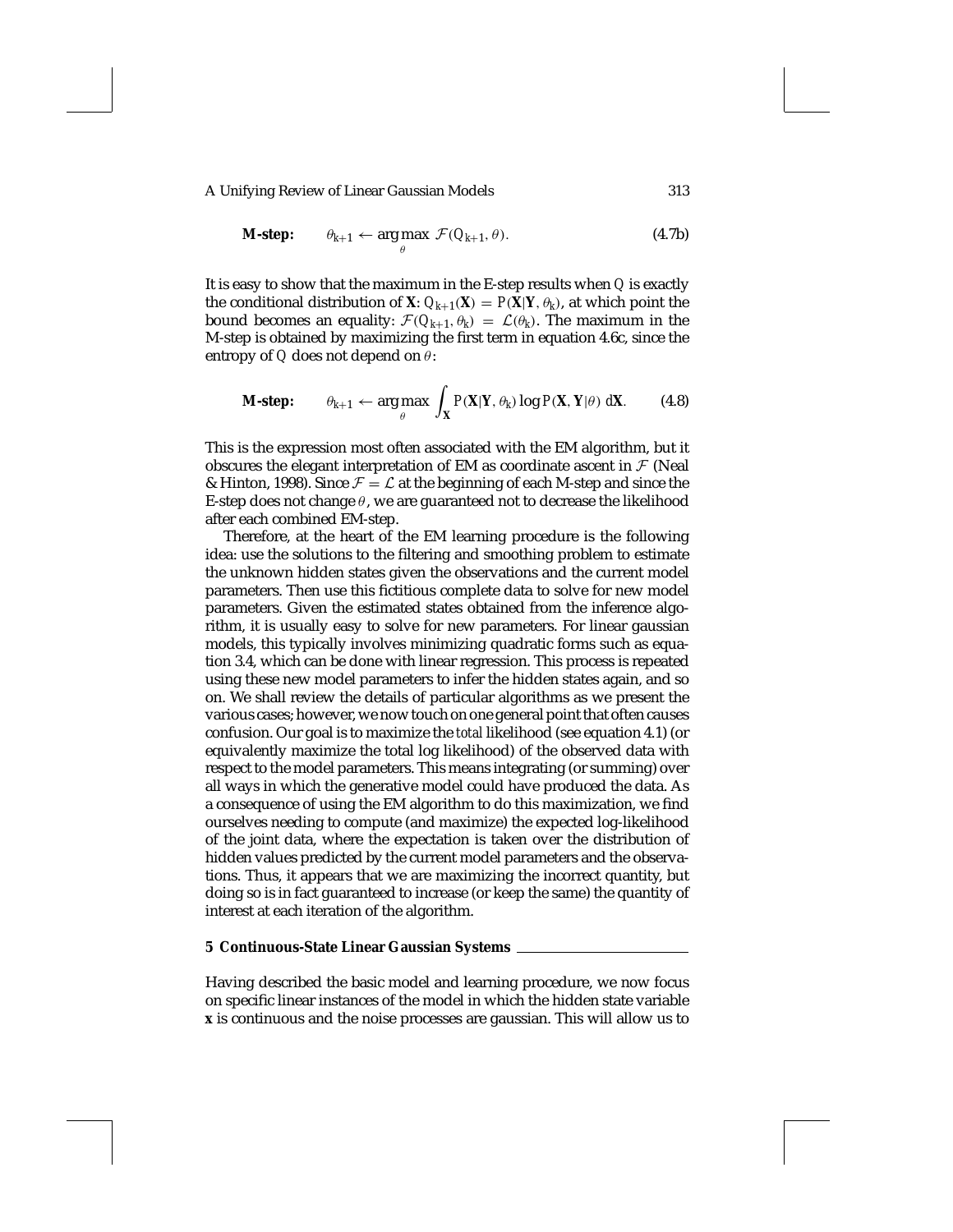$$
\mathbf{M-step:} \qquad \theta_{k+1} \leftarrow \arg\max_{\theta} \ \mathcal{F}(Q_{k+1}, \theta). \tag{4.7b}
$$

It is easy to show that the maximum in the E-step results when *Q* is exactly the conditional distribution of **X**:  $Q_{k+1}(\mathbf{X}) = P(\mathbf{X}|\mathbf{Y}, \theta_k)$ , at which point the bound becomes an equality:  $\mathcal{F}(Q_{k+1}, \theta_k) = \mathcal{L}(\theta_k)$ . The maximum in the M-step is obtained by maximizing the first term in equation 4.6c, since the entropy of *Q* does not depend on θ:

$$
\mathbf{M\text{-}step:} \qquad \theta_{k+1} \leftarrow \argmax_{\theta} \int_{\mathbf{X}} P(\mathbf{X}|\mathbf{Y}, \theta_k) \log P(\mathbf{X}, \mathbf{Y}|\theta) \; d\mathbf{X}. \tag{4.8}
$$

This is the expression most often associated with the EM algorithm, but it obscures the elegant interpretation of EM as coordinate ascent in  $\mathcal F$  (Neal & Hinton, 1998). Since  $\mathcal{F} = \mathcal{L}$  at the beginning of each M-step and since the E-step does not change  $\theta$ , we are guaranteed not to decrease the likelihood after each combined EM-step.

Therefore, at the heart of the EM learning procedure is the following idea: use the solutions to the filtering and smoothing problem to estimate the unknown hidden states given the observations and the current model parameters. Then use this fictitious complete data to solve for new model parameters. Given the estimated states obtained from the inference algorithm, it is usually easy to solve for new parameters. For linear gaussian models, this typically involves minimizing quadratic forms such as equation 3.4, which can be done with linear regression. This process is repeated using these new model parameters to infer the hidden states again, and so on. We shall review the details of particular algorithms as we present the various cases; however, we now touch on one general point that often causes confusion. Our goal is to maximize the *total* likelihood (see equation 4.1) (or equivalently maximize the total log likelihood) of the observed data with respect to the model parameters. This means integrating (or summing) over all ways in which the generative model could have produced the data. As a consequence of using the EM algorithm to do this maximization, we find ourselves needing to compute (and maximize) the expected log-likelihood of the joint data, where the expectation is taken over the distribution of hidden values predicted by the current model parameters and the observations. Thus, it appears that we are maximizing the incorrect quantity, but doing so is in fact guaranteed to increase (or keep the same) the quantity of interest at each iteration of the algorithm.

#### **5 Continuous-State Linear Gaussian Systems**

Having described the basic model and learning procedure, we now focus on specific linear instances of the model in which the hidden state variable **x** is continuous and the noise processes are gaussian. This will allow us to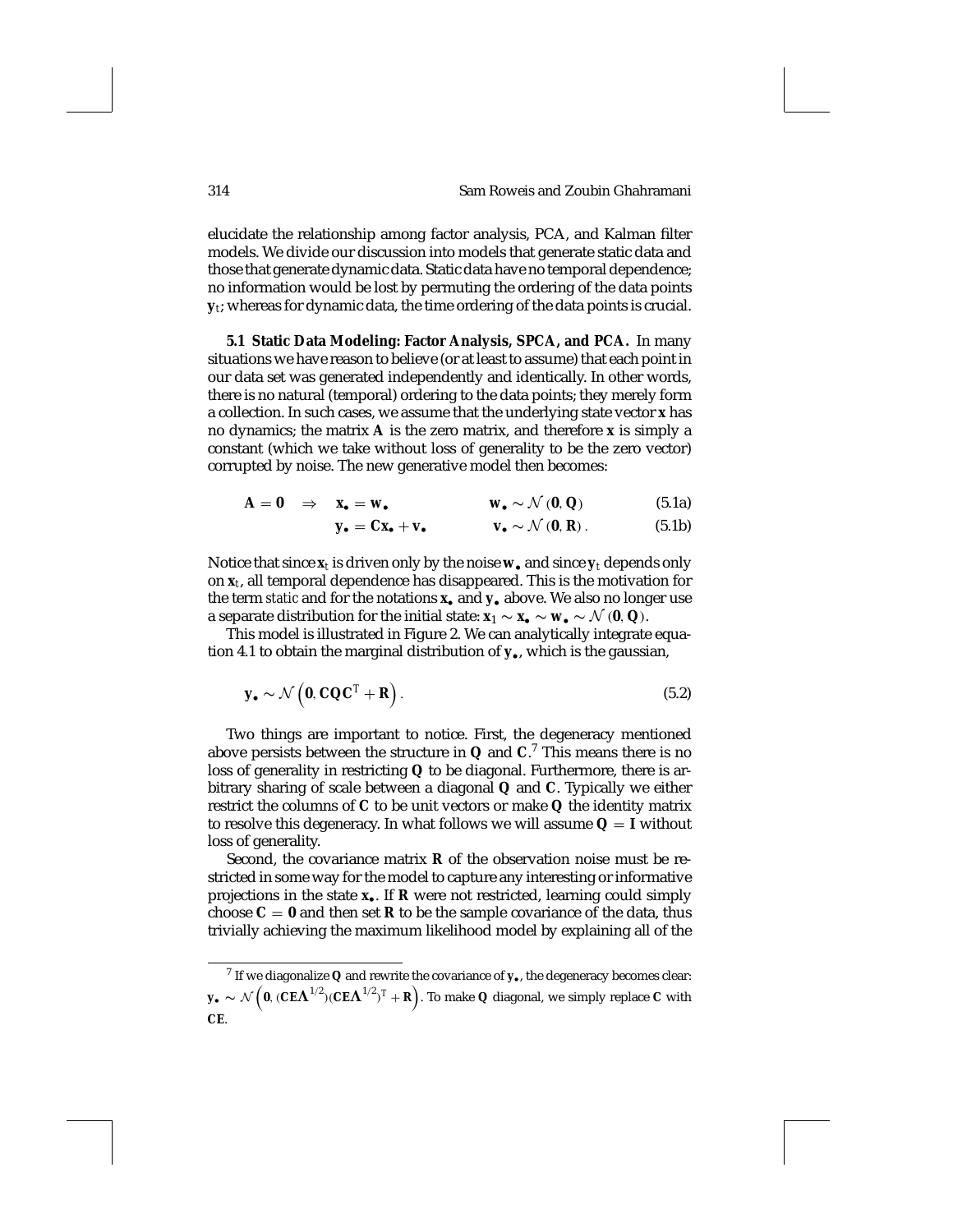elucidate the relationship among factor analysis, PCA, and Kalman filter models. We divide our discussion into models that generate static data and those that generate dynamic data. Static data have no temporal dependence; no information would be lost by permuting the ordering of the data points **y***t*; whereas for dynamic data, the time ordering of the data points is crucial.

**5.1 Static Data Modeling: Factor Analysis, SPCA, and PCA.** In many situations we have reason to believe (or at least to assume) that each point in our data set was generated independently and identically. In other words, there is no natural (temporal) ordering to the data points; they merely form a collection. In such cases, we assume that the underlying state vector **x** has no dynamics; the matrix **A** is the zero matrix, and therefore **x** is simply a constant (which we take without loss of generality to be the zero vector) corrupted by noise. The new generative model then becomes:

$$
\mathbf{A} = \mathbf{0} \quad \Rightarrow \quad \mathbf{x}_{\bullet} = \mathbf{w}_{\bullet} \qquad \qquad \mathbf{w}_{\bullet} \sim \mathcal{N} \left( \mathbf{0}, \mathbf{Q} \right) \tag{5.1a}
$$

$$
\mathbf{y}_{\bullet} = \mathbf{C}\mathbf{x}_{\bullet} + \mathbf{v}_{\bullet} \qquad \qquad \mathbf{v}_{\bullet} \sim \mathcal{N}(\mathbf{0}, \mathbf{R}). \tag{5.1b}
$$

Notice that since  $\mathbf{x}_t$  is driven only by the noise  $\mathbf{w}_\bullet$  and since  $\mathbf{y}_t$  depends only on **x***t*, all temporal dependence has disappeared. This is the motivation for the term *static* and for the notations **x**• and **y**• above. We also no longer use a separate distribution for the initial state:  $\mathbf{x}_1 \sim \mathbf{x}_2 \sim \mathbf{w}_2 \sim \mathcal{N}(\mathbf{0}, \mathbf{Q})$ .

This model is illustrated in Figure 2. We can analytically integrate equation 4.1 to obtain the marginal distribution of **y**•, which is the gaussian,

$$
\mathbf{y}_{\bullet} \sim \mathcal{N}\left(\mathbf{0}, \mathbf{CQ}\mathbf{C}^{T} + \mathbf{R}\right). \tag{5.2}
$$

Two things are important to notice. First, the degeneracy mentioned above persists between the structure in **Q** and **C**. <sup>7</sup> This means there is no loss of generality in restricting **Q** to be diagonal. Furthermore, there is arbitrary sharing of scale between a diagonal **Q** and **C**. Typically we either restrict the columns of **C** to be unit vectors or make **Q** the identity matrix to resolve this degeneracy. In what follows we will assume **Q** = **I** without loss of generality.

Second, the covariance matrix **R** of the observation noise must be restricted in some way for the model to capture any interesting or informative projections in the state **x**•. If **R** were not restricted, learning could simply choose  $C = 0$  and then set **R** to be the sample covariance of the data, thus trivially achieving the maximum likelihood model by explaining all of the

<sup>7</sup> If we diagonalize **Q** and rewrite the covariance of **y**•, the degeneracy becomes clear: **y**• ∼  $\mathcal{N}$   $($  **0**,  $($ **CE** $($ **<b>CE** $^T$  **+ <b>R**  $)$ . To make **Q** diagonal, we simply replace **C** with **CE**.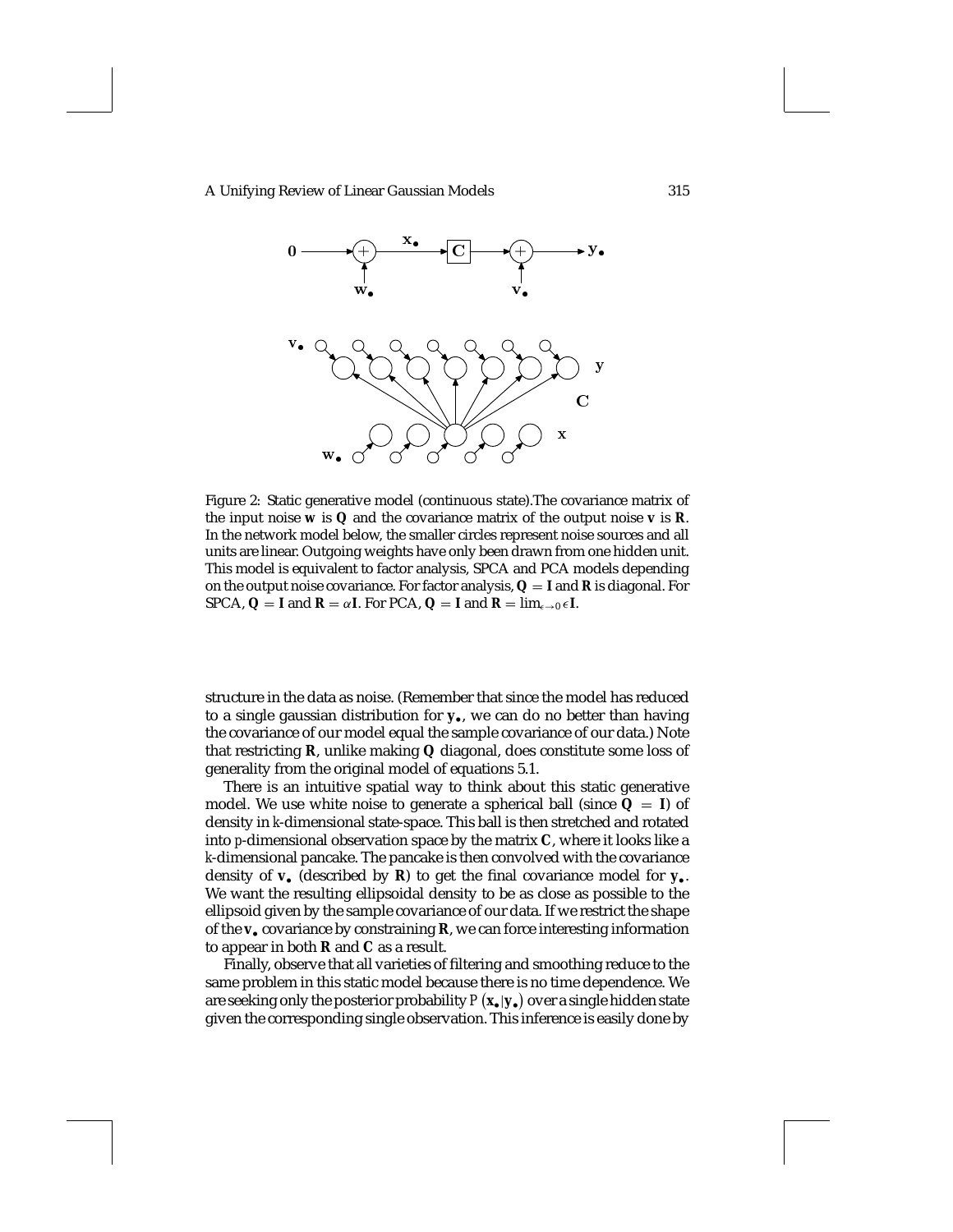

Figure 2: Static generative model (continuous state).The covariance matrix of the input noise **w** is **Q** and the covariance matrix of the output noise **v** is **R**. In the network model below, the smaller circles represent noise sources and all units are linear. Outgoing weights have only been drawn from one hidden unit. This model is equivalent to factor analysis, SPCA and PCA models depending on the output noise covariance. For factor analysis,  $Q = I$  and **R** is diagonal. For  $SPCA$ ,  $Q = I$  and  $R = \alpha I$ . For PCA,  $Q = I$  and  $R = \lim_{\epsilon \to 0} \epsilon I$ .

structure in the data as noise. (Remember that since the model has reduced to a single gaussian distribution for **y**•, we can do no better than having the covariance of our model equal the sample covariance of our data.) Note that restricting **R**, unlike making **Q** diagonal, does constitute some loss of generality from the original model of equations 5.1.

There is an intuitive spatial way to think about this static generative model. We use white noise to generate a spherical ball (since  $Q = I$ ) of density in *k*-dimensional state-space. This ball is then stretched and rotated into *p*-dimensional observation space by the matrix **C**, where it looks like a *k*-dimensional pancake. The pancake is then convolved with the covariance density of **v**• (described by **R**) to get the final covariance model for **y**•. We want the resulting ellipsoidal density to be as close as possible to the ellipsoid given by the sample covariance of our data. If we restrict the shape of the **v**• covariance by constraining **R**, we can force interesting information to appear in both **R** and **C** as a result.

Finally, observe that all varieties of filtering and smoothing reduce to the same problem in this static model because there is no time dependence. We are seeking only the posterior probability  $P(\mathbf{x}_{\bullet}|\mathbf{y}_{\bullet})$  over a single hidden state given the corresponding single observation. This inference is easily done by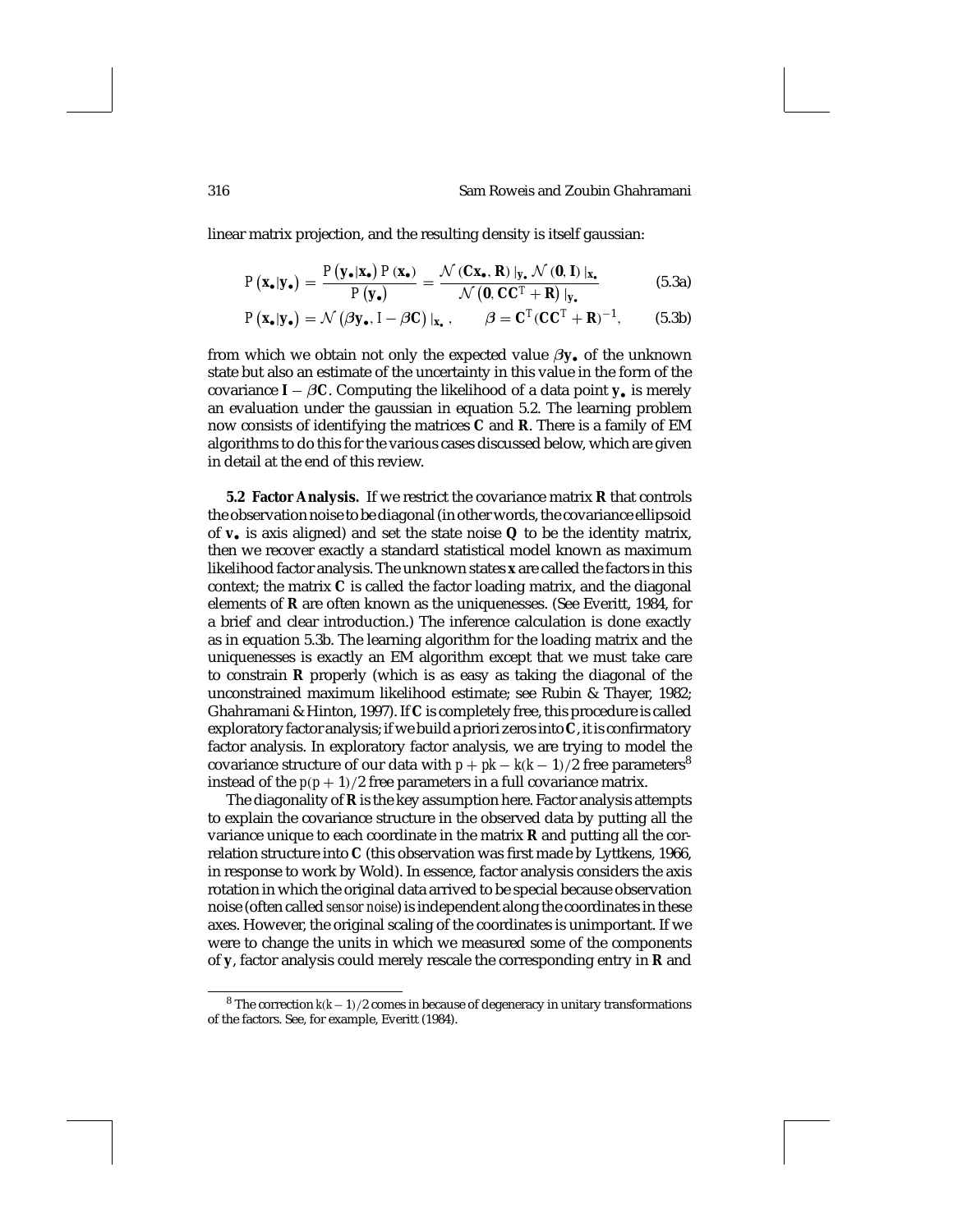linear matrix projection, and the resulting density is itself gaussian:

$$
P(\mathbf{x}_{\bullet}|\mathbf{y}_{\bullet}) = \frac{P(\mathbf{y}_{\bullet}|\mathbf{x}_{\bullet}) P(\mathbf{x}_{\bullet})}{P(\mathbf{y}_{\bullet})} = \frac{\mathcal{N}(\mathbf{C}\mathbf{x}_{\bullet}, \mathbf{R})|_{\mathbf{y}_{\bullet}} \mathcal{N}(\mathbf{0}, \mathbf{I})|_{\mathbf{x}_{\bullet}}}{\mathcal{N}(\mathbf{0}, \mathbf{C}\mathbf{C}^{T} + \mathbf{R})|_{\mathbf{y}_{\bullet}}}
$$
(5.3a)

$$
P(\mathbf{x}_{\bullet}|\mathbf{y}_{\bullet}) = \mathcal{N}(\beta \mathbf{y}_{\bullet}, I - \beta \mathbf{C})|_{\mathbf{x}_{\bullet}}, \qquad \beta = \mathbf{C}^{T}(\mathbf{C}\mathbf{C}^{T} + \mathbf{R})^{-1}, \qquad (5.3b)
$$

from which we obtain not only the expected value *β***y**• of the unknown state but also an estimate of the uncertainty in this value in the form of the covariance  $I - \beta C$ . Computing the likelihood of a data point **y**<sub>•</sub> is merely an evaluation under the gaussian in equation 5.2. The learning problem now consists of identifying the matrices **C** and **R**. There is a family of EM algorithms to do this for the various cases discussed below, which are given in detail at the end of this review.

**5.2 Factor Analysis.** If we restrict the covariance matrix **R** that controls the observation noise to be diagonal (in other words, the covariance ellipsoid of **v**• is axis aligned) and set the state noise **Q** to be the identity matrix, then we recover exactly a standard statistical model known as maximum likelihood factor analysis. The unknown states **x** are called the factors in this context; the matrix **C** is called the factor loading matrix, and the diagonal elements of **R** are often known as the uniquenesses. (See Everitt, 1984, for a brief and clear introduction.) The inference calculation is done exactly as in equation 5.3b. The learning algorithm for the loading matrix and the uniquenesses is exactly an EM algorithm except that we must take care to constrain **R** properly (which is as easy as taking the diagonal of the unconstrained maximum likelihood estimate; see Rubin & Thayer, 1982; Ghahramani & Hinton, 1997). If **C** is completely free, this procedure is called exploratory factor analysis; if we build a priori zeros into**C**, it is confirmatory factor analysis. In exploratory factor analysis, we are trying to model the covariance structure of our data with  $p + pk - k(k - 1)/2$  free parameters<sup>8</sup> instead of the  $p(p+1)/2$  free parameters in a full covariance matrix.

The diagonality of **R** is the key assumption here. Factor analysis attempts to explain the covariance structure in the observed data by putting all the variance unique to each coordinate in the matrix **R** and putting all the correlation structure into **C** (this observation was first made by Lyttkens, 1966, in response to work by Wold). In essence, factor analysis considers the axis rotation in which the original data arrived to be special because observation noise (often called *sensor noise*) is independent along the coordinates in these axes. However, the original scaling of the coordinates is unimportant. If we were to change the units in which we measured some of the components of **y**, factor analysis could merely rescale the corresponding entry in **R** and

<sup>8</sup> The correction *k*(*k* − 1)/2 comes in because of degeneracy in unitary transformations of the factors. See, for example, Everitt (1984).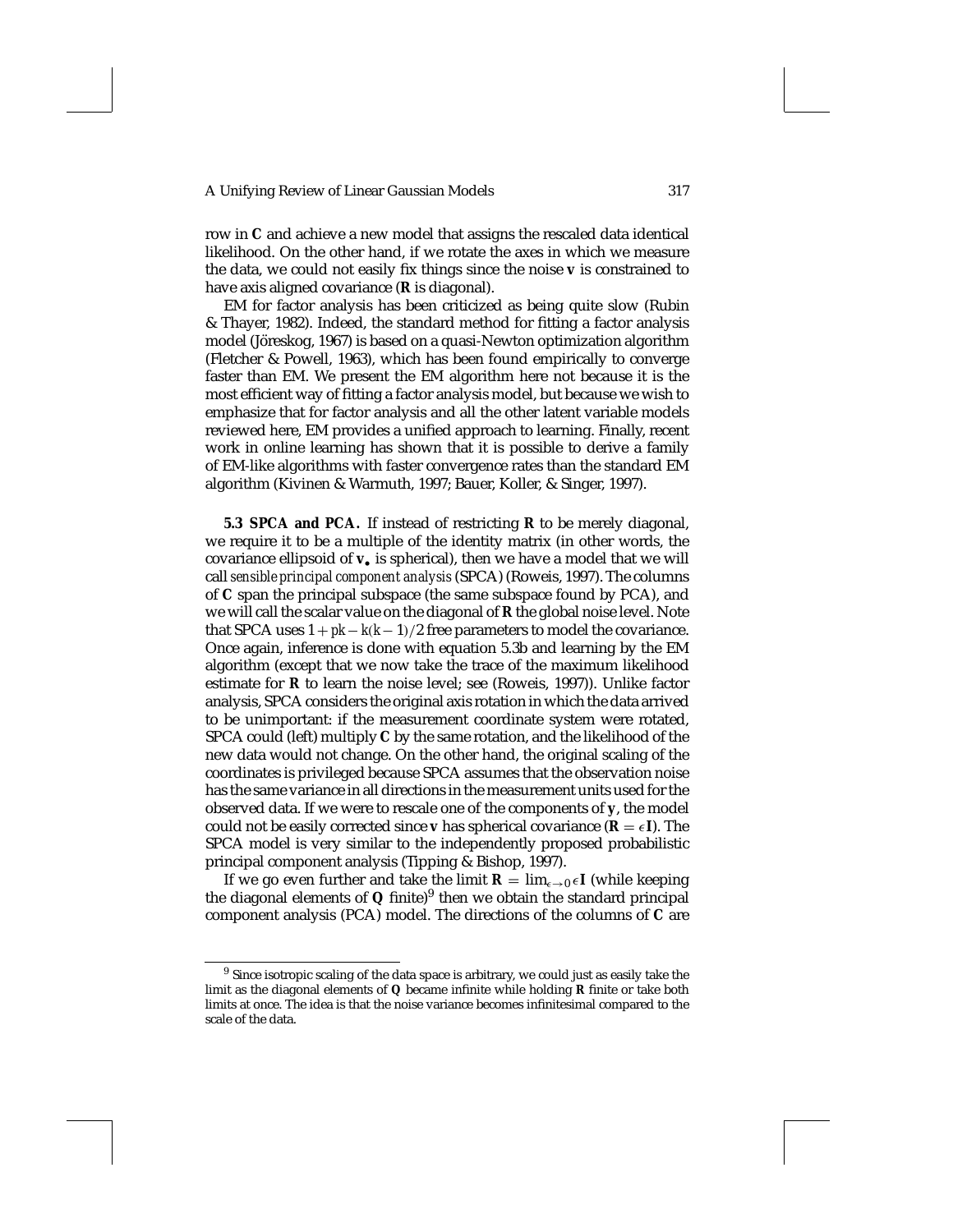row in **C** and achieve a new model that assigns the rescaled data identical likelihood. On the other hand, if we rotate the axes in which we measure the data, we could not easily fix things since the noise **v** is constrained to have axis aligned covariance (**R** is diagonal).

EM for factor analysis has been criticized as being quite slow (Rubin & Thayer, 1982). Indeed, the standard method for fitting a factor analysis model (Jöreskog, 1967) is based on a quasi-Newton optimization algorithm (Fletcher & Powell, 1963), which has been found empirically to converge faster than EM. We present the EM algorithm here not because it is the most efficient way of fitting a factor analysis model, but because we wish to emphasize that for factor analysis and all the other latent variable models reviewed here, EM provides a unified approach to learning. Finally, recent work in online learning has shown that it is possible to derive a family of EM-like algorithms with faster convergence rates than the standard EM algorithm (Kivinen & Warmuth, 1997; Bauer, Koller, & Singer, 1997).

**5.3 SPCA and PCA.** If instead of restricting **R** to be merely diagonal, we require it to be a multiple of the identity matrix (in other words, the covariance ellipsoid of **v**• is spherical), then we have a model that we will call*sensible principal component analysis*(SPCA) (Roweis, 1997). The columns of **C** span the principal subspace (the same subspace found by PCA), and we will call the scalar value on the diagonal of **R** the global noise level. Note that SPCA uses  $1 + pk - k(k-1)/2$  free parameters to model the covariance. Once again, inference is done with equation 5.3b and learning by the EM algorithm (except that we now take the trace of the maximum likelihood estimate for **R** to learn the noise level; see (Roweis, 1997)). Unlike factor analysis, SPCA considers the original axis rotation in which the data arrived to be unimportant: if the measurement coordinate system were rotated, SPCA could (left) multiply **C** by the same rotation, and the likelihood of the new data would not change. On the other hand, the original scaling of the coordinates is privileged because SPCA assumes that the observation noise has the same variance in all directions in the measurement units used for the observed data. If we were to rescale one of the components of **y**, the model could not be easily corrected since **v** has spherical covariance ( $\mathbf{R} = \epsilon \mathbf{I}$ ). The SPCA model is very similar to the independently proposed probabilistic principal component analysis (Tipping & Bishop, 1997).

If we go even further and take the limit  $\mathbf{R} = \lim_{\epsilon \to 0} \epsilon \mathbf{I}$  (while keeping the diagonal elements of Q finite)<sup>9</sup> then we obtain the standard principal component analysis (PCA) model. The directions of the columns of **C** are

<sup>&</sup>lt;sup>9</sup> Since isotropic scaling of the data space is arbitrary, we could just as easily take the limit as the diagonal elements of **Q** became infinite while holding **R** finite or take both limits at once. The idea is that the noise variance becomes infinitesimal compared to the scale of the data.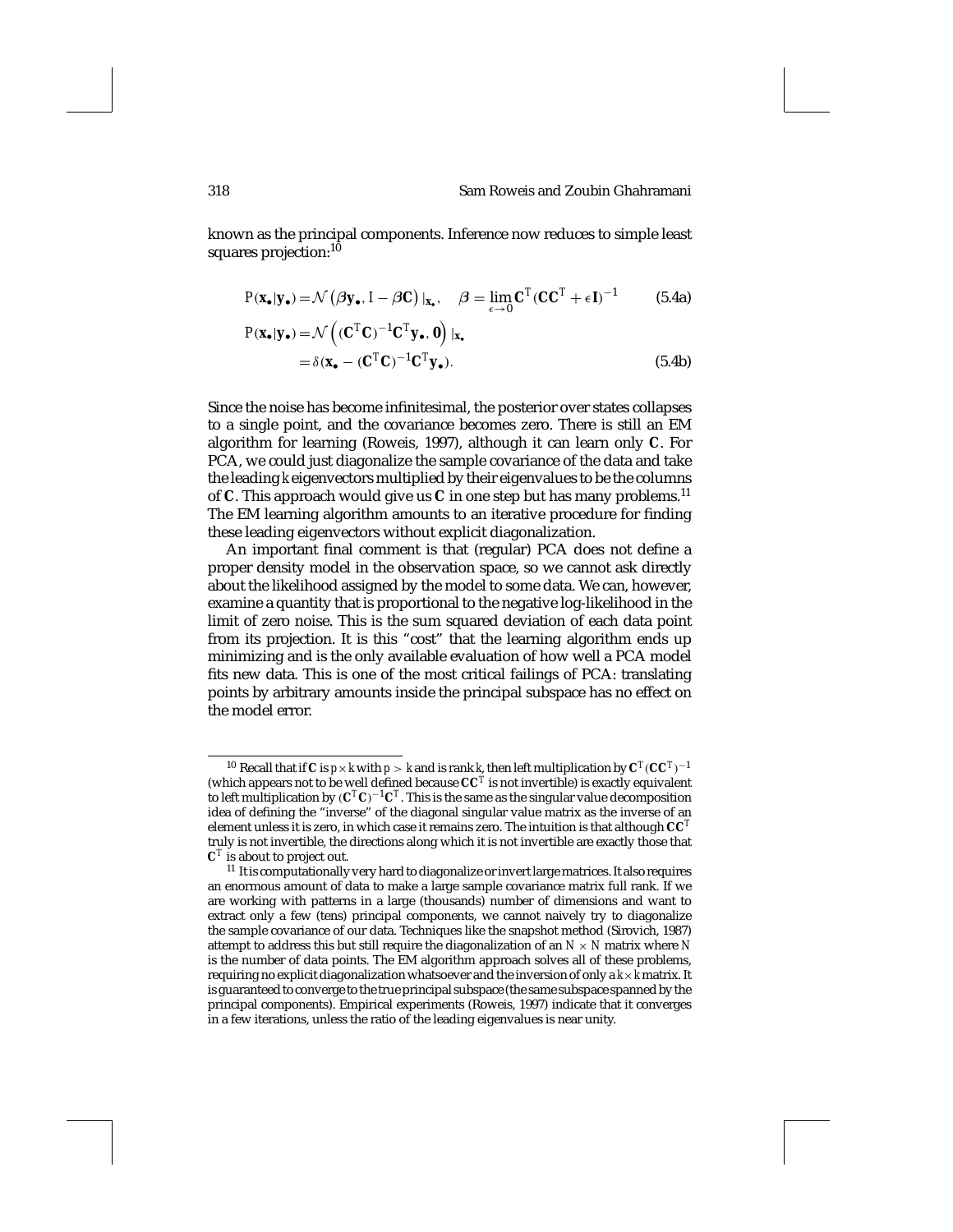known as the principal components. Inference now reduces to simple least squares projection:<sup>10</sup>

$$
P(\mathbf{x}_{\bullet}|\mathbf{y}_{\bullet}) = \mathcal{N}(\beta \mathbf{y}_{\bullet}, I - \beta \mathbf{C}) |_{\mathbf{x}_{\bullet}}, \quad \beta = \lim_{\epsilon \to 0} \mathbf{C}^T (\mathbf{C} \mathbf{C}^T + \epsilon \mathbf{I})^{-1}
$$
(5.4a)

$$
P(\mathbf{x}_{\bullet}|\mathbf{y}_{\bullet}) = \mathcal{N}\left((\mathbf{C}^{T}\mathbf{C})^{-1}\mathbf{C}^{T}\mathbf{y}_{\bullet}, \mathbf{0}\right)|_{\mathbf{x}_{\bullet}}
$$
  
=  $\delta(\mathbf{x}_{\bullet} - (\mathbf{C}^{T}\mathbf{C})^{-1}\mathbf{C}^{T}\mathbf{y}_{\bullet}).$  (5.4b)

Since the noise has become infinitesimal, the posterior over states collapses to a single point, and the covariance becomes zero. There is still an EM algorithm for learning (Roweis, 1997), although it can learn only **C**. For PCA, we could just diagonalize the sample covariance of the data and take the leading *k* eigenvectors multiplied by their eigenvalues to be the columns of **C**. This approach would give us **C** in one step but has many problems.11 The EM learning algorithm amounts to an iterative procedure for finding these leading eigenvectors without explicit diagonalization.

An important final comment is that (regular) PCA does not define a proper density model in the observation space, so we cannot ask directly about the likelihood assigned by the model to some data. We can, however, examine a quantity that is proportional to the negative log-likelihood in the limit of zero noise. This is the sum squared deviation of each data point from its projection. It is this "cost" that the learning algorithm ends up minimizing and is the only available evaluation of how well a PCA model fits new data. This is one of the most critical failings of PCA: translating points by arbitrary amounts inside the principal subspace has no effect on the model error.

<sup>&</sup>lt;sup>10</sup> Recall that if **C** is  $p \times k$  with  $p > k$  and is rank  $k$ , then left multiplication by  $C^T (CC^T)^{-1}$ (which appears not to be well defined because  $CC<sup>T</sup>$  is not invertible) is exactly equivalent to left multiplication by  $(C^T C)^{-1} C^T$ . This is the same as the singular value decomposition idea of defining the "inverse" of the diagonal singular value matrix as the inverse of an element unless it is zero, in which case it remains zero. The intuition is that although **CC***<sup>T</sup>* truly is not invertible, the directions along which it is not invertible are exactly those that **C***<sup>T</sup>* is about to project out.

<sup>&</sup>lt;sup>11</sup> It is computationally very hard to diagonalize or invert large matrices. It also requires an enormous amount of data to make a large sample covariance matrix full rank. If we are working with patterns in a large (thousands) number of dimensions and want to extract only a few (tens) principal components, we cannot naively try to diagonalize the sample covariance of our data. Techniques like the snapshot method (Sirovich, 1987) attempt to address this but still require the diagonalization of an  $N \times N$  matrix where  $N$ is the number of data points. The EM algorithm approach solves all of these problems, requiring no explicit diagonalization whatsoever and the inversion of only a *k*×*k* matrix. It is guaranteed to converge to the true principal subspace (the same subspace spanned by the principal components). Empirical experiments (Roweis, 1997) indicate that it converges in a few iterations, unless the ratio of the leading eigenvalues is near unity.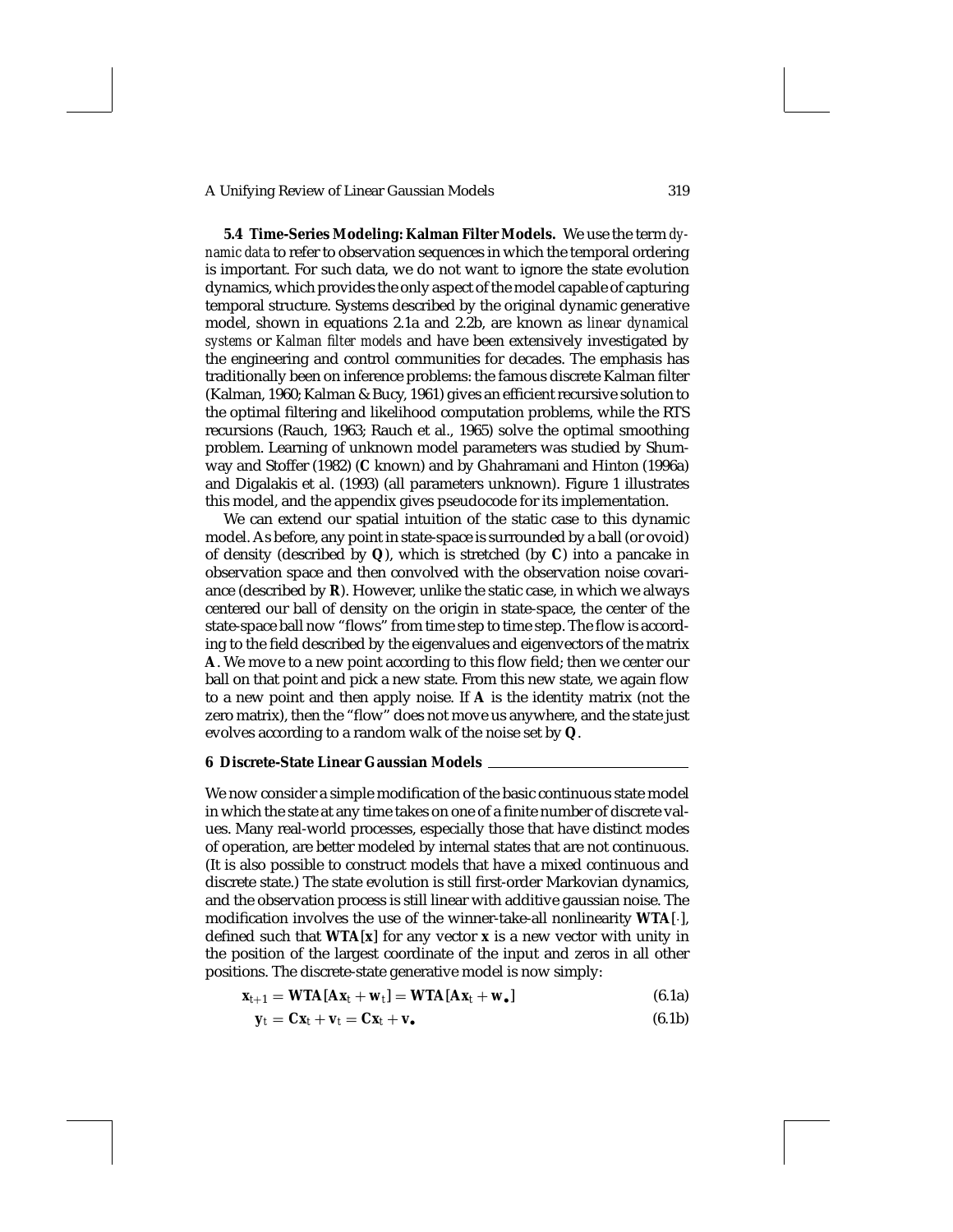**5.4 Time-Series Modeling: Kalman Filter Models.** We use the term *dynamic data* to refer to observation sequences in which the temporal ordering is important. For such data, we do not want to ignore the state evolution dynamics, which provides the only aspect of the model capable of capturing temporal structure. Systems described by the original dynamic generative model, shown in equations 2.1a and 2.2b, are known as *linear dynamical systems* or *Kalman filter models* and have been extensively investigated by the engineering and control communities for decades. The emphasis has traditionally been on inference problems: the famous discrete Kalman filter (Kalman, 1960; Kalman & Bucy, 1961) gives an efficient recursive solution to the optimal filtering and likelihood computation problems, while the RTS recursions (Rauch, 1963; Rauch et al., 1965) solve the optimal smoothing problem. Learning of unknown model parameters was studied by Shumway and Stoffer (1982) (**C** known) and by Ghahramani and Hinton (1996a) and Digalakis et al. (1993) (all parameters unknown). Figure 1 illustrates this model, and the appendix gives pseudocode for its implementation.

We can extend our spatial intuition of the static case to this dynamic model. As before, any point in state-space is surrounded by a ball (or ovoid) of density (described by **Q**), which is stretched (by **C**) into a pancake in observation space and then convolved with the observation noise covariance (described by **R**). However, unlike the static case, in which we always centered our ball of density on the origin in state-space, the center of the state-space ball now "flows" from time step to time step. The flow is according to the field described by the eigenvalues and eigenvectors of the matrix **A**. We move to a new point according to this flow field; then we center our ball on that point and pick a new state. From this new state, we again flow to a new point and then apply noise. If **A** is the identity matrix (not the zero matrix), then the "flow" does not move us anywhere, and the state just evolves according to a random walk of the noise set by **Q**.

#### **6 Discrete-State Linear Gaussian Models**

We now consider a simple modification of the basic continuous state model in which the state at any time takes on one of a finite number of discrete values. Many real-world processes, especially those that have distinct modes of operation, are better modeled by internal states that are not continuous. (It is also possible to construct models that have a mixed continuous and discrete state.) The state evolution is still first-order Markovian dynamics, and the observation process is still linear with additive gaussian noise. The modification involves the use of the winner-take-all nonlinearity **WTA**[·], defined such that **WTA**[**x**] for any vector **x** is a new vector with unity in the position of the largest coordinate of the input and zeros in all other positions. The discrete-state generative model is now simply:

$$
\mathbf{x}_{t+1} = \mathbf{WTA}[\mathbf{A}\mathbf{x}_t + \mathbf{w}_t] = \mathbf{WTA}[\mathbf{A}\mathbf{x}_t + \mathbf{w}_\bullet]
$$
(6.1a)

$$
\mathbf{y}_t = \mathbf{C}\mathbf{x}_t + \mathbf{v}_t = \mathbf{C}\mathbf{x}_t + \mathbf{v}_\bullet \tag{6.1b}
$$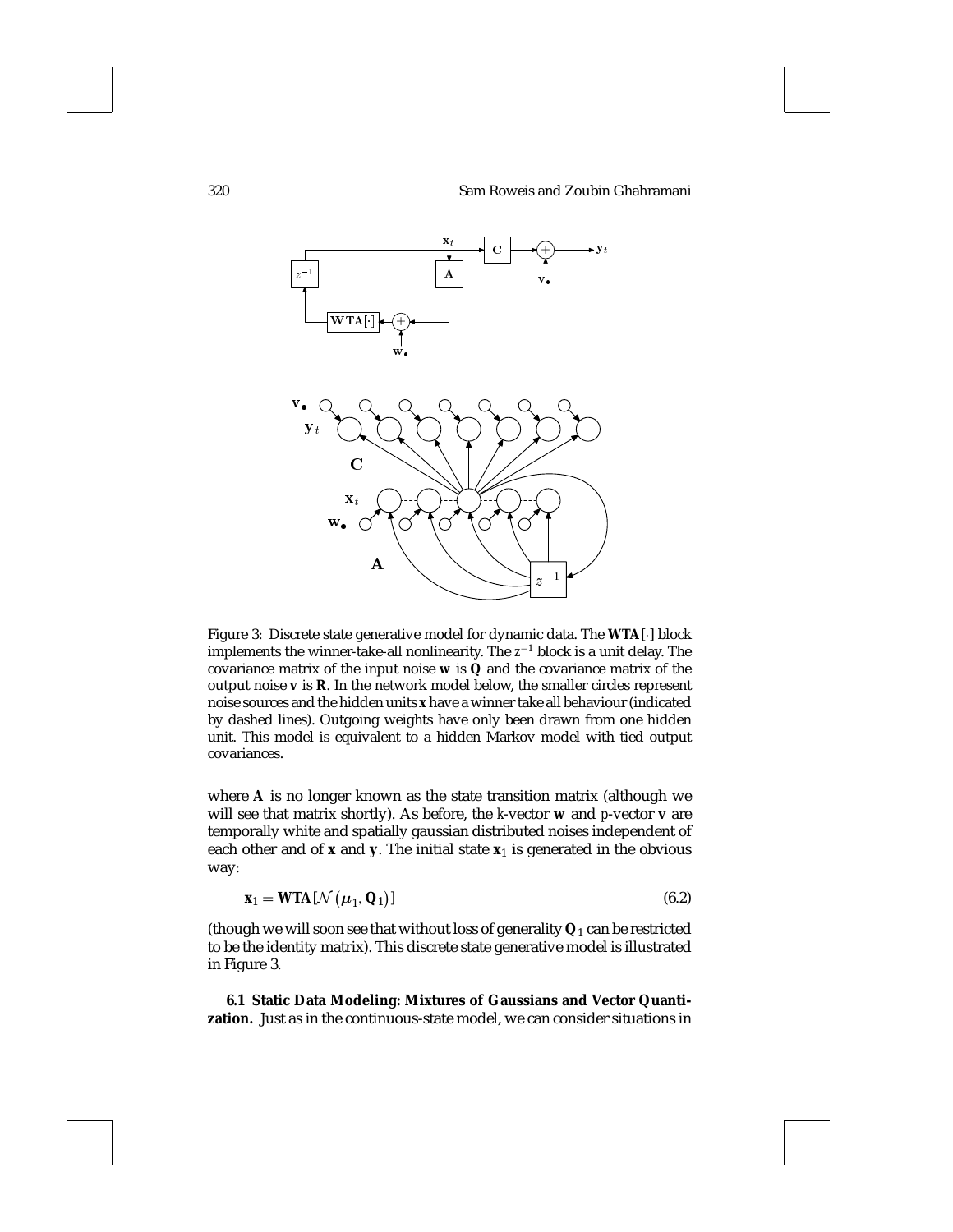

Figure 3: Discrete state generative model for dynamic data. The **WTA**[·] block implements the winner-take-all nonlinearity. The *z*<sup>−</sup><sup>1</sup> block is a unit delay. The covariance matrix of the input noise **w** is **Q** and the covariance matrix of the output noise **v** is **R**. In the network model below, the smaller circles represent noise sources and the hidden units **x** have a winner take all behaviour (indicated by dashed lines). Outgoing weights have only been drawn from one hidden unit. This model is equivalent to a hidden Markov model with tied output covariances.

where **A** is no longer known as the state transition matrix (although we will see that matrix shortly). As before, the *k*-vector **w** and *p*-vector **v** are temporally white and spatially gaussian distributed noises independent of each other and of **x** and **y**. The initial state  $x_1$  is generated in the obvious way:

$$
\mathbf{x}_1 = \mathbf{WTA}[\mathcal{N}(\mu_1, \mathbf{Q}_1)] \tag{6.2}
$$

(though we will soon see that without loss of generality **Q**<sup>1</sup> can be restricted to be the identity matrix). This discrete state generative model is illustrated in Figure 3.

**6.1 Static Data Modeling: Mixtures of Gaussians and Vector Quantization.** Just as in the continuous-state model, we can consider situations in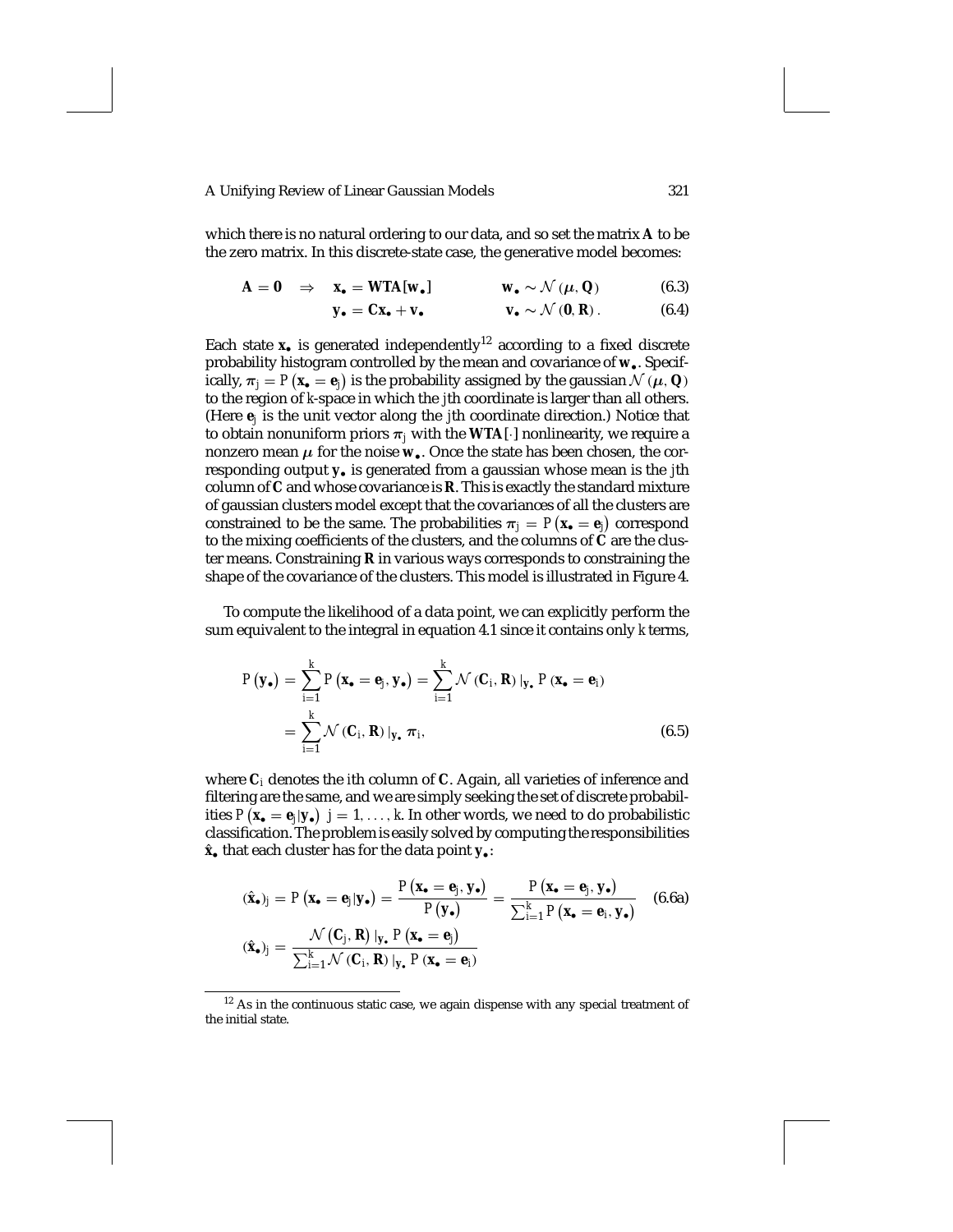which there is no natural ordering to our data, and so set the matrix **A** to be the zero matrix. In this discrete-state case, the generative model becomes:

$$
\mathbf{A} = \mathbf{0} \quad \Rightarrow \quad \mathbf{x}_{\bullet} = \mathbf{WTA}[\mathbf{w}_{\bullet}] \qquad \qquad \mathbf{w}_{\bullet} \sim \mathcal{N}(\mu, \mathbf{Q}) \tag{6.3}
$$

$$
\mathbf{y}_{\bullet} = \mathbf{C}\mathbf{x}_{\bullet} + \mathbf{v}_{\bullet} \qquad \qquad \mathbf{v}_{\bullet} \sim \mathcal{N}(\mathbf{0}, \mathbf{R}). \qquad (6.4)
$$

Each state  $x_{\bullet}$  is generated independently<sup>12</sup> according to a fixed discrete probability histogram controlled by the mean and covariance of **w**•. Specifically,  $\pi_j = P(\mathbf{x}_\bullet = \mathbf{e}_j)$  is the probability assigned by the gaussian  $\mathcal{N}(\mu, \mathbf{Q})$ to the region of *k*-space in which the *j*th coordinate is larger than all others. (Here **e***<sup>j</sup>* is the unit vector along the *j*th coordinate direction.) Notice that to obtain nonuniform priors  $\pi_j$  with the **WTA**[·] nonlinearity, we require a nonzero mean  $\mu$  for the noise  $w_{\bullet}$ . Once the state has been chosen, the corresponding output **y**• is generated from a gaussian whose mean is the *j*th column of **C** and whose covariance is **R**. This is exactly the standard mixture of gaussian clusters model except that the covariances of all the clusters are constrained to be the same. The probabilities  $\pi_j = P(\mathbf{x}_\bullet = \mathbf{e}_j)$  correspond to the mixing coefficients of the clusters, and the columns of **C** are the cluster means. Constraining **R** in various ways corresponds to constraining the shape of the covariance of the clusters. This model is illustrated in Figure 4.

To compute the likelihood of a data point, we can explicitly perform the sum equivalent to the integral in equation 4.1 since it contains only *k* terms,

$$
P(\mathbf{y}_{\bullet}) = \sum_{i=1}^{k} P(\mathbf{x}_{\bullet} = \mathbf{e}_{j}, \mathbf{y}_{\bullet}) = \sum_{i=1}^{k} \mathcal{N} (\mathbf{C}_{i}, \mathbf{R}) |_{\mathbf{y}_{\bullet}} P(\mathbf{x}_{\bullet} = \mathbf{e}_{i})
$$

$$
= \sum_{i=1}^{k} \mathcal{N} (\mathbf{C}_{i}, \mathbf{R}) |_{\mathbf{y}_{\bullet}} \pi_{i}, \qquad (6.5)
$$

where **C***<sup>i</sup>* denotes the *i*th column of **C**. Again, all varieties of inference and filtering are the same, and we are simply seeking the set of discrete probabilities  $P(\mathbf{x}_{\bullet} = \mathbf{e}_j | \mathbf{y}_{\bullet}) \; j = 1, \ldots, k$ . In other words, we need to do probabilistic classification. The problem is easily solved by computing the responsibilities **x**ˆ• that each cluster has for the data point **y**•:

$$
(\hat{\mathbf{x}}_{\bullet})_j = P(\mathbf{x}_{\bullet} = \mathbf{e}_j | \mathbf{y}_{\bullet}) = \frac{P(\mathbf{x}_{\bullet} = \mathbf{e}_j, \mathbf{y}_{\bullet})}{P(\mathbf{y}_{\bullet})} = \frac{P(\mathbf{x}_{\bullet} = \mathbf{e}_j, \mathbf{y}_{\bullet})}{\sum_{i=1}^k P(\mathbf{x}_{\bullet} = \mathbf{e}_i, \mathbf{y}_{\bullet})}
$$
(6.6a)  

$$
(\hat{\mathbf{x}}_{\bullet})_j = \frac{\mathcal{N}(\mathbf{C}_j, \mathbf{R}) |_{\mathbf{y}_{\bullet}} P(\mathbf{x}_{\bullet} = \mathbf{e}_j)}{\sum_{i=1}^k \mathcal{N}(\mathbf{C}_i, \mathbf{R}) |_{\mathbf{y}_{\bullet}} P(\mathbf{x}_{\bullet} = \mathbf{e}_i)}
$$

<sup>&</sup>lt;sup>12</sup> As in the continuous static case, we again dispense with any special treatment of the initial state.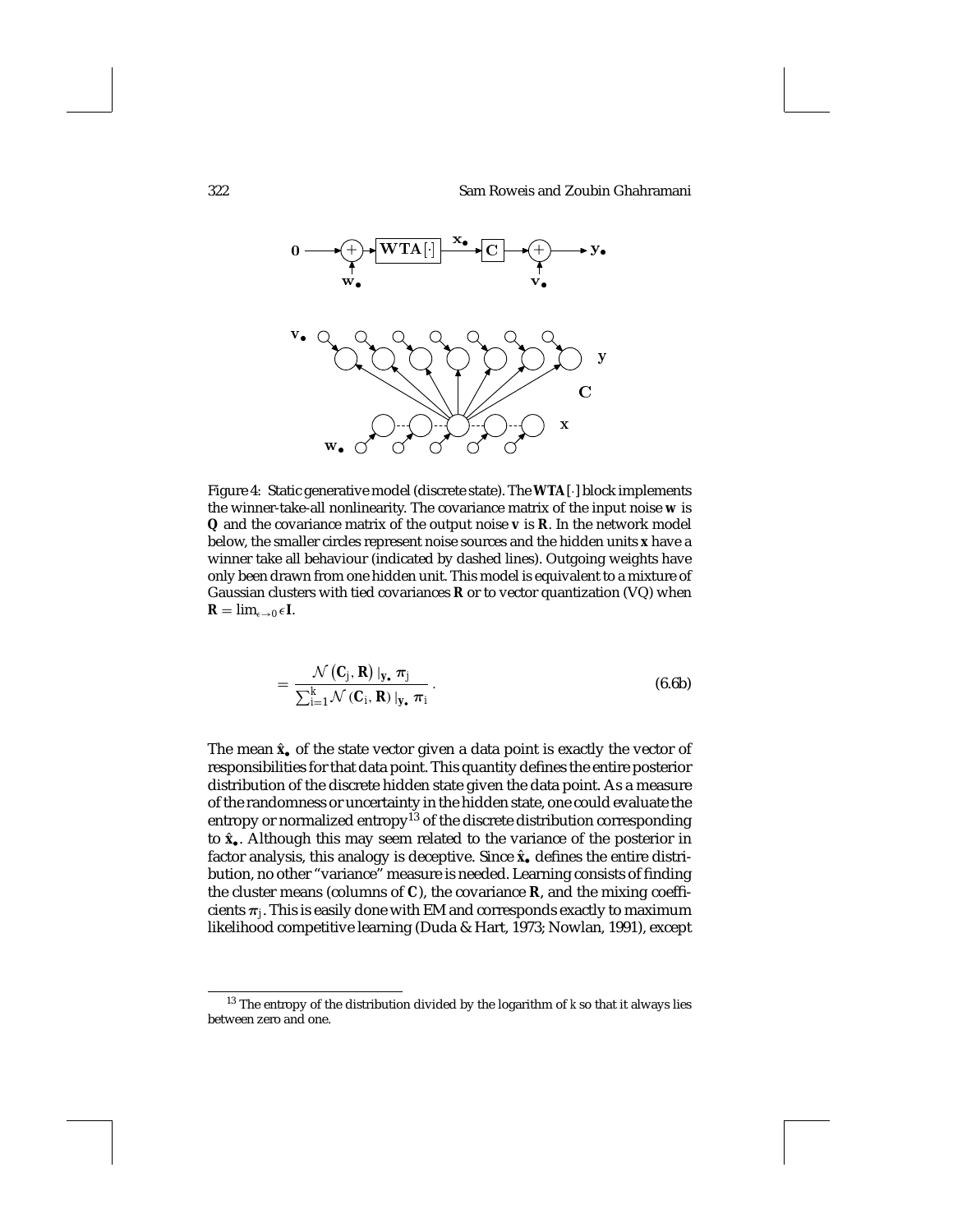322 Sam Roweis and Zoubin Ghahramani



Figure 4: Static generative model (discrete state). The **WTA**[·] block implements the winner-take-all nonlinearity. The covariance matrix of the input noise **w** is **Q** and the covariance matrix of the output noise **v** is **R**. In the network model below, the smaller circles represent noise sources and the hidden units **x** have a winner take all behaviour (indicated by dashed lines). Outgoing weights have only been drawn from one hidden unit. This model is equivalent to a mixture of Gaussian clusters with tied covariances **R** or to vector quantization (VQ) when  $\mathbf{R} = \lim_{\epsilon \to 0} \epsilon \mathbf{I}.$ 

$$
= \frac{\mathcal{N}\left(\mathbf{C}_{j}, \mathbf{R}\right)|_{\mathbf{y}_{\bullet}} \pi_{j}}{\sum_{i=1}^{k} \mathcal{N}\left(\mathbf{C}_{i}, \mathbf{R}\right)|_{\mathbf{y}_{\bullet}} \pi_{i}}.
$$
\n(6.6b)

The mean  $\hat{\mathbf{x}}_{\bullet}$  of the state vector given a data point is exactly the vector of responsibilities for that data point. This quantity defines the entire posterior distribution of the discrete hidden state given the data point. As a measure of the randomness or uncertainty in the hidden state, one could evaluate the entropy or normalized entropy<sup>13</sup> of the discrete distribution corresponding to **x**ˆ•. Although this may seem related to the variance of the posterior in factor analysis, this analogy is deceptive. Since  $\hat{\mathbf{x}}_\bullet$  defines the entire distribution, no other "variance" measure is needed. Learning consists of finding the cluster means (columns of **C**), the covariance **R**, and the mixing coefficients  $\pi_i$ . This is easily done with EM and corresponds exactly to maximum likelihood competitive learning (Duda & Hart, 1973; Nowlan, 1991), except

<sup>13</sup> The entropy of the distribution divided by the logarithm of *k* so that it always lies between zero and one.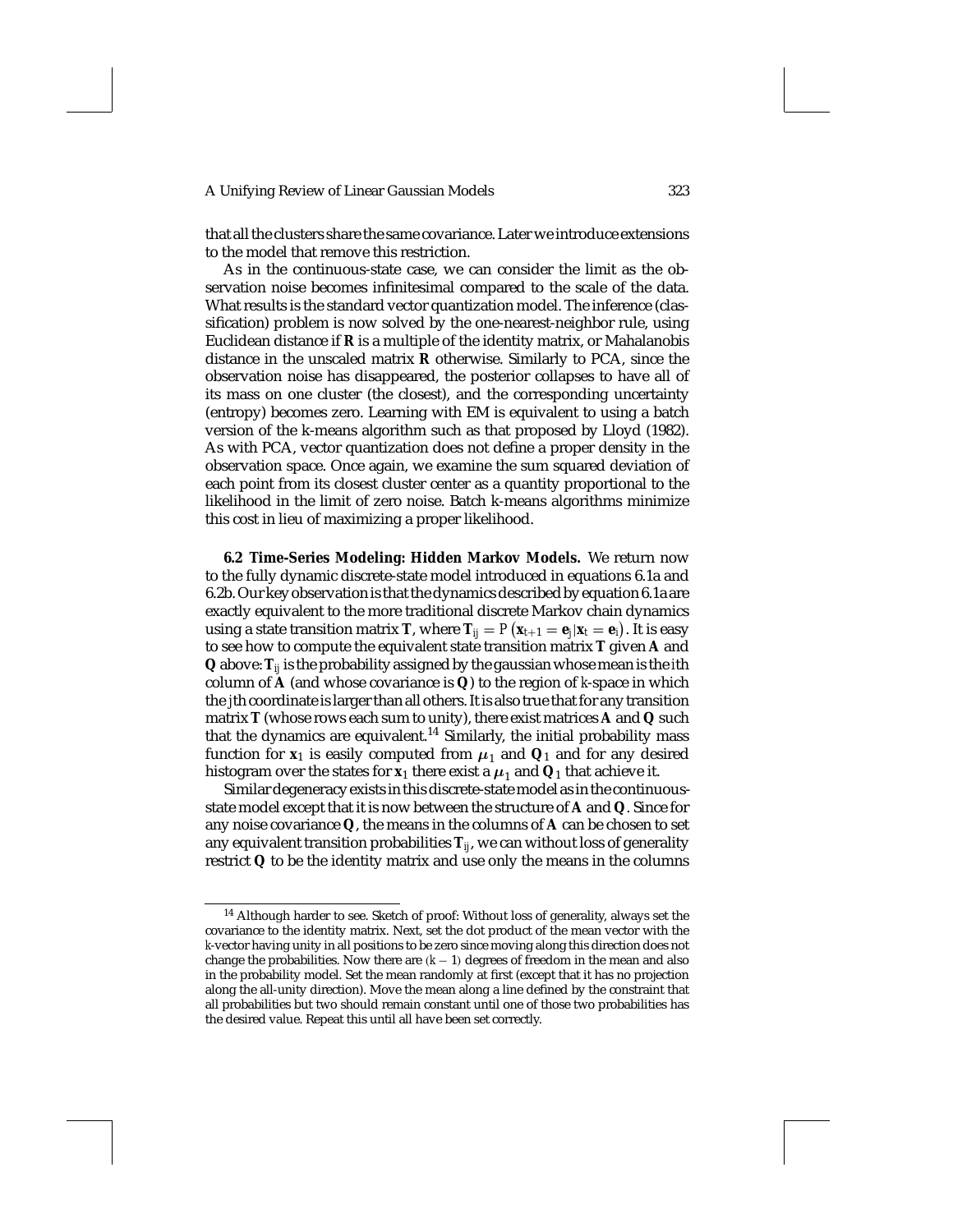that all the clusters share the same covariance. Later we introduce extensions to the model that remove this restriction.

As in the continuous-state case, we can consider the limit as the observation noise becomes infinitesimal compared to the scale of the data. What results is the standard vector quantization model. The inference (classification) problem is now solved by the one-nearest-neighbor rule, using Euclidean distance if **R** is a multiple of the identity matrix, or Mahalanobis distance in the unscaled matrix **R** otherwise. Similarly to PCA, since the observation noise has disappeared, the posterior collapses to have all of its mass on one cluster (the closest), and the corresponding uncertainty (entropy) becomes zero. Learning with EM is equivalent to using a batch version of the k-means algorithm such as that proposed by Lloyd (1982). As with PCA, vector quantization does not define a proper density in the observation space. Once again, we examine the sum squared deviation of each point from its closest cluster center as a quantity proportional to the likelihood in the limit of zero noise. Batch k-means algorithms minimize this cost in lieu of maximizing a proper likelihood.

**6.2 Time-Series Modeling: Hidden Markov Models.** We return now to the fully dynamic discrete-state model introduced in equations 6.1a and 6.2b. Our key observation is that the dynamics described by equation 6.1a are exactly equivalent to the more traditional discrete Markov chain dynamics using a state transition matrix **T**, where  $\mathbf{T}_{ij} = P(\mathbf{x}_{t+1} = \mathbf{e}_j | \mathbf{x}_t = \mathbf{e}_i)$ . It is easy to see how to compute the equivalent state transition matrix **T** given **A** and **Q** above:**T***ij* is the probability assigned by the gaussian whose mean is the *i*th column of **A** (and whose covariance is **Q**) to the region of *k*-space in which the *j*th coordinate is larger than all others. It is also true that for any transition matrix **T** (whose rows each sum to unity), there exist matrices **A** and **Q** such that the dynamics are equivalent.<sup>14</sup> Similarly, the initial probability mass function for  $x_1$  is easily computed from  $\mu_1$  and  $Q_1$  and for any desired histogram over the states for  $\mathbf{x}_1$  there exist a  $\mu_1$  and  $\mathbf{Q}_1$  that achieve it.

Similar degeneracy exists in this discrete-state model as in the continuousstate model except that it is now between the structure of **A** and **Q**. Since for any noise covariance **Q**, the means in the columns of **A** can be chosen to set any equivalent transition probabilities **T***ij*, we can without loss of generality restrict **Q** to be the identity matrix and use only the means in the columns

<sup>&</sup>lt;sup>14</sup> Although harder to see. Sketch of proof: Without loss of generality, always set the covariance to the identity matrix. Next, set the dot product of the mean vector with the *k*-vector having unity in all positions to be zero since moving along this direction does not change the probabilities. Now there are  $(k - 1)$  degrees of freedom in the mean and also in the probability model. Set the mean randomly at first (except that it has no projection along the all-unity direction). Move the mean along a line defined by the constraint that all probabilities but two should remain constant until one of those two probabilities has the desired value. Repeat this until all have been set correctly.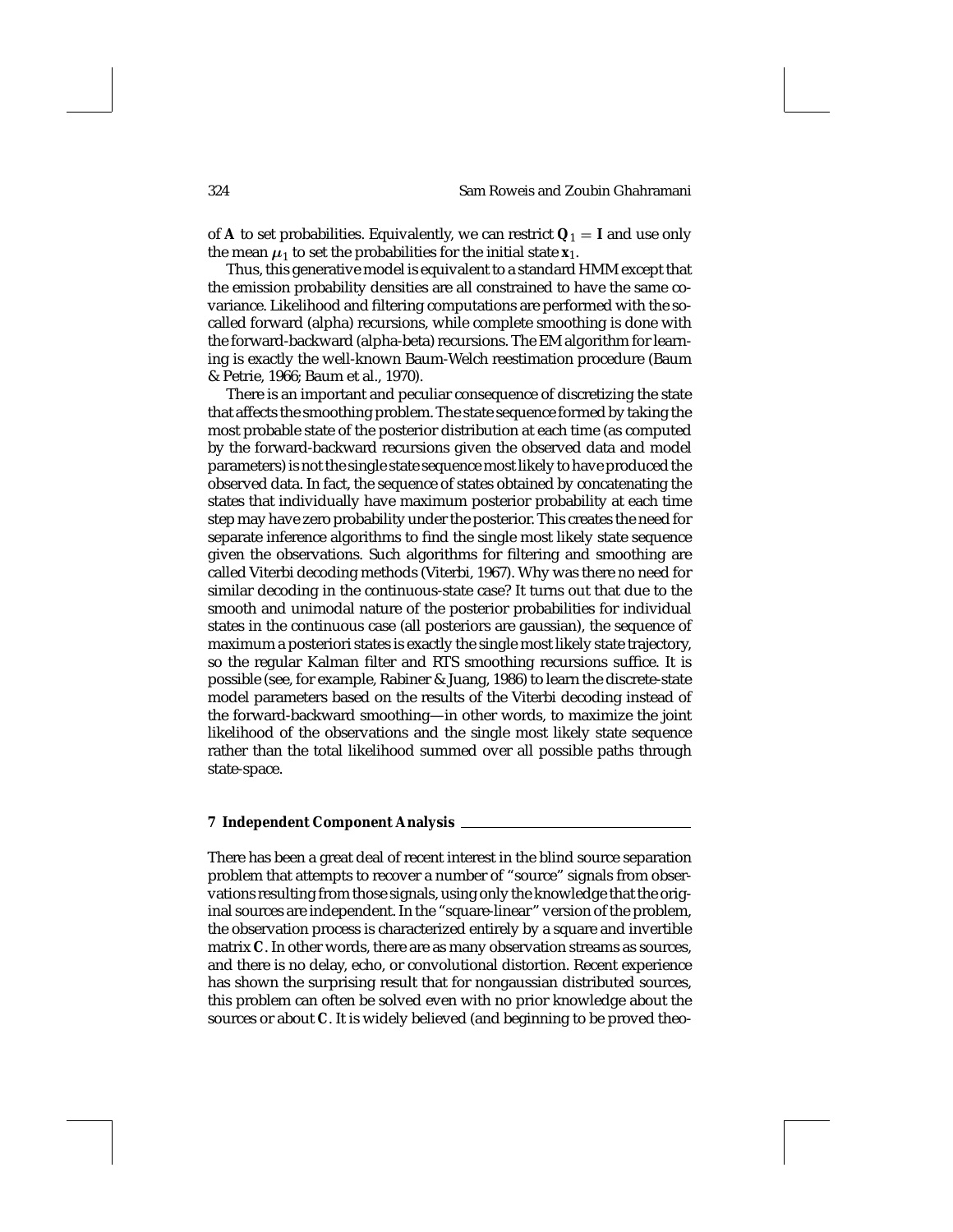of **A** to set probabilities. Equivalently, we can restrict  $Q_1 = I$  and use only the mean  $\mu_1$  to set the probabilities for the initial state  $\mathbf{x}_1$ .

Thus, this generative model is equivalent to a standard HMM except that the emission probability densities are all constrained to have the same covariance. Likelihood and filtering computations are performed with the socalled forward (alpha) recursions, while complete smoothing is done with the forward-backward (alpha-beta) recursions. The EM algorithm for learning is exactly the well-known Baum-Welch reestimation procedure (Baum & Petrie, 1966; Baum et al., 1970).

There is an important and peculiar consequence of discretizing the state that affects the smoothing problem. The state sequence formed by taking the most probable state of the posterior distribution at each time (as computed by the forward-backward recursions given the observed data and model parameters) is not the single state sequence most likely to have produced the observed data. In fact, the sequence of states obtained by concatenating the states that individually have maximum posterior probability at each time step may have zero probability under the posterior. This creates the need for separate inference algorithms to find the single most likely state sequence given the observations. Such algorithms for filtering and smoothing are called Viterbi decoding methods (Viterbi, 1967). Why was there no need for similar decoding in the continuous-state case? It turns out that due to the smooth and unimodal nature of the posterior probabilities for individual states in the continuous case (all posteriors are gaussian), the sequence of maximum a posteriori states is exactly the single most likely state trajectory, so the regular Kalman filter and RTS smoothing recursions suffice. It is possible (see, for example, Rabiner & Juang, 1986) to learn the discrete-state model parameters based on the results of the Viterbi decoding instead of the forward-backward smoothing—in other words, to maximize the joint likelihood of the observations and the single most likely state sequence rather than the total likelihood summed over all possible paths through state-space.

## **7 Independent Component Analysis**

There has been a great deal of recent interest in the blind source separation problem that attempts to recover a number of "source" signals from observations resulting from those signals, using only the knowledge that the original sources are independent. In the "square-linear" version of the problem, the observation process is characterized entirely by a square and invertible matrix **C**. In other words, there are as many observation streams as sources, and there is no delay, echo, or convolutional distortion. Recent experience has shown the surprising result that for nongaussian distributed sources, this problem can often be solved even with no prior knowledge about the sources or about **C**. It is widely believed (and beginning to be proved theo-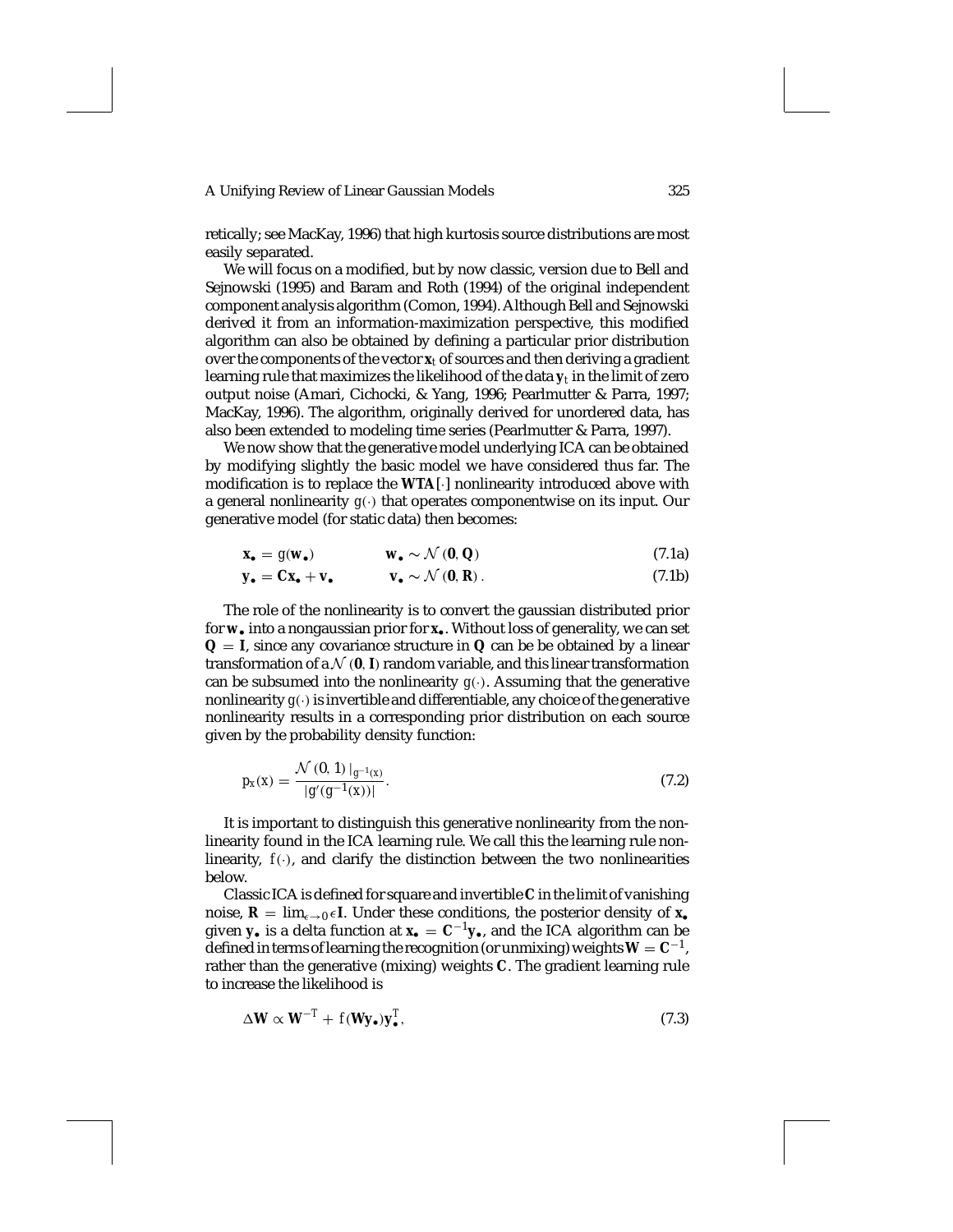retically; see MacKay, 1996) that high kurtosis source distributions are most easily separated.

We will focus on a modified, but by now classic, version due to Bell and Sejnowski (1995) and Baram and Roth (1994) of the original independent component analysis algorithm (Comon, 1994). Although Bell and Sejnowski derived it from an information-maximization perspective, this modified algorithm can also be obtained by defining a particular prior distribution over the components of the vector **x***<sup>t</sup>* of sources and then deriving a gradient learning rule that maximizes the likelihood of the data **y***<sup>t</sup>* in the limit of zero output noise (Amari, Cichocki, & Yang, 1996; Pearlmutter & Parra, 1997; MacKay, 1996). The algorithm, originally derived for unordered data, has also been extended to modeling time series (Pearlmutter & Parra, 1997).

We now show that the generative model underlying ICA can be obtained by modifying slightly the basic model we have considered thus far. The modification is to replace the **WTA**[·] nonlinearity introduced above with a general nonlinearity  $g(\cdot)$  that operates componentwise on its input. Our generative model (for static data) then becomes:

$$
\mathbf{x}_{\bullet} = g(\mathbf{w}_{\bullet}) \qquad \qquad \mathbf{w}_{\bullet} \sim \mathcal{N}(\mathbf{0}, \mathbf{Q}) \tag{7.1a}
$$

$$
\mathbf{y}_{\bullet} = \mathbf{C}\mathbf{x}_{\bullet} + \mathbf{v}_{\bullet} \qquad \qquad \mathbf{v}_{\bullet} \sim \mathcal{N}(\mathbf{0}, \mathbf{R}). \tag{7.1b}
$$

The role of the nonlinearity is to convert the gaussian distributed prior for **w**• into a nongaussian prior for **x**•. Without loss of generality, we can set  $Q = I$ , since any covariance structure in  $Q$  can be be obtained by a linear transformation of a  $\mathcal{N}$  (0, I) random variable, and this linear transformation can be subsumed into the nonlinearity  $g(\cdot)$ . Assuming that the generative nonlinearity  $g(\cdot)$  is invertible and differentiable, any choice of the generative nonlinearity results in a corresponding prior distribution on each source given by the probability density function:

$$
p_{x}(x) = \frac{\mathcal{N}(0, 1) |_{g^{-1}(x)}}{|g'(g^{-1}(x))|}.
$$
\n(7.2)

It is important to distinguish this generative nonlinearity from the nonlinearity found in the ICA learning rule. We call this the learning rule nonlinearity,  $f(\cdot)$ , and clarify the distinction between the two nonlinearities below.

Classic ICA is defined for square and invertible **C** in the limit of vanishing noise,  $\mathbf{R} = \lim_{\epsilon \to 0} \epsilon \mathbf{I}$ . Under these conditions, the posterior density of  $\mathbf{x}_{\bullet}$ given **y**• is a delta function at  $\mathbf{x} \cdot = \mathbf{C}^{-1} \mathbf{y}$ , and the ICA algorithm can be defined in terms of learning the recognition (or unmixing) weights  $W = C^{-1}$ , rather than the generative (mixing) weights **C**. The gradient learning rule to increase the likelihood is

$$
\Delta W \propto W^{-T} + f(Wy_{\bullet})y_{\bullet}^{T}, \qquad (7.3)
$$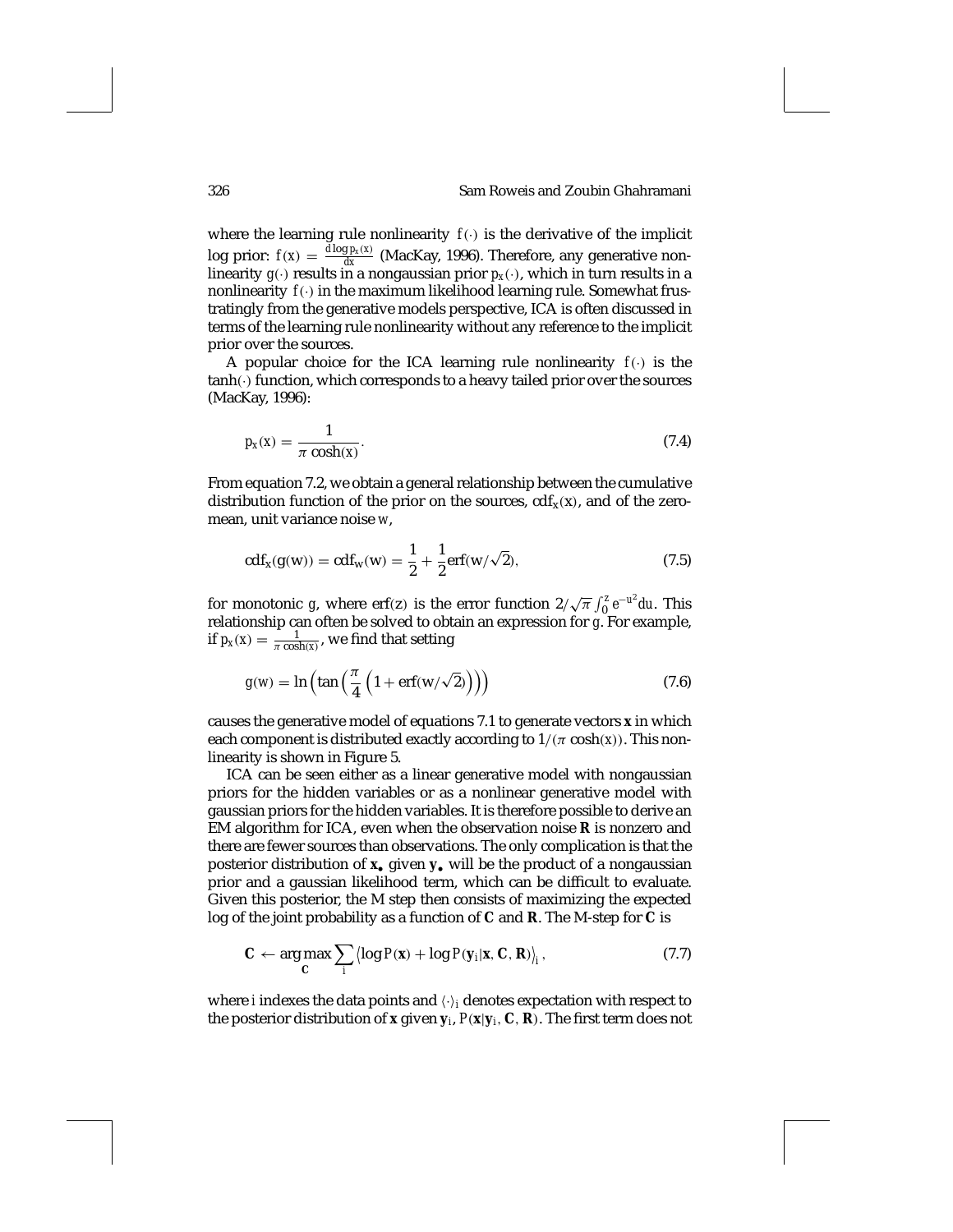where the learning rule nonlinearity  $f(\cdot)$  is the derivative of the implicit log prior:  $f(x) = \frac{d \log p_x(x)}{dx}$  (MacKay, 1996). Therefore, any generative nonlinearity  $g(\cdot)$  results in a nongaussian prior  $p_x(\cdot)$ , which in turn results in a nonlinearity *f*(·) in the maximum likelihood learning rule. Somewhat frustratingly from the generative models perspective, ICA is often discussed in terms of the learning rule nonlinearity without any reference to the implicit prior over the sources.

A popular choice for the ICA learning rule nonlinearity  $f(\cdot)$  is the  $tanh(\cdot)$  function, which corresponds to a heavy tailed prior over the sources (MacKay, 1996):

$$
p_x(x) = \frac{1}{\pi \cosh(x)}.\tag{7.4}
$$

From equation 7.2, we obtain a general relationship between the cumulative distribution function of the prior on the sources,  $\text{cdf}_x(x)$ , and of the zeromean, unit variance noise *w*,

$$
cdf_x(g(w)) = cdf_w(w) = \frac{1}{2} + \frac{1}{2}erf(w/\sqrt{2}),
$$
\n(7.5)

for monotonic *g*, where erf(z) is the error function  $2/\sqrt{\pi} \int_0^z e^{-u^2} du$ . This relationship can often be solved to obtain an expression for *g*. For example, if  $p_x(x) = \frac{1}{\pi \cosh(x)}$ , we find that setting

$$
g(w) = \ln\left(\tan\left(\frac{\pi}{4}\left(1 + \text{erf}(w/\sqrt{2})\right)\right)\right) \tag{7.6}
$$

causes the generative model of equations 7.1 to generate vectors **x** in which each component is distributed exactly according to  $1/(\pi \cosh(x))$ . This nonlinearity is shown in Figure 5.

ICA can be seen either as a linear generative model with nongaussian priors for the hidden variables or as a nonlinear generative model with gaussian priors for the hidden variables. It is therefore possible to derive an EM algorithm for ICA, even when the observation noise **R** is nonzero and there are fewer sources than observations. The only complication is that the posterior distribution of **x**• given **y**• will be the product of a nongaussian prior and a gaussian likelihood term, which can be difficult to evaluate. Given this posterior, the M step then consists of maximizing the expected log of the joint probability as a function of **C** and **R**. The M-step for **C** is

$$
\mathbf{C} \leftarrow \underset{\mathbf{C}}{\arg \max} \sum_{i} \left\langle \log P(\mathbf{x}) + \log P(\mathbf{y}_i | \mathbf{x}, \mathbf{C}, \mathbf{R}) \right\rangle_i, \tag{7.7}
$$

where *i* indexes the data points and  $\langle \cdot \rangle_i$  denotes expectation with respect to the posterior distribution of **x** given **y***i*, *P*(**x**|**y***i*, **C**, **R**). The first term does not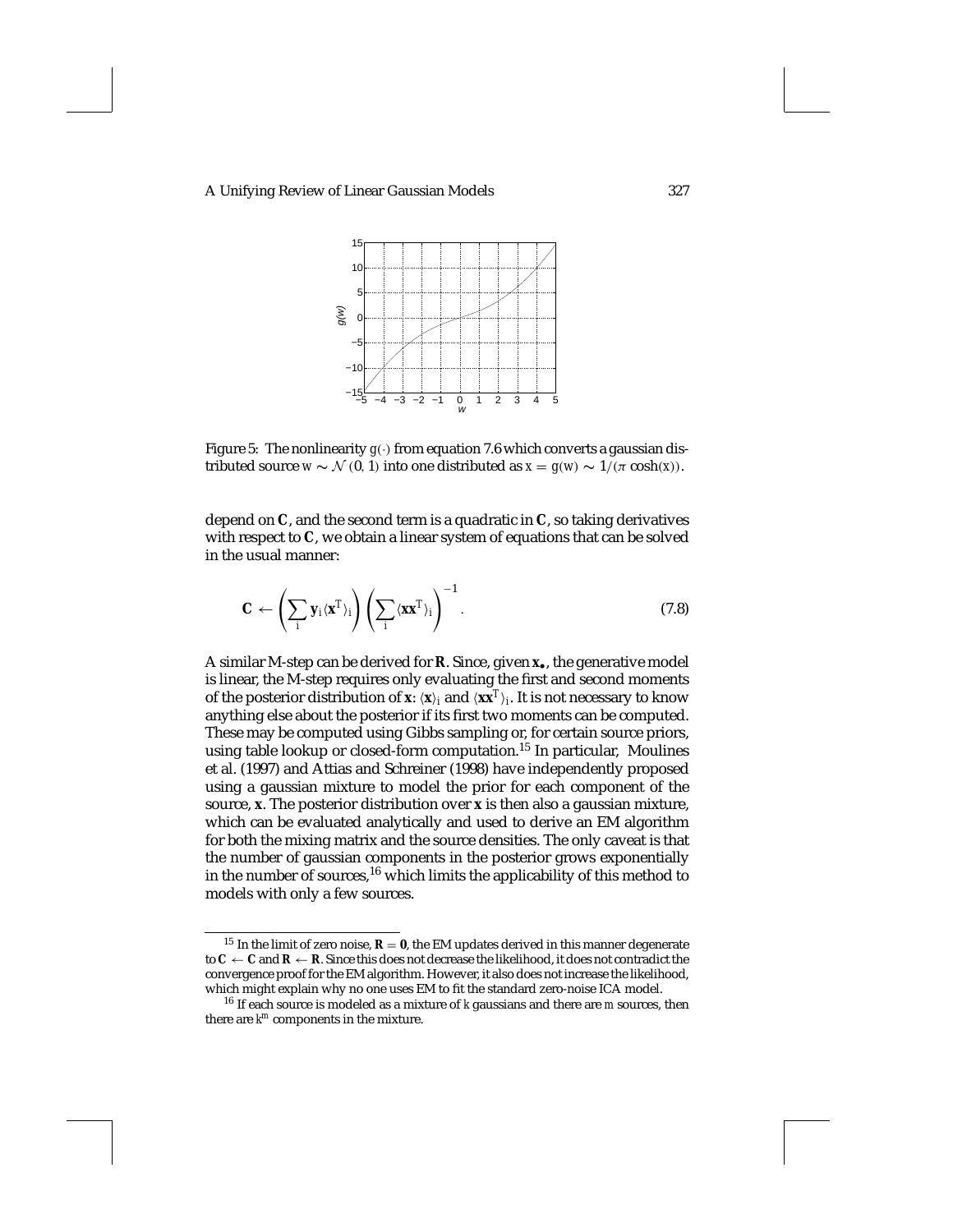

Figure 5: The nonlinearity  $g(\cdot)$  from equation 7.6 which converts a gaussian distributed source *w* ∼ N (0, 1) into one distributed as *x* = *g*(*w*) ∼ 1/(π cosh(*x*)).

depend on **C**, and the second term is a quadratic in **C**, so taking derivatives with respect to **C**, we obtain a linear system of equations that can be solved in the usual manner:

$$
\mathbf{C} \leftarrow \left(\sum_{i} \mathbf{y}_{i} \langle \mathbf{x}^{T} \rangle_{i}\right) \left(\sum_{i} \langle \mathbf{x} \mathbf{x}^{T} \rangle_{i}\right)^{-1}.
$$
 (7.8)

A similar M-step can be derived for **R**. Since, given **x**•, the generative model is linear, the M-step requires only evaluating the first and second moments of the posterior distribution of **x**:  $\langle \mathbf{x} \rangle_i$  and  $\langle \mathbf{x} \mathbf{x}^T \rangle_i$ . It is not necessary to know anything else about the posterior if its first two moments can be computed. These may be computed using Gibbs sampling or, for certain source priors, using table lookup or closed-form computation.<sup>15</sup> In particular, Moulines et al. (1997) and Attias and Schreiner (1998) have independently proposed using a gaussian mixture to model the prior for each component of the source, **x**. The posterior distribution over **x** is then also a gaussian mixture, which can be evaluated analytically and used to derive an EM algorithm for both the mixing matrix and the source densities. The only caveat is that the number of gaussian components in the posterior grows exponentially in the number of sources,<sup>16</sup> which limits the applicability of this method to models with only a few sources.

<sup>&</sup>lt;sup>15</sup> In the limit of zero noise,  $\mathbf{R} = \mathbf{0}$ , the EM updates derived in this manner degenerate to **C** ← **C** and **R** ← **R**. Since this does not decrease the likelihood, it does not contradict the convergence proof for the EM algorithm. However, it also does not increase the likelihood, which might explain why no one uses EM to fit the standard zero-noise ICA model.

<sup>16</sup> If each source is modeled as a mixture of *k* gaussians and there are *m* sources, then there are *k<sup>m</sup>* components in the mixture.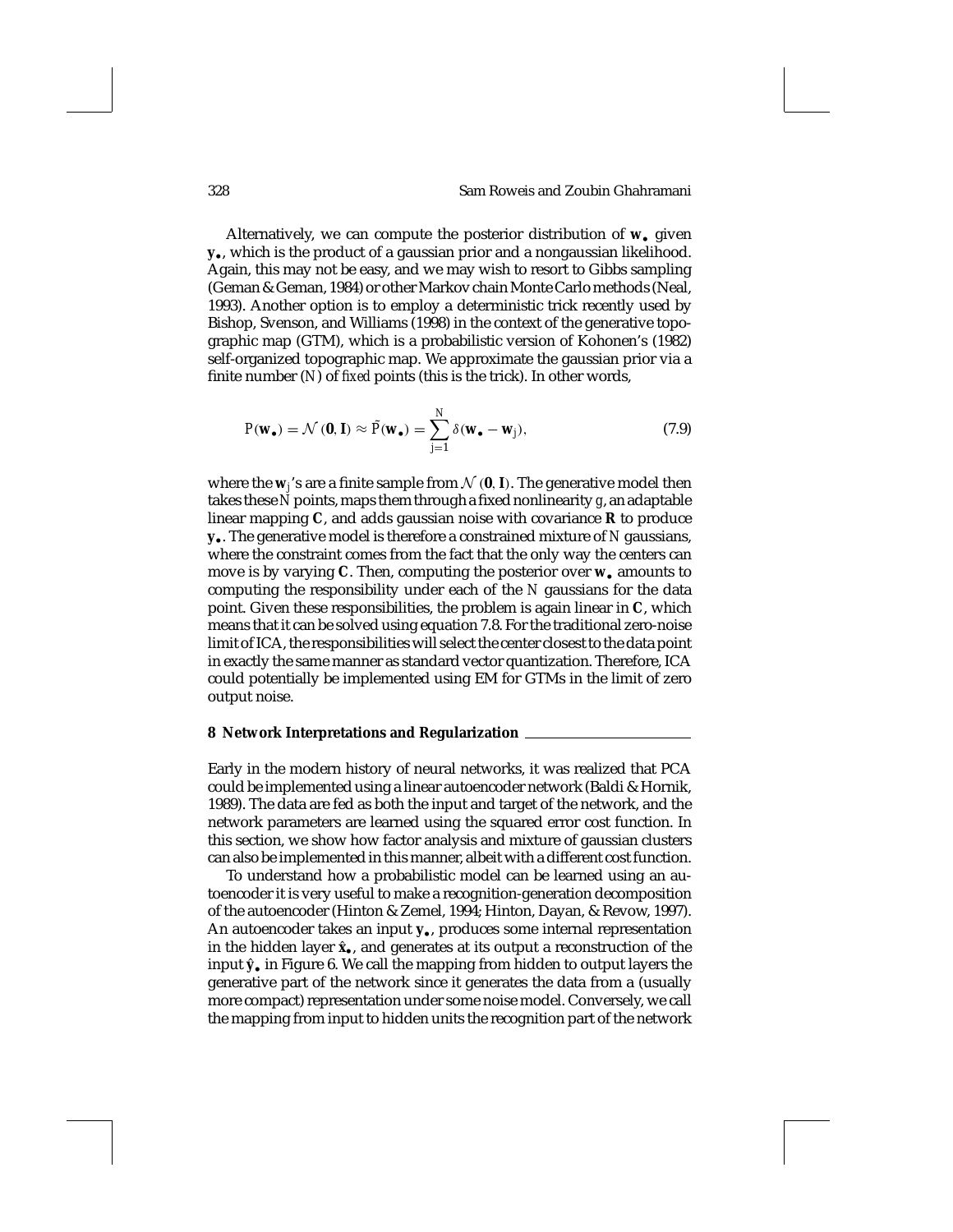Alternatively, we can compute the posterior distribution of **w**• given **y**•, which is the product of a gaussian prior and a nongaussian likelihood. Again, this may not be easy, and we may wish to resort to Gibbs sampling (Geman & Geman, 1984) or other Markov chain Monte Carlo methods (Neal, 1993). Another option is to employ a deterministic trick recently used by Bishop, Svenson, and Williams (1998) in the context of the generative topographic map (GTM), which is a probabilistic version of Kohonen's (1982) self-organized topographic map. We approximate the gaussian prior via a finite number (*N*) of *fixed* points (this is the trick). In other words,

$$
P(\mathbf{w}_{\bullet}) = \mathcal{N}(\mathbf{0}, \mathbf{I}) \approx \tilde{P}(\mathbf{w}_{\bullet}) = \sum_{j=1}^{N} \delta(\mathbf{w}_{\bullet} - \mathbf{w}_{j}),
$$
(7.9)

where the  $w_i$ 's are a finite sample from  $\mathcal N$  (0, I). The generative model then takes these*N* points, maps them through a fixed nonlinearity *g*, an adaptable linear mapping **C**, and adds gaussian noise with covariance **R** to produce **y**•. The generative model is therefore a constrained mixture of *N* gaussians, where the constraint comes from the fact that the only way the centers can move is by varying **C**. Then, computing the posterior over **w**• amounts to computing the responsibility under each of the *N* gaussians for the data point. Given these responsibilities, the problem is again linear in **C**, which means that it can be solved using equation 7.8. For the traditional zero-noise limit of ICA, the responsibilities will select the center closest to the data point in exactly the same manner as standard vector quantization. Therefore, ICA could potentially be implemented using EM for GTMs in the limit of zero output noise.

## **8 Network Interpretations and Regularization**

Early in the modern history of neural networks, it was realized that PCA could be implemented using a linear autoencoder network (Baldi & Hornik, 1989). The data are fed as both the input and target of the network, and the network parameters are learned using the squared error cost function. In this section, we show how factor analysis and mixture of gaussian clusters can also be implemented in this manner, albeit with a different cost function.

To understand how a probabilistic model can be learned using an autoencoder it is very useful to make a recognition-generation decomposition of the autoencoder (Hinton & Zemel, 1994; Hinton, Dayan, & Revow, 1997). An autoencoder takes an input **y**•, produces some internal representation in the hidden layer **x**ˆ•, and generates at its output a reconstruction of the input **y**ˆ • in Figure 6. We call the mapping from hidden to output layers the generative part of the network since it generates the data from a (usually more compact) representation under some noise model. Conversely, we call the mapping from input to hidden units the recognition part of the network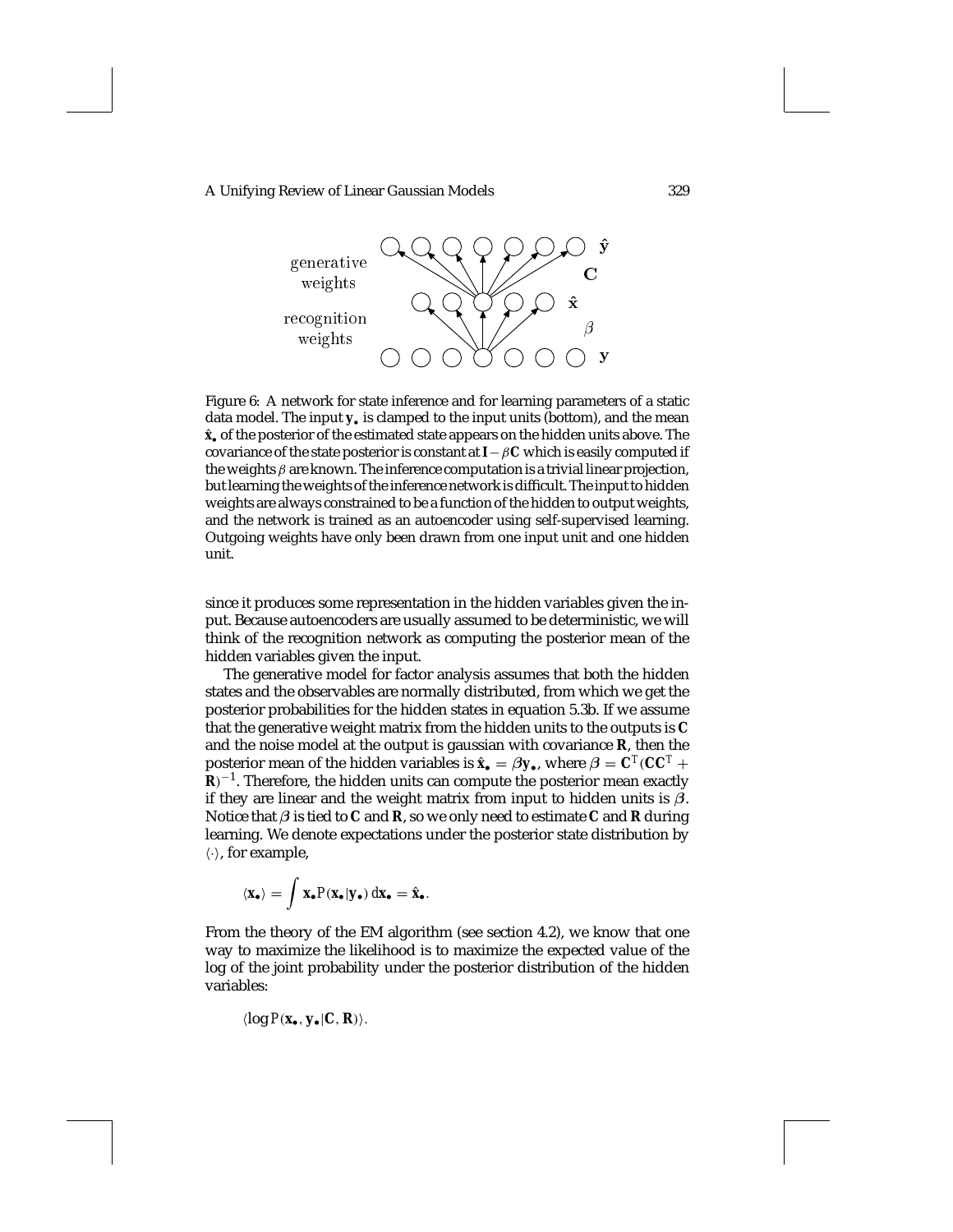

Figure 6: A network for state inference and for learning parameters of a static data model. The input **y**• is clamped to the input units (bottom), and the mean **x**ˆ• of the posterior of the estimated state appears on the hidden units above. The covariance of the state posterior is constant at**I**−β**C** which is easily computed if the weights  $\beta$  are known. The inference computation is a trivial linear projection, but learning the weights of the inference network is difficult. The input to hidden weights are always constrained to be a function of the hidden to output weights, and the network is trained as an autoencoder using self-supervised learning. Outgoing weights have only been drawn from one input unit and one hidden unit.

since it produces some representation in the hidden variables given the input. Because autoencoders are usually assumed to be deterministic, we will think of the recognition network as computing the posterior mean of the hidden variables given the input.

The generative model for factor analysis assumes that both the hidden states and the observables are normally distributed, from which we get the posterior probabilities for the hidden states in equation 5.3b. If we assume that the generative weight matrix from the hidden units to the outputs is **C** and the noise model at the output is gaussian with covariance **R**, then the posterior mean of the hidden variables is  $\hat{\mathbf{x}}_{\bullet} = \beta \mathbf{y}_{\bullet}$ , where  $\beta = \mathbf{C}^T(\mathbf{C}\mathbf{C}^T + \beta \mathbf{y}_{\bullet})$ **R**)<sup>−1</sup>. Therefore, the hidden units can compute the posterior mean exactly if they are linear and the weight matrix from input to hidden units is *β*. Notice that *β* is tied to **C** and **R**, so we only need to estimate **C** and **R** during learning. We denote expectations under the posterior state distribution by  $\langle \cdot \rangle$ , for example,

$$
\langle \mathbf{x}_\bullet \rangle = \int \mathbf{x}_\bullet P(\mathbf{x}_\bullet|\mathbf{y}_\bullet) \ d\mathbf{x}_\bullet = \hat{\mathbf{x}}_\bullet.
$$

From the theory of the EM algorithm (see section 4.2), we know that one way to maximize the likelihood is to maximize the expected value of the log of the joint probability under the posterior distribution of the hidden variables:

 $\langle \log P(\mathbf{x}_{\bullet}, \mathbf{y}_{\bullet} | \mathbf{C}, \mathbf{R}) \rangle$ .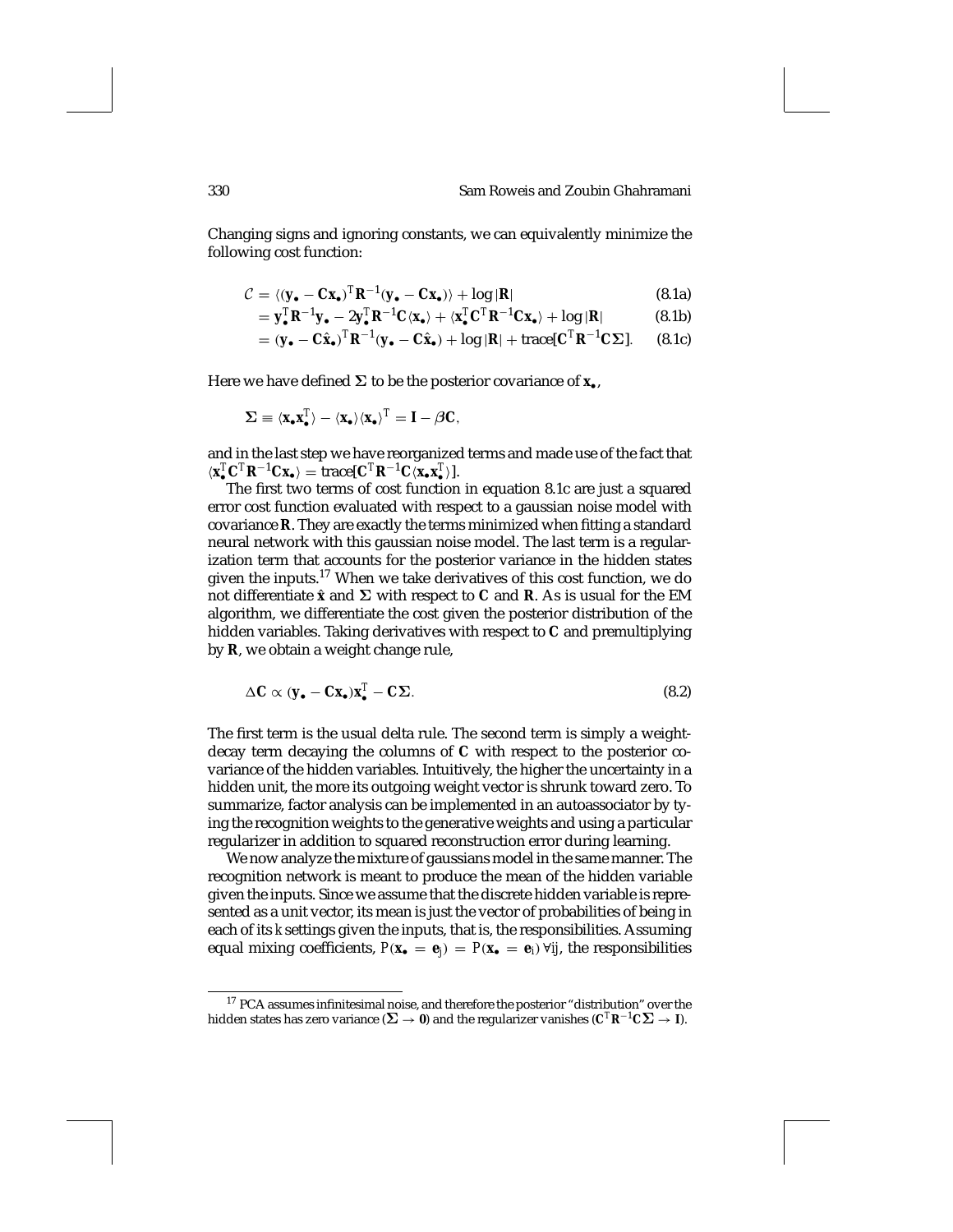Changing signs and ignoring constants, we can equivalently minimize the following cost function:

$$
\mathcal{C} = \langle (\mathbf{y}_\bullet - \mathbf{C}\mathbf{x}_\bullet)^T \mathbf{R}^{-1} (\mathbf{y}_\bullet - \mathbf{C}\mathbf{x}_\bullet) \rangle + \log |\mathbf{R}| \tag{8.1a}
$$

$$
= \mathbf{y}_{\bullet}^T \mathbf{R}^{-1} \mathbf{y}_{\bullet} - 2 \mathbf{y}_{\bullet}^T \mathbf{R}^{-1} \mathbf{C} \langle \mathbf{x}_{\bullet} \rangle + \langle \mathbf{x}_{\bullet}^T \mathbf{C}^T \mathbf{R}^{-1} \mathbf{C} \mathbf{x}_{\bullet} \rangle + \log |\mathbf{R}| \tag{8.1b}
$$

$$
= (\mathbf{y}_{\bullet} - \mathbf{C}\hat{\mathbf{x}}_{\bullet})^T \mathbf{R}^{-1} (\mathbf{y}_{\bullet} - \mathbf{C}\hat{\mathbf{x}}_{\bullet}) + \log |\mathbf{R}| + \text{trace}[\mathbf{C}^T \mathbf{R}^{-1} \mathbf{C} \Sigma]. \tag{8.1c}
$$

Here we have defined **Σ** to be the posterior covariance of **x**•,

$$
\Sigma \equiv \langle \mathbf{x}_{\bullet} \mathbf{x}_{\bullet}^T \rangle - \langle \mathbf{x}_{\bullet} \rangle \langle \mathbf{x}_{\bullet} \rangle^T = \mathbf{I} - \beta \mathbf{C},
$$

and in the last step we have reorganized terms and made use of the fact that  $\langle \mathbf{x}_\bullet^T \mathbf{C}^T \mathbf{R}^{-1} \mathbf{C} \mathbf{x}_\bullet \rangle = \text{trace}[\mathbf{C}^T \mathbf{R}^{-1} \mathbf{C} \langle \mathbf{x}_\bullet \mathbf{x}_\bullet^T \rangle].$ 

The first two terms of cost function in equation 8.1c are just a squared error cost function evaluated with respect to a gaussian noise model with covariance **R**. They are exactly the terms minimized when fitting a standard neural network with this gaussian noise model. The last term is a regularization term that accounts for the posterior variance in the hidden states given the inputs.<sup>17</sup> When we take derivatives of this cost function, we do not differentiate **x**ˆ and **Σ** with respect to **C** and **R**. As is usual for the EM algorithm, we differentiate the cost given the posterior distribution of the hidden variables. Taking derivatives with respect to **C** and premultiplying by **R**, we obtain a weight change rule,

$$
\Delta C \propto (\mathbf{y}_\bullet - \mathbf{C}\mathbf{x}_\bullet)\mathbf{x}_\bullet^T - \mathbf{C}\Sigma. \tag{8.2}
$$

The first term is the usual delta rule. The second term is simply a weightdecay term decaying the columns of **C** with respect to the posterior covariance of the hidden variables. Intuitively, the higher the uncertainty in a hidden unit, the more its outgoing weight vector is shrunk toward zero. To summarize, factor analysis can be implemented in an autoassociator by tying the recognition weights to the generative weights and using a particular regularizer in addition to squared reconstruction error during learning.

We now analyze the mixture of gaussians model in the same manner. The recognition network is meant to produce the mean of the hidden variable given the inputs. Since we assume that the discrete hidden variable is represented as a unit vector, its mean is just the vector of probabilities of being in each of its *k* settings given the inputs, that is, the responsibilities. Assuming equal mixing coefficients,  $P(\mathbf{x}_{\bullet} = \mathbf{e}_j) = P(\mathbf{x}_{\bullet} = \mathbf{e}_j) \ \forall j$ , the responsibilities

<sup>&</sup>lt;sup>17</sup> PCA assumes infinitesimal noise, and therefore the posterior "distribution" over the hidden states has zero variance (**Σ** → **0**) and the regularizer vanishes (**C***T***R**−1**CΣ** → **I**).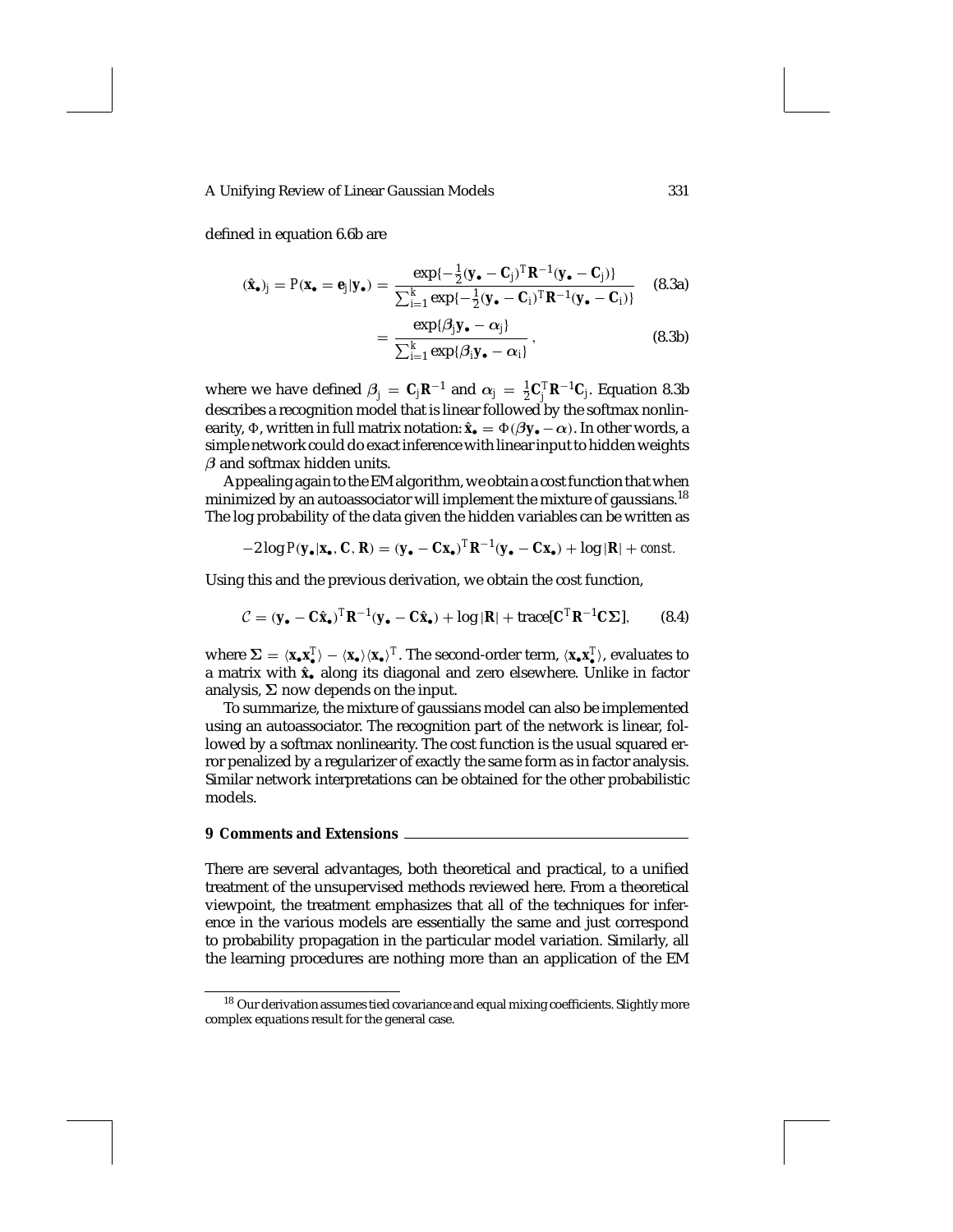defined in equation 6.6b are

$$
(\hat{\mathbf{x}}_{\bullet})_j = P(\mathbf{x}_{\bullet} = \mathbf{e}_j | \mathbf{y}_{\bullet}) = \frac{\exp\{-\frac{1}{2}(\mathbf{y}_{\bullet} - \mathbf{C}_j)^T \mathbf{R}^{-1} (\mathbf{y}_{\bullet} - \mathbf{C}_j)\}}{\sum_{i=1}^k \exp\{-\frac{1}{2}(\mathbf{y}_{\bullet} - \mathbf{C}_i)^T \mathbf{R}^{-1} (\mathbf{y}_{\bullet} - \mathbf{C}_i)\}}
$$
(8.3a)

$$
= \frac{\exp{\{\beta_j y_\bullet - \alpha_j\}}}{\sum_{i=1}^k \exp{\{\beta_i y_\bullet - \alpha_i\}}},
$$
\n(8.3b)

where we have defined  $\beta_j = \mathbf{C}_j \mathbf{R}^{-1}$  and  $\alpha_j = \frac{1}{2} \mathbf{C}_j^T \mathbf{R}^{-1} \mathbf{C}_j$ . Equation 8.3b describes a recognition model that is linear followed by the softmax nonlinearity,  $\Phi$ , written in full matrix notation:  $\hat{\mathbf{x}}_{\bullet} = \Phi(\beta \mathbf{y}_{\bullet} - \alpha)$ . In other words, a simple network could do exact inference with linear input to hidden weights *β* and softmax hidden units.

Appealing again to the EM algorithm, we obtain a cost function that when minimized by an autoassociator will implement the mixture of gaussians.<sup>18</sup> The log probability of the data given the hidden variables can be written as

 $-2 \log P(y_{\bullet}|x_{\bullet}, C, R) = (y_{\bullet} - Cx_{\bullet})^T R^{-1}(y_{\bullet} - Cx_{\bullet}) + \log |R| + const.$ 

Using this and the previous derivation, we obtain the cost function,

$$
\mathcal{C} = (\mathbf{y}_\bullet - \mathbf{C}\hat{\mathbf{x}}_\bullet)^T \mathbf{R}^{-1} (\mathbf{y}_\bullet - \mathbf{C}\hat{\mathbf{x}}_\bullet) + \log |\mathbf{R}| + \text{trace}[\mathbf{C}^T \mathbf{R}^{-1} \mathbf{C} \Sigma], \qquad (8.4)
$$

where  $\Sigma = \langle \mathbf{x}_\bullet \mathbf{x}_\bullet^T \rangle - \langle \mathbf{x}_\bullet \rangle \langle \mathbf{x}_\bullet \rangle^T$ . The second-order term,  $\langle \mathbf{x}_\bullet \mathbf{x}_\bullet^T \rangle$ , evaluates to a matrix with **x**ˆ• along its diagonal and zero elsewhere. Unlike in factor analysis, **Σ** now depends on the input.

To summarize, the mixture of gaussians model can also be implemented using an autoassociator. The recognition part of the network is linear, followed by a softmax nonlinearity. The cost function is the usual squared error penalized by a regularizer of exactly the same form as in factor analysis. Similar network interpretations can be obtained for the other probabilistic models.

#### **9 Comments and Extensions**

There are several advantages, both theoretical and practical, to a unified treatment of the unsupervised methods reviewed here. From a theoretical viewpoint, the treatment emphasizes that all of the techniques for inference in the various models are essentially the same and just correspond to probability propagation in the particular model variation. Similarly, all the learning procedures are nothing more than an application of the EM

<sup>&</sup>lt;sup>18</sup> Our derivation assumes tied covariance and equal mixing coefficients. Slightly more complex equations result for the general case.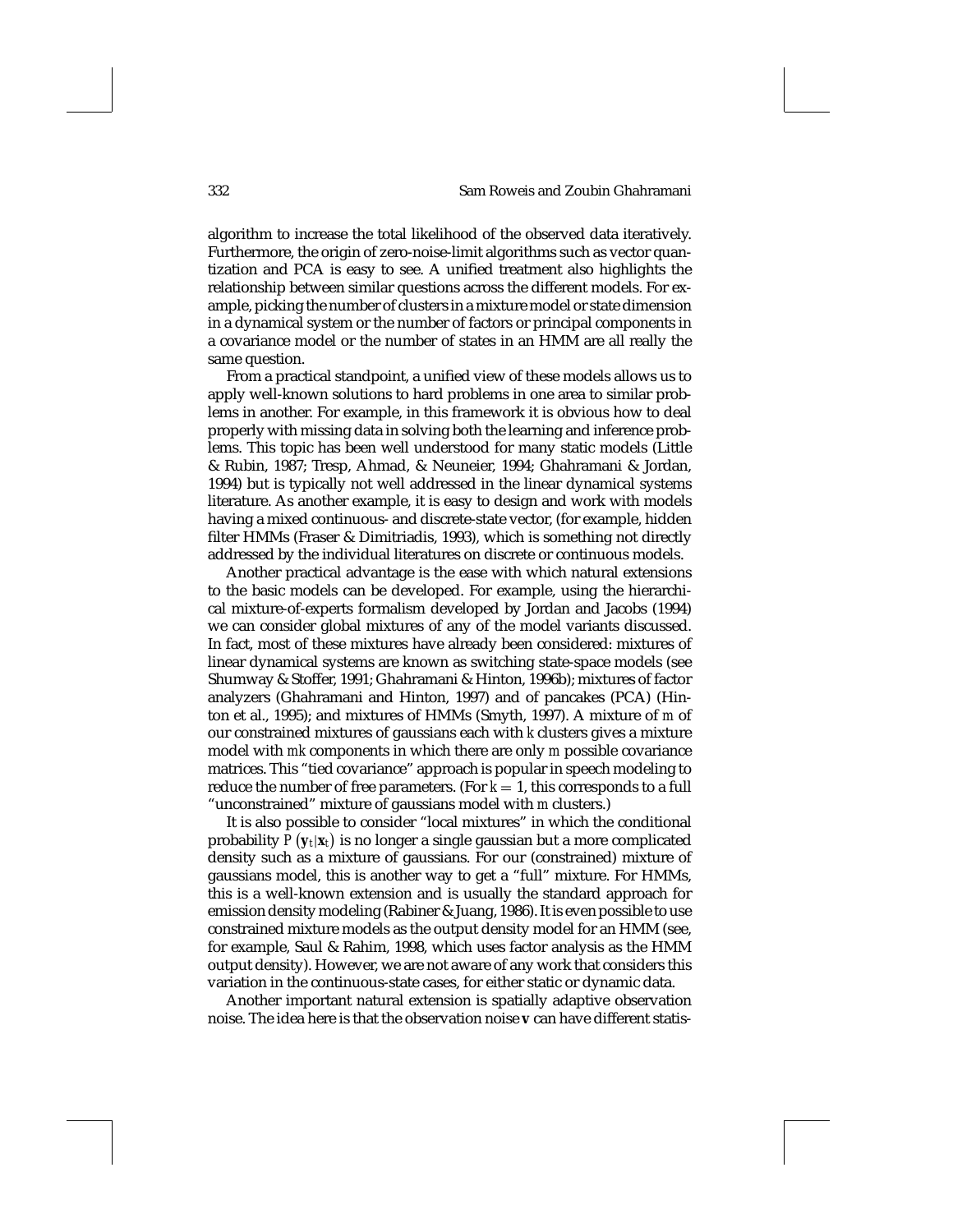algorithm to increase the total likelihood of the observed data iteratively. Furthermore, the origin of zero-noise-limit algorithms such as vector quantization and PCA is easy to see. A unified treatment also highlights the relationship between similar questions across the different models. For example, picking the number of clusters in a mixture model or state dimension in a dynamical system or the number of factors or principal components in a covariance model or the number of states in an HMM are all really the same question.

From a practical standpoint, a unified view of these models allows us to apply well-known solutions to hard problems in one area to similar problems in another. For example, in this framework it is obvious how to deal properly with missing data in solving both the learning and inference problems. This topic has been well understood for many static models (Little & Rubin, 1987; Tresp, Ahmad, & Neuneier, 1994; Ghahramani & Jordan, 1994) but is typically not well addressed in the linear dynamical systems literature. As another example, it is easy to design and work with models having a mixed continuous- and discrete-state vector, (for example, hidden filter HMMs (Fraser & Dimitriadis, 1993), which is something not directly addressed by the individual literatures on discrete or continuous models.

Another practical advantage is the ease with which natural extensions to the basic models can be developed. For example, using the hierarchical mixture-of-experts formalism developed by Jordan and Jacobs (1994) we can consider global mixtures of any of the model variants discussed. In fact, most of these mixtures have already been considered: mixtures of linear dynamical systems are known as switching state-space models (see Shumway & Stoffer, 1991; Ghahramani & Hinton, 1996b); mixtures of factor analyzers (Ghahramani and Hinton, 1997) and of pancakes (PCA) (Hinton et al., 1995); and mixtures of HMMs (Smyth, 1997). A mixture of *m* of our constrained mixtures of gaussians each with *k* clusters gives a mixture model with *mk* components in which there are only *m* possible covariance matrices. This "tied covariance" approach is popular in speech modeling to reduce the number of free parameters. (For  $k = 1$ , this corresponds to a full "unconstrained" mixture of gaussians model with *m* clusters.)

It is also possible to consider "local mixtures" in which the conditional probability  $\overline{P}(\mathbf{y}_t|\mathbf{x}_t)$  is no longer a single gaussian but a more complicated density such as a mixture of gaussians. For our (constrained) mixture of gaussians model, this is another way to get a "full" mixture. For HMMs, this is a well-known extension and is usually the standard approach for emission density modeling (Rabiner & Juang, 1986). It is even possible to use constrained mixture models as the output density model for an HMM (see, for example, Saul & Rahim, 1998, which uses factor analysis as the HMM output density). However, we are not aware of any work that considers this variation in the continuous-state cases, for either static or dynamic data.

Another important natural extension is spatially adaptive observation noise. The idea here is that the observation noise **v** can have different statis-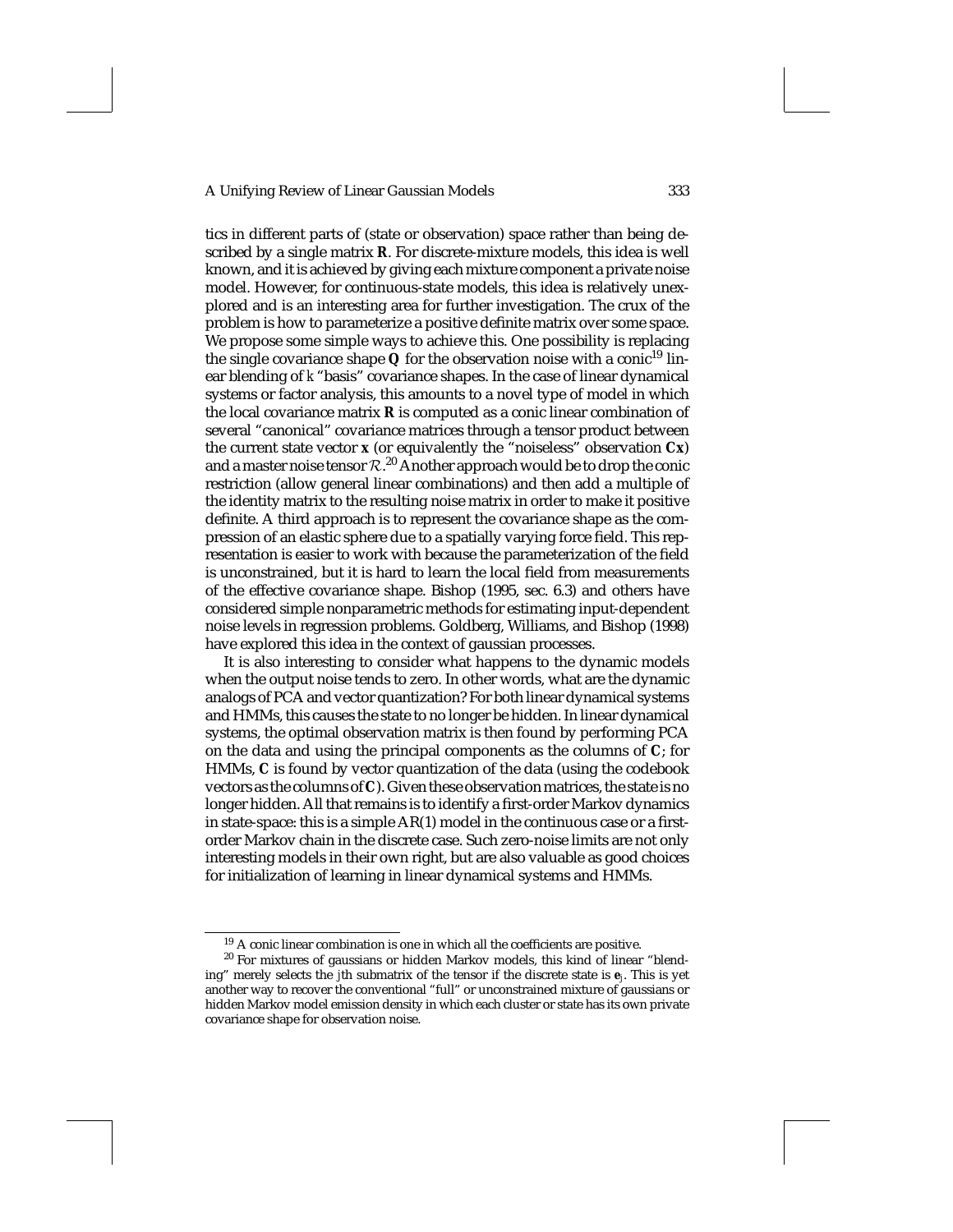tics in different parts of (state or observation) space rather than being described by a single matrix **R**. For discrete-mixture models, this idea is well known, and it is achieved by giving each mixture component a private noise model. However, for continuous-state models, this idea is relatively unexplored and is an interesting area for further investigation. The crux of the problem is how to parameterize a positive definite matrix over some space. We propose some simple ways to achieve this. One possibility is replacing the single covariance shape Q for the observation noise with a conic<sup>19</sup> linear blending of *k* "basis" covariance shapes. In the case of linear dynamical systems or factor analysis, this amounts to a novel type of model in which the local covariance matrix **R** is computed as a conic linear combination of several "canonical" covariance matrices through a tensor product between the current state vector **x** (or equivalently the "noiseless" observation **Cx**) and a master noise tensor  $\mathcal{R}^{20}$  Another approach would be to drop the conic restriction (allow general linear combinations) and then add a multiple of the identity matrix to the resulting noise matrix in order to make it positive definite. A third approach is to represent the covariance shape as the compression of an elastic sphere due to a spatially varying force field. This representation is easier to work with because the parameterization of the field is unconstrained, but it is hard to learn the local field from measurements of the effective covariance shape. Bishop (1995, sec. 6.3) and others have considered simple nonparametric methods for estimating input-dependent noise levels in regression problems. Goldberg, Williams, and Bishop (1998) have explored this idea in the context of gaussian processes.

It is also interesting to consider what happens to the dynamic models when the output noise tends to zero. In other words, what are the dynamic analogs of PCA and vector quantization? For both linear dynamical systems and HMMs, this causes the state to no longer be hidden. In linear dynamical systems, the optimal observation matrix is then found by performing PCA on the data and using the principal components as the columns of **C**; for HMMs, **C** is found by vector quantization of the data (using the codebook vectors as the columns of **C**). Given these observation matrices, the state is no longer hidden. All that remains is to identify a first-order Markov dynamics in state-space: this is a simple AR(1) model in the continuous case or a firstorder Markov chain in the discrete case. Such zero-noise limits are not only interesting models in their own right, but are also valuable as good choices for initialization of learning in linear dynamical systems and HMMs.

<sup>&</sup>lt;sup>19</sup> A conic linear combination is one in which all the coefficients are positive.

<sup>20</sup> For mixtures of gaussians or hidden Markov models, this kind of linear "blending" merely selects the *j*th submatrix of the tensor if the discrete state is **e***j*. This is yet another way to recover the conventional "full" or unconstrained mixture of gaussians or hidden Markov model emission density in which each cluster or state has its own private covariance shape for observation noise.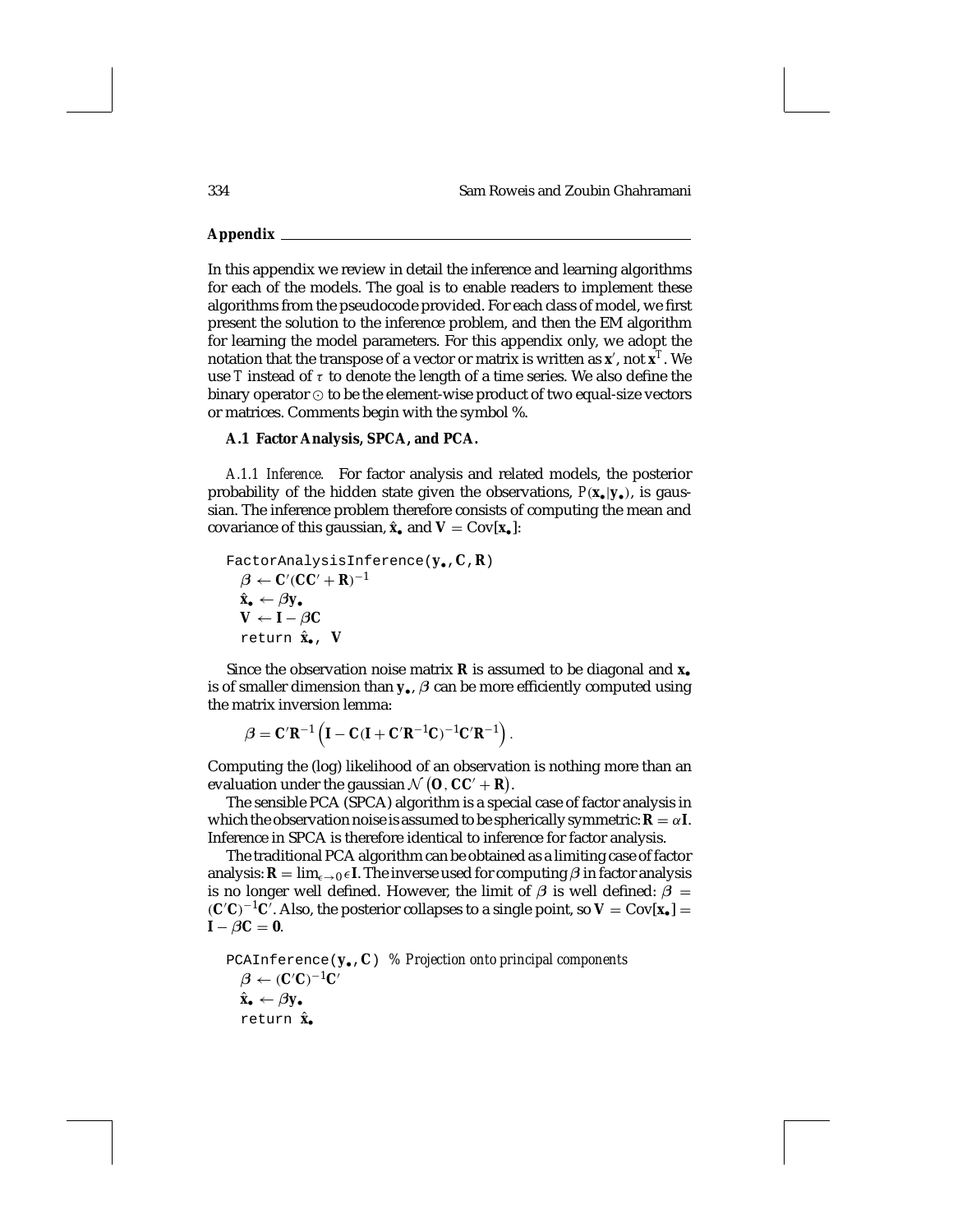334 Sam Roweis and Zoubin Ghahramani

#### **Appendix**

In this appendix we review in detail the inference and learning algorithms for each of the models. The goal is to enable readers to implement these algorithms from the pseudocode provided. For each class of model, we first present the solution to the inference problem, and then the EM algorithm for learning the model parameters. For this appendix only, we adopt the notation that the transpose of a vector or matrix is written as  $\mathbf{x}'$ , not  $\mathbf{x}^T$ . We use T instead of  $\tau$  to denote the length of a time series. We also define the binary operator  $\odot$  to be the element-wise product of two equal-size vectors or matrices. Comments begin with the symbol %.

### **A.1 Factor Analysis, SPCA, and PCA.**

*A.1.1 Inference.* For factor analysis and related models, the posterior probability of the hidden state given the observations, *P*(**x**•|**y**•), is gaussian. The inference problem therefore consists of computing the mean and covariance of this gaussian,  $\hat{\mathbf{x}}_•$  and  $\mathbf{V} = \text{Cov}[\mathbf{x}_•]$ :

FactorAnalysisInference(**y**•,**C**,**R**)  $\beta \leftarrow C'(CC' + R)^{-1}$ **x**ˆ• ← *β***y**•  $V ← I – \beta C$ return **x**ˆ•, **V**

Since the observation noise matrix **R** is assumed to be diagonal and **x**• is of smaller dimension than **y**•, *β* can be more efficiently computed using the matrix inversion lemma:

$$
\boldsymbol{\beta} = \mathbf{C}'\mathbf{R}^{-1}\left(\mathbf{I} - \mathbf{C}(\mathbf{I} + \mathbf{C}'\mathbf{R}^{-1}\mathbf{C})^{-1}\mathbf{C}'\mathbf{R}^{-1}\right).
$$

Computing the (log) likelihood of an observation is nothing more than an evaluation under the gaussian  $\mathcal{N}$  (**O**, **CC**<sup> $\prime$ </sup> + **R**).

The sensible PCA (SPCA) algorithm is a special case of factor analysis in which the observation noise is assumed to be spherically symmetric:  $\mathbf{R} = \alpha \mathbf{I}$ . Inference in SPCA is therefore identical to inference for factor analysis.

The traditional PCA algorithm can be obtained as a limiting case of factor analysis:  $\mathbf{R} = \lim_{\epsilon \to 0} \epsilon \mathbf{I}$ . The inverse used for computing  $\beta$  in factor analysis is no longer well defined. However, the limit of  $\beta$  is well defined:  $\beta =$  $(C'C)^{-1}C'$ . Also, the posterior collapses to a single point, so  $V = Cov[x_{\bullet}] =$  $I - \beta C = 0$ .

PCAInference(**y**•,**C**) *% Projection onto principal components*  $\beta \leftarrow (\mathbf{C}'\mathbf{C})^{-1}\mathbf{C}'$ **x**ˆ• ← *β***y**• return **x**ˆ•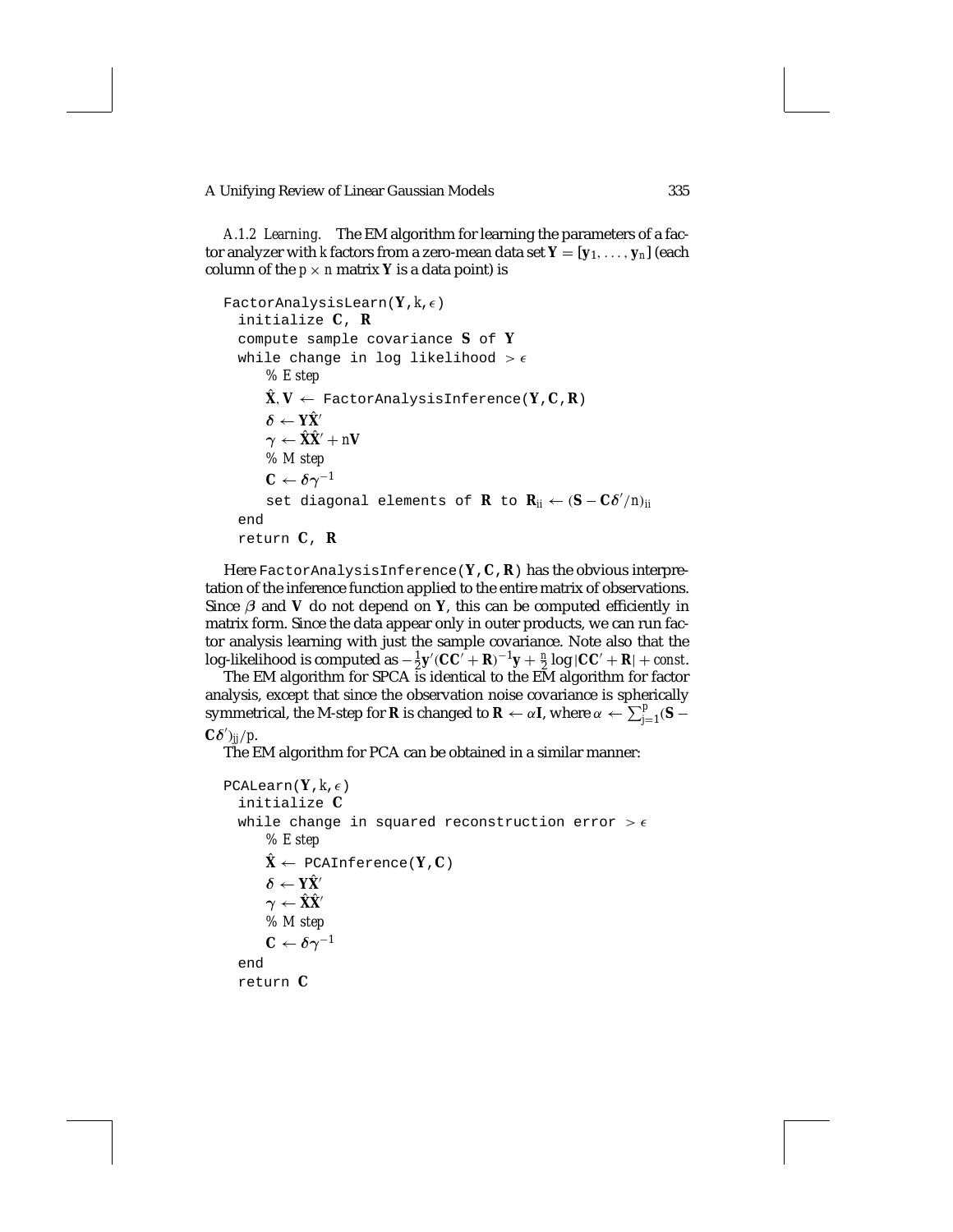*A.1.2 Learning.* The EM algorithm for learning the parameters of a factor analyzer with *k* factors from a zero-mean data set  $Y = [y_1, \ldots, y_n]$  (each column of the  $p \times n$  matrix **Y** is a data point) is

```
FactorAnalysisLearn(Y, k, \epsilon)
   initialize C, R
   compute sample covariance S of Y
   while change in log likelihood > \epsilon% E step
         \hat{\mathbf{X}}, \mathbf{V} \leftarrow FactorAnalysisInference(Y, C, R)
         \delta \leftarrow Y \hat{X}'\gamma \leftarrow \hat{\mathbf{X}} \hat{\mathbf{X}}' + n\mathbf{V}% M step
         \mathbf{C} \leftarrow \delta \gamma^{-1}set diagonal elements of \mathbf{R} to \mathbf{R}_{ii} \leftarrow (\mathbf{S} - \mathbf{C}\delta'/n)_{ii}end
   return C, R
```
Here FactorAnalysisInference(**Y**,**C**,**R**) has the obvious interpretation of the inference function applied to the entire matrix of observations. Since  $\beta$  and **V** do not depend on **Y**, this can be computed efficiently in matrix form. Since the data appear only in outer products, we can run factor analysis learning with just the sample covariance. Note also that the log-likelihood is computed as  $-\frac{1}{2}$ **y**<sup> $\prime$ </sup>(**CC**<sup> $\prime$ </sup> + **R**)<sup> $-1$ </sup>**y** +  $\frac{n}{2}$  log |**CC**<sup> $\prime$ </sup> + **R**| + *const*.

The EM algorithm for SPCA is identical to the EM algorithm for factor analysis, except that since the observation noise covariance is spherically symmetrical, the M-step for **R** is changed to  $\mathbf{R} \leftarrow \alpha \mathbf{I}$ , where  $\alpha \leftarrow \sum_{j=1}^{p} (\mathbf{S} - \mathbf{I}_{j})$  $C\delta'$ <sub>*jj/p*.</sub>

The EM algorithm for PCA can be obtained in a similar manner:

 $PCALearn(Y, k, \epsilon)$ initialize **C** while change in squared reconstruction error  $> \epsilon$ *% E step*  $\hat{\mathbf{X}} \leftarrow \text{PCAInference}(\mathbf{Y}, \mathbf{C})$  $\delta \leftarrow Y \hat{X}'$  $\gamma \leftarrow \hat{\mathbf{X}} \hat{\mathbf{X}}'$ *% M step*  $\mathbf{C} \leftarrow \delta \gamma^{-1}$ end return **C**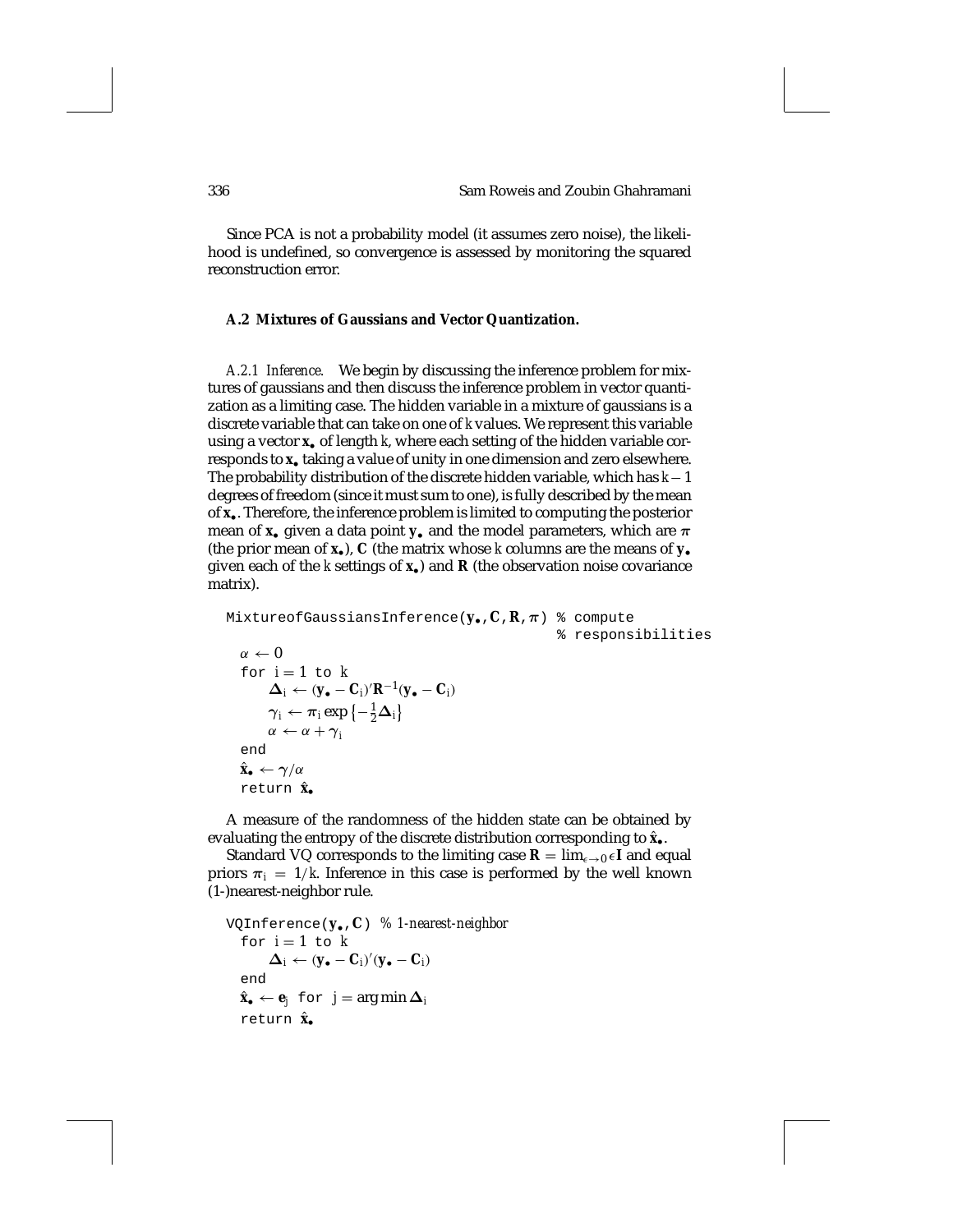Since PCA is not a probability model (it assumes zero noise), the likelihood is undefined, so convergence is assessed by monitoring the squared reconstruction error.

## **A.2 Mixtures of Gaussians and Vector Quantization.**

*A.2.1 Inference.* We begin by discussing the inference problem for mixtures of gaussians and then discuss the inference problem in vector quantization as a limiting case. The hidden variable in a mixture of gaussians is a discrete variable that can take on one of *k* values. We represent this variable using a vector **x**• of length *k*, where each setting of the hidden variable corresponds to **x**• taking a value of unity in one dimension and zero elsewhere. The probability distribution of the discrete hidden variable, which has *k*−1 degrees of freedom (since it must sum to one), is fully described by the mean of **x**•. Therefore, the inference problem is limited to computing the posterior mean of **x**• given a data point **y**• and the model parameters, which are *π* (the prior mean of **x**•), **C** (the matrix whose *k* columns are the means of **y**• given each of the *k* settings of **x**•) and **R** (the observation noise covariance matrix).

MixtureofGaussiansInference(**y**•,**C**,**R**,*π*) % compute % responsibilities  $\alpha \leftarrow 0$ 

for  $i = 1$  to  $k$  $\Delta_i \leftarrow (\mathbf{y}_\bullet - \mathbf{C}_i)' \mathbf{R}^{-1} (\mathbf{y}_\bullet - \mathbf{C}_i)$  $\gamma_i \leftarrow \pi_i \exp\left\{-\frac{1}{2}\Delta_i\right\}$  $\alpha \leftarrow \alpha + \gamma_i$ end  $\hat{\mathbf{x}}_{\bullet} \leftarrow \gamma/\alpha$ return **x**ˆ•

A measure of the randomness of the hidden state can be obtained by evaluating the entropy of the discrete distribution corresponding to **x**ˆ•.

Standard VQ corresponds to the limiting case  $\mathbf{R} = \lim_{\epsilon \to 0} \epsilon \mathbf{I}$  and equal priors  $\pi_i = 1/k$ . Inference in this case is performed by the well known (1-)nearest-neighbor rule.

VQInference(**y**•,**C**) *% 1-nearest-neighbor* for  $i = 1$  to  $k$  $\Delta_i \leftarrow (\mathbf{y}_\bullet - \mathbf{C}_i)'(\mathbf{y}_\bullet - \mathbf{C}_i)$ end  $\hat{\mathbf{x}}_{\bullet} \leftarrow \mathbf{e}_j$  for  $j = \arg \min \Delta_i$ return **x**ˆ•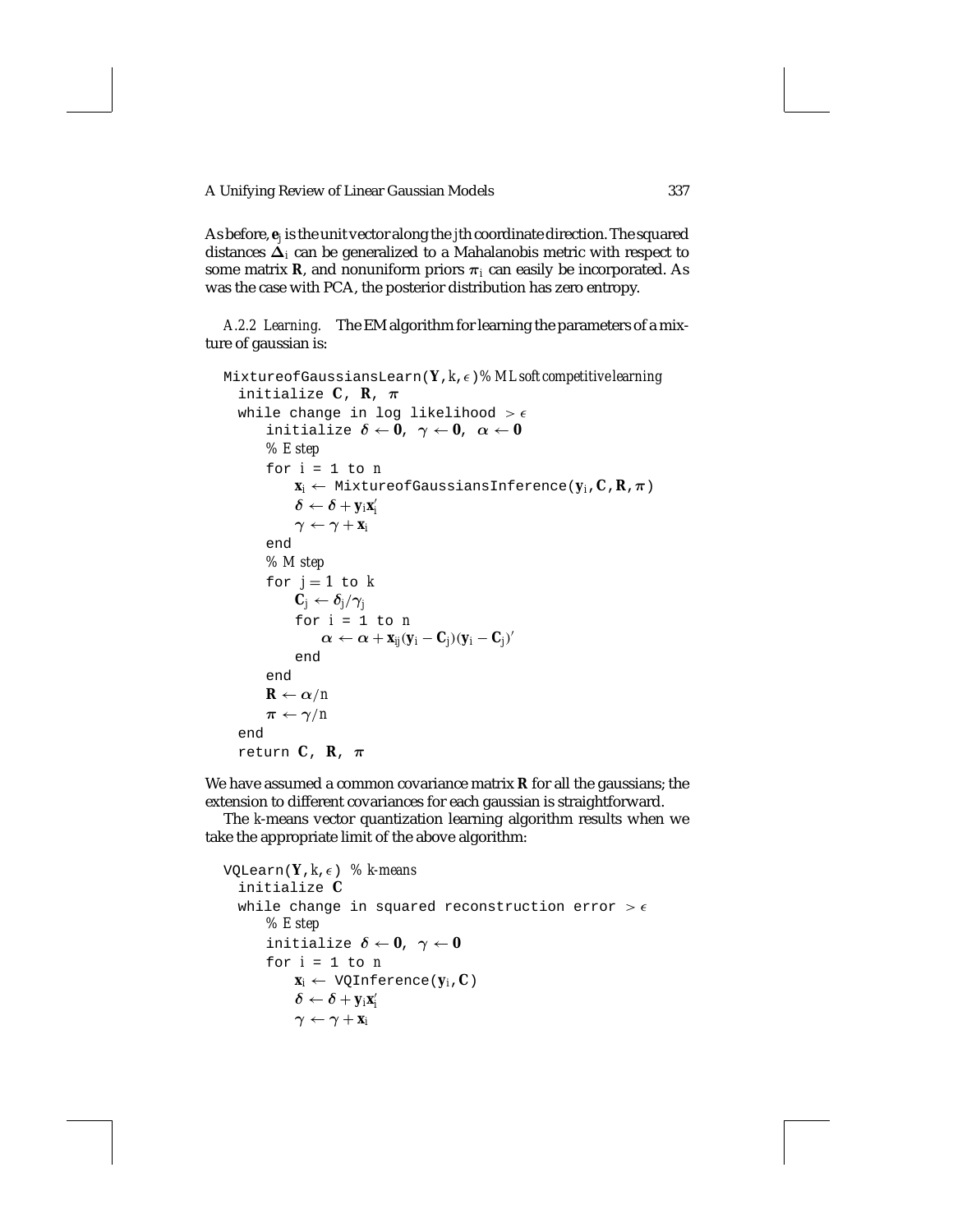As before, **e***<sup>j</sup>* is the unit vector along the *j*th coordinate direction. The squared distances  $\Delta_i$  can be generalized to a Mahalanobis metric with respect to some matrix **R**, and nonuniform priors  $\pi_i$  can easily be incorporated. As was the case with PCA, the posterior distribution has zero entropy.

*A.2.2 Learning.* The EM algorithm for learning the parameters of a mixture of gaussian is:

```
MixtureofGaussiansLearn(Y,k,²)% ML soft competitive learning
   initialize C, R, π
   while change in log likelihood > \epsiloninitialize \delta \leftarrow \mathbf{0}, \gamma \leftarrow \mathbf{0}, \alpha \leftarrow \mathbf{0}% E step
         for i = 1 to nxi ← MixtureofGaussiansInference(yi,C,R,π)
                \delta \leftarrow \delta + \mathbf{y}_i \mathbf{x}'_iγ ← γ + x_iend
         % M step
         for j = 1 to k\mathbf{C}_j \leftarrow \delta_j / \gamma_jfor i = 1 to n
                    \alpha \leftarrow \alpha + \mathbf{x}_{ij}(\mathbf{y}_i - \mathbf{C}_j)(\mathbf{y}_i - \mathbf{C}_j)end
         end
         R \leftarrow \alpha/n\pi \leftarrow \gamma/nend
   return C, R, π
```
We have assumed a common covariance matrix **R** for all the gaussians; the extension to different covariances for each gaussian is straightforward.

The *k*-means vector quantization learning algorithm results when we take the appropriate limit of the above algorithm:

```
VQLearn(Y, k, \epsilon) % k-means
   initialize C
   while change in squared reconstruction error > \epsilon% E step
          initialize \delta \leftarrow 0, \gamma \leftarrow 0for i = 1 to n\mathbf{x}_i \leftarrow \text{VQInference}(\mathbf{y}_i, \mathbf{C})\delta \leftarrow \delta + \mathbf{y}_i \mathbf{x}'_i\gamma \leftarrow \gamma + \mathbf{x}_i
```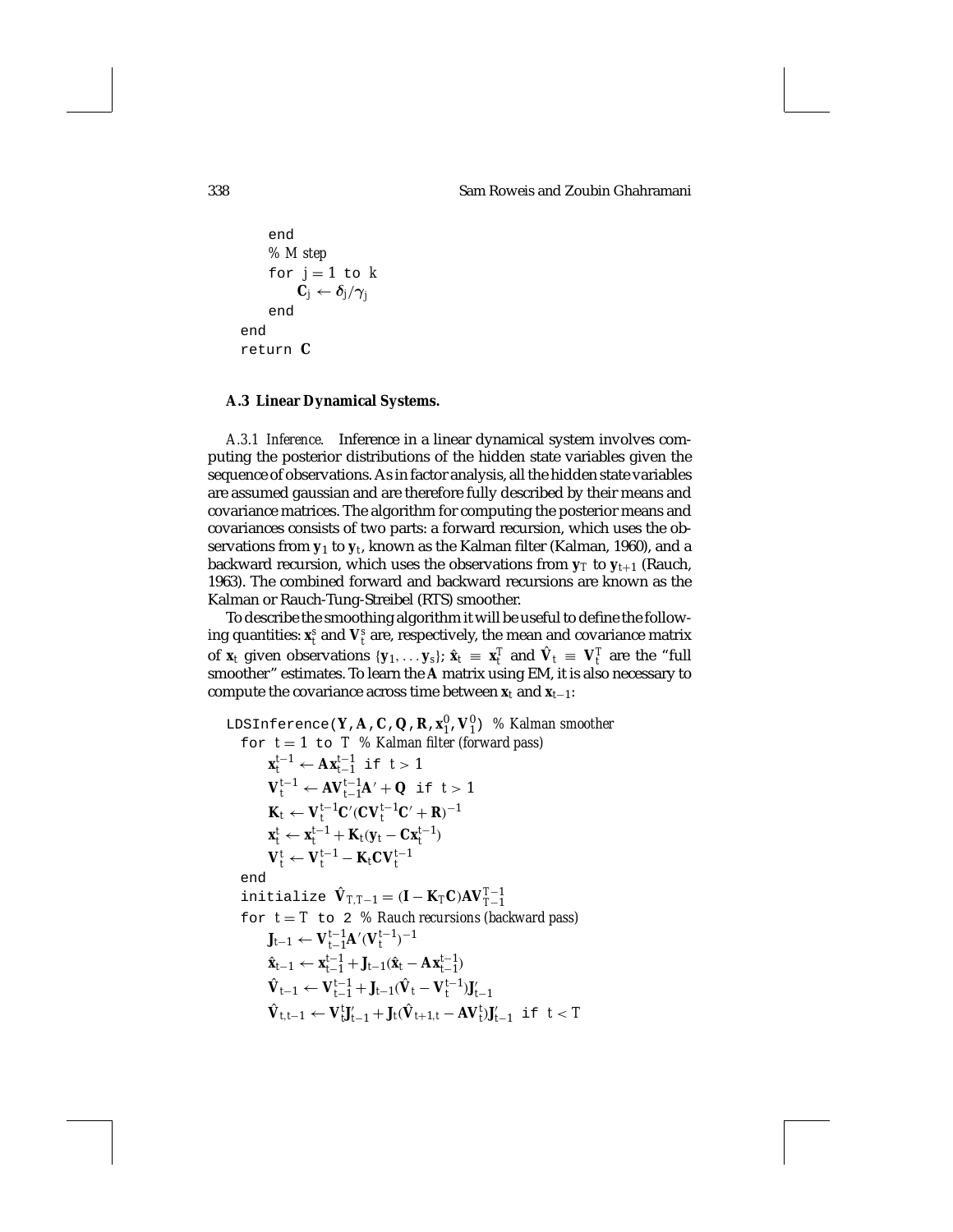338 Sam Roweis and Zoubin Ghahramani

```
end
      % M step
      for j = 1 to k\mathbf{C}_j \leftarrow \delta_j / \gamma_jend
end
return C
```
## **A.3 Linear Dynamical Systems.**

*A.3.1 Inference.* Inference in a linear dynamical system involves computing the posterior distributions of the hidden state variables given the sequence of observations. As in factor analysis, all the hidden state variables are assumed gaussian and are therefore fully described by their means and covariance matrices. The algorithm for computing the posterior means and covariances consists of two parts: a forward recursion, which uses the observations from **y**<sup>1</sup> to **y***t*, known as the Kalman filter (Kalman, 1960), and a backward recursion, which uses the observations from  $y_T$  to  $y_{t+1}$  (Rauch, 1963). The combined forward and backward recursions are known as the Kalman or Rauch-Tung-Streibel (RTS) smoother.

To describe the smoothing algorithm it will be useful to define the following quantities:  $\mathbf{x}_t^s$  and  $\mathbf{V}_t^s$  are, respectively, the mean and covariance matrix of  $\mathbf{x}_t$  given observations  $\{\mathbf{y}_1, \ldots, \mathbf{y}_s\}$ ;  $\hat{\mathbf{x}}_t \equiv \mathbf{x}_t^T$  and  $\hat{\mathbf{V}}_t \equiv \mathbf{V}_t^T$  are the "full smoother" estimates. To learn the **A** matrix using EM, it is also necessary to compute the covariance across time between  $\mathbf{x}_t$  and  $\mathbf{x}_{t-1}$ :

```
LDSInference(Y,A,C,Q,R,x0
1,V0
1) % Kalman smoother
     for t = 1 to T % Kalman filter (forward pass)
                \mathbf{x}_t^{t-1} ← \mathbf{A}\mathbf{x}_{t-1}^{t-1} if t > 1V_t^{t-1} ← AV_{t-1}^{t-1}A' + Q if t > 1\mathbf{K}_t \leftarrow \mathbf{V}_t^{t-1} \mathbf{C}' (\mathbf{C} \mathbf{V}_t^{t-1} \mathbf{C}' + \mathbf{R})^{-1}\mathbf{x}_t^t \leftarrow \mathbf{x}_t^{t-1} + \mathbf{K}_t (\mathbf{y}_t - \mathbf{C} \mathbf{x}_t^{t-1})\mathbf{V}_t^t \leftarrow \mathbf{V}_t^{t-1} - \mathbf{K}_t \mathbf{C} \mathbf{V}_t^{t-1}end
     initialize \hat{\mathbf{V}}_{T,T-1} = (\mathbf{I} - \mathbf{K}_T \mathbf{C}) \mathbf{A} \mathbf{V}_{T-1}^{T-1}for t = T to 2 % Rauch recursions (backward pass)
                J<sub>t−1</sub> ← V<sup>t−1</sup><sub>t</sub>A'(V<sup>t−1</sup>)<sup>−1</sup>
                \hat{\mathbf{x}}_{t-1} \leftarrow \mathbf{x}_{t-1}^{t-1} + \mathbf{J}_{t-1}(\hat{\mathbf{x}}_t - \mathbf{A}\mathbf{x}_{t-1}^{t-1})\hat{\mathbf{V}}_{t-1} \leftarrow \mathbf{V}_{t-1}^{t-1} + \mathbf{J}_{t-1}(\hat{\mathbf{V}}_t - \mathbf{V}_t^{t-1})\mathbf{J}_{t-1}'\hat{\mathbf{V}}_{t,t-1} ← \mathbf{V}_{t}^{t} \mathbf{J}'_{t-1} + \mathbf{J}_{t}(\hat{\mathbf{V}}_{t+1,t} - \mathbf{A} \mathbf{V}_{t}^{t}) \mathbf{J}'_{t-1} if t < T
```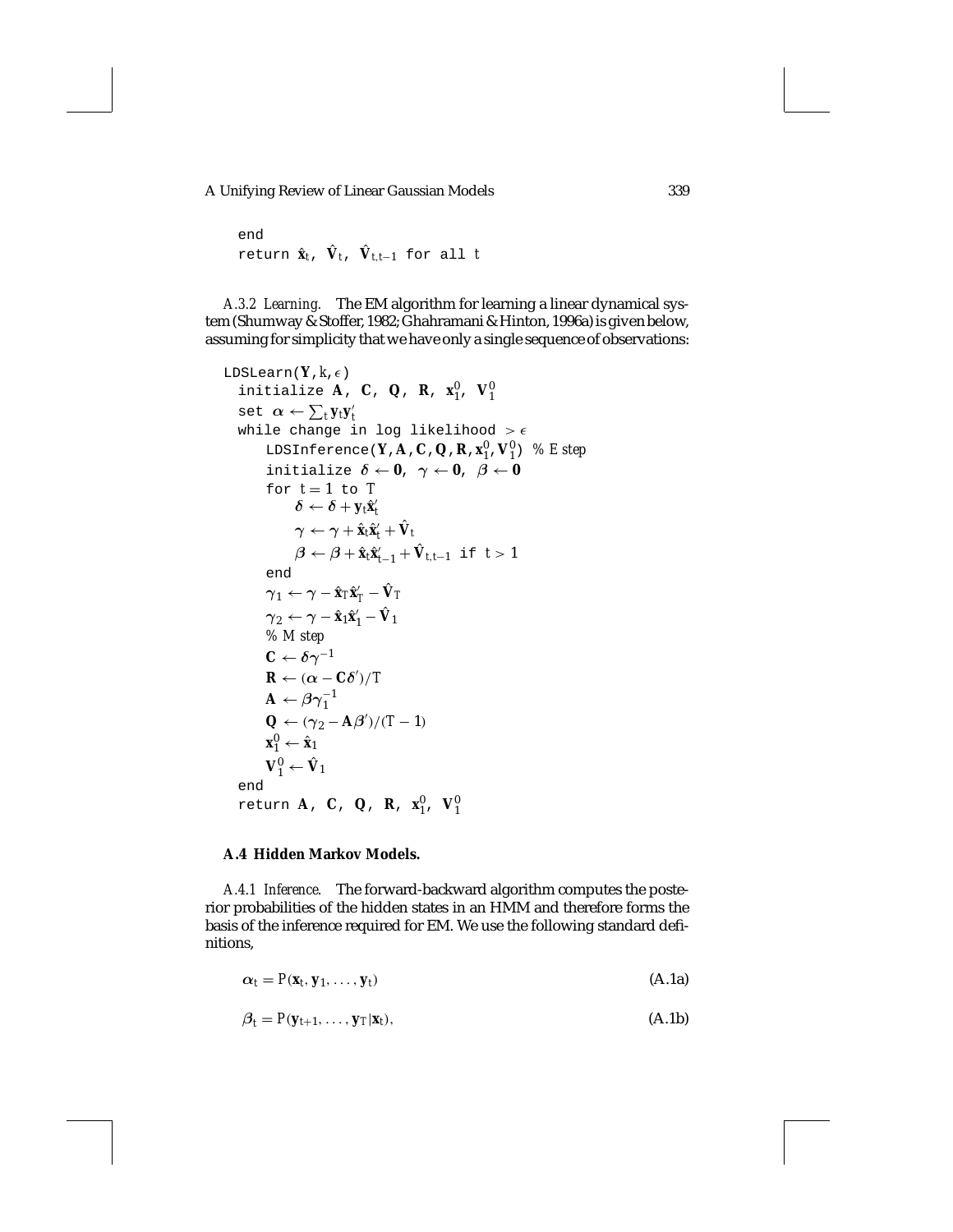end return  $\hat{\mathbf{x}}_t$ ,  $\hat{\mathbf{V}}_t$ ,  $\hat{\mathbf{V}}_{t,t-1}$  for all  $t$ 

*A.3.2 Learning.* The EM algorithm for learning a linear dynamical system (Shumway & Stoffer, 1982; Ghahramani & Hinton, 1996a) is given below, assuming for simplicity that we have only a single sequence of observations:

```
LDSLearn(Y, k, \epsilon)
      initialize \mathbf{A}, \mathbf{C}, \mathbf{Q}, \mathbf{R}, \mathbf{x}_1^0, \mathbf{V}_1^0set \alpha \leftarrow \sum_t \mathbf{y}_t \mathbf{y}_t'while change in log likelihood > \epsilonLDSInference(Y,A,C,Q,R,x0
1,V0
1) % E step
                initialize \delta \leftarrow 0, \gamma \leftarrow 0, \beta \leftarrow 0for t = 1 to T\delta \leftarrow \delta + \mathbf{y}_t \hat{\mathbf{x}}_t'\boldsymbol{\gamma} \leftarrow \boldsymbol{\gamma} + \hat{\textbf{x}}_{t}\hat{\textbf{x}}_{t}^{\prime} + \hat{\textbf{V}}_{t}β ← β + \hat{\mathbf{x}}_t \hat{\mathbf{x}}'_{t-1} + \hat{\mathbf{V}}_{t,t-1} if t > 1end
                 {\boldsymbol \gamma}_1 \leftarrow {\boldsymbol \gamma} - \hat{\mathbf{x}}_T\hat{\mathbf{x}}_T' - \hat{\mathbf{V}}_T\boldsymbol{\gamma}_2 \leftarrow \boldsymbol{\gamma} - \hat{\mathbf{x}}_1\hat{\mathbf{x}}'_1 - \hat{\mathbf{V}}_1% M step
                C \leftarrow \delta \gamma^{-1}\mathbf{R} \leftarrow (\alpha - \mathbf{C}\delta')/T\mathbf{A} \leftarrow \boldsymbol{\beta} \boldsymbol{\gamma}_1^{-1}\mathbf{Q} \leftarrow (\gamma_2 - \mathbf{A}\beta')/(T-1)\mathbf{x}_1^0 \leftarrow \hat{\mathbf{x}}_1\mathbf{V}^0_1 \leftarrow \hat{\mathbf{V}}_1end
      return A, C, Q, R, x0
1, V0
1
```
# **A.4 Hidden Markov Models.**

*A.4.1 Inference.* The forward-backward algorithm computes the posterior probabilities of the hidden states in an HMM and therefore forms the basis of the inference required for EM. We use the following standard definitions,

$$
\alpha_t = P(\mathbf{x}_t, \mathbf{y}_1, \dots, \mathbf{y}_t) \tag{A.1a}
$$

$$
\beta_t = P(\mathbf{y}_{t+1}, \dots, \mathbf{y}_T | \mathbf{x}_t), \tag{A.1b}
$$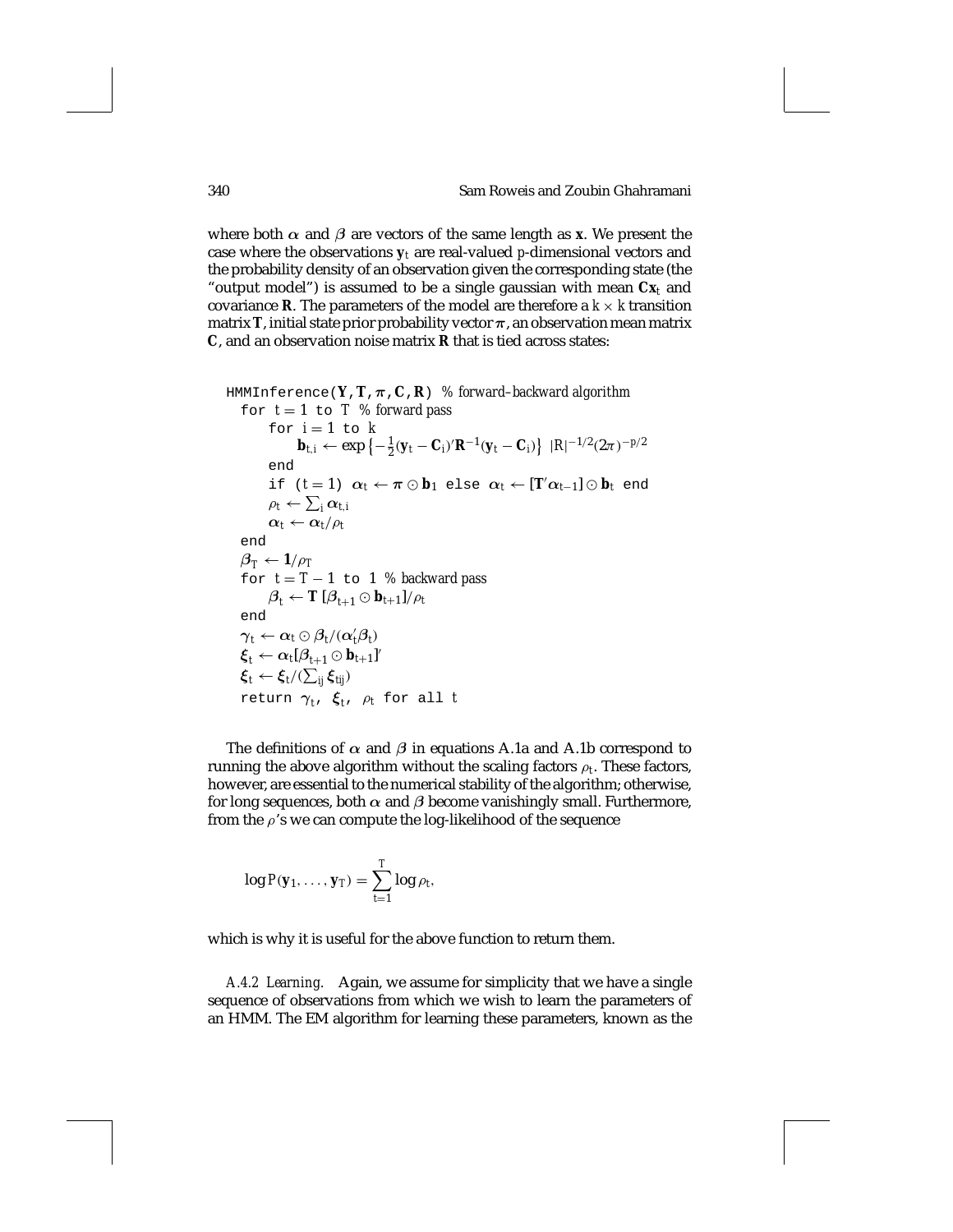where both  $\alpha$  and  $\beta$  are vectors of the same length as **x**. We present the case where the observations  $y_t$  are real-valued p-dimensional vectors and the probability density of an observation given the corresponding state (the "output model") is assumed to be a single gaussian with mean **Cx***<sup>t</sup>* and covariance **R**. The parameters of the model are therefore a  $k \times k$  transition matrix **T**, initial state prior probability vector  $\pi$ , an observation mean matrix **C**, and an observation noise matrix **R** that is tied across states:

```
HMMInference(Y,T,π,C,R) % forward–backward algorithm
   for t = 1 to T % forward pass
           for i = 1 to k<sub>t,i</sub> ← <b>exp {-\frac{1}{2}(<b>y</b><sub>t</sub> – <b>C<sub>i</sub>)</sub>\{R^{-1}(<b>y</b><sub>t</sub> – <b>C<sub>i</sub>)\{R|^{-1/2}(2\pi)^{-p/2}\}end
            if (t = 1) \alpha_t \leftarrow \pi \odot \mathbf{b}_1 else \alpha_t \leftarrow [\mathbf{T}' \alpha_{t-1}] \odot \mathbf{b}_t end
            \rho_t \leftarrow \sum_i \alpha_{t,i}\alpha_t \leftarrow \alpha_t/\rho_tend
   \beta_T \leftarrow 1/\rho_Tfor t = T - 1 to 1 % backward pass
           \beta_t \leftarrow \mathbf{T} [\beta_{t+1} \odot \mathbf{b}_{t+1}]/\rho_tend
    \gamma_t \leftarrow \alpha_t \odot \beta_t / (\alpha'_t \beta_t)\xi_t \leftarrow \alpha_t[\beta_{t+1} \odot \mathbf{b}_{t+1}]'ξt ← ξt/(\sumij ξtij)
   return γt, ξt, ρt for all t
```
The definitions of  $\alpha$  and  $\beta$  in equations A.1a and A.1b correspond to running the above algorithm without the scaling factors  $\rho_t$ . These factors, however, are essential to the numerical stability of the algorithm; otherwise, for long sequences, both  $\alpha$  and  $\beta$  become vanishingly small. Furthermore, from the  $\rho$ 's we can compute the log-likelihood of the sequence

$$
\log P(\mathbf{y}_1,\ldots,\mathbf{y}_T)=\sum_{t=1}^T \log \rho_t,
$$

which is why it is useful for the above function to return them.

*A.4.2 Learning.* Again, we assume for simplicity that we have a single sequence of observations from which we wish to learn the parameters of an HMM. The EM algorithm for learning these parameters, known as the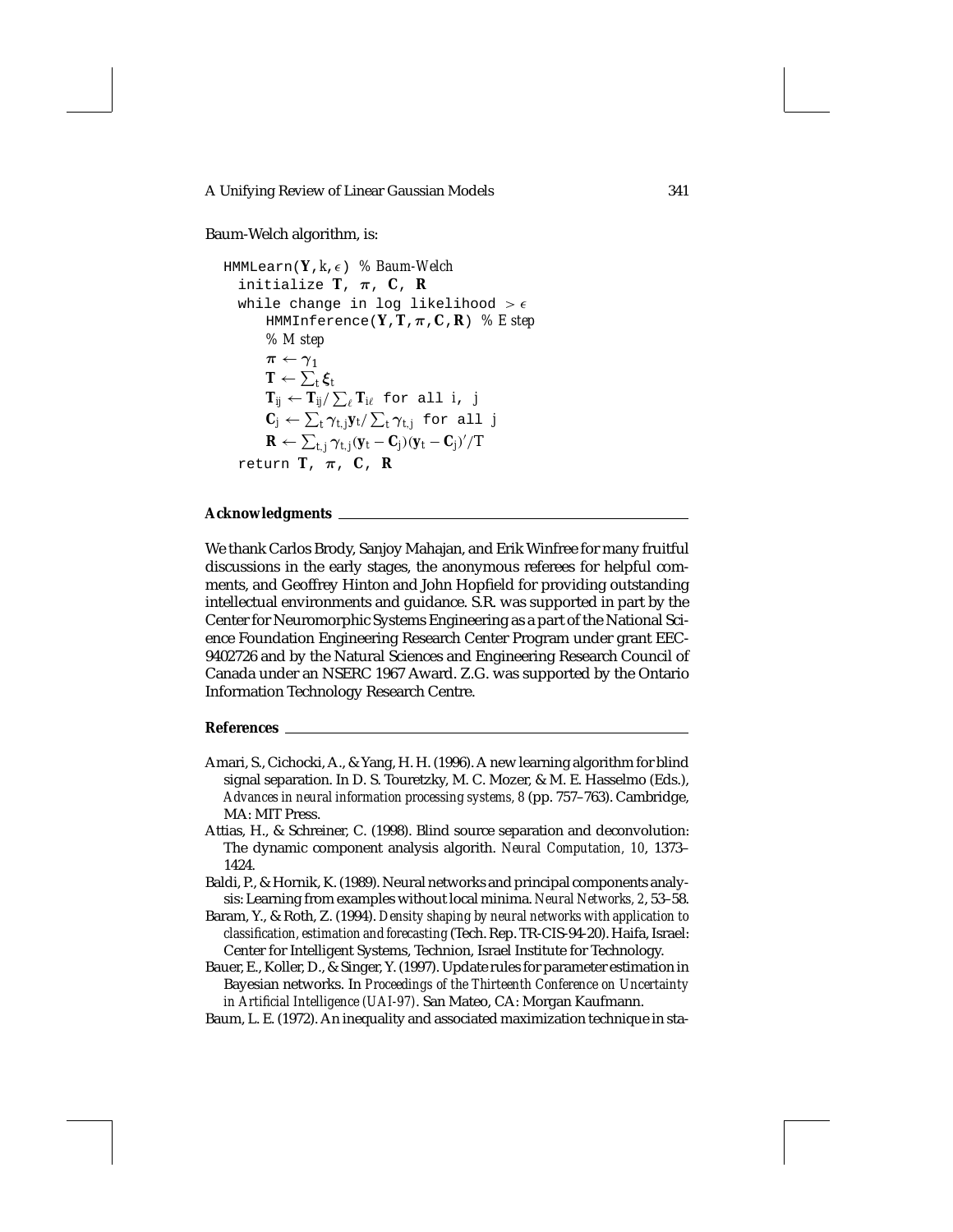Baum-Welch algorithm, is:

```
HMMLearn(Y,k,²) % Baum-Welch
    initialize T, π, C, R
    while change in log likelihood > \epsilonHMMInference(Y,T,π,C,R) % E step
           % M step
           \pi \leftarrow \gamma_1\mathbf{T} \leftarrow \sum_t \boldsymbol{\xi}_t\mathbf{T}_{ij} \leftarrow \mathbf{T}_{ij} / \sum_{\ell} \mathbf{T}_{i\ell} for all i, j
            \mathbf{C}_j \leftarrow \sum_t \boldsymbol{\gamma}_{t,j} \mathbf{y}_t / \sum_t \boldsymbol{\gamma}_{t,j} for all j\mathbf{R} \leftarrow \sum_{t,j} \gamma_{t,j} (\mathbf{y}_t - \mathbf{C}_j)(\mathbf{y}_t - \mathbf{C}_j)'/Treturn T, π, C, R
```
## **Acknowledgments**

We thank Carlos Brody, Sanjoy Mahajan, and Erik Winfree for many fruitful discussions in the early stages, the anonymous referees for helpful comments, and Geoffrey Hinton and John Hopfield for providing outstanding intellectual environments and guidance. S.R. was supported in part by the Center for Neuromorphic Systems Engineering as a part of the National Science Foundation Engineering Research Center Program under grant EEC-9402726 and by the Natural Sciences and Engineering Research Council of Canada under an NSERC 1967 Award. Z.G. was supported by the Ontario Information Technology Research Centre.

#### **References**

- Amari, S., Cichocki, A., & Yang, H. H. (1996). A new learning algorithm for blind signal separation. In D. S. Touretzky, M. C. Mozer, & M. E. Hasselmo (Eds.), *Advances in neural information processing systems, 8* (pp. 757–763). Cambridge, MA: MIT Press.
- Attias, H., & Schreiner, C. (1998). Blind source separation and deconvolution: The dynamic component analysis algorith. *Neural Computation, 10*, 1373– 1424.
- Baldi, P., & Hornik, K. (1989). Neural networks and principal components analysis: Learning from examples without local minima. *Neural Networks, 2*, 53–58.
- Baram, Y., & Roth, Z. (1994). *Density shaping by neural networks with application to classification, estimation and forecasting* (Tech. Rep. TR-CIS-94-20). Haifa, Israel: Center for Intelligent Systems, Technion, Israel Institute for Technology.
- Bauer, E., Koller, D., & Singer, Y. (1997). Update rules for parameter estimation in Bayesian networks. In *Proceedings of the Thirteenth Conference on Uncertainty in Artificial Intelligence (UAI-97)*. San Mateo, CA: Morgan Kaufmann.
- Baum, L. E. (1972). An inequality and associated maximization technique in sta-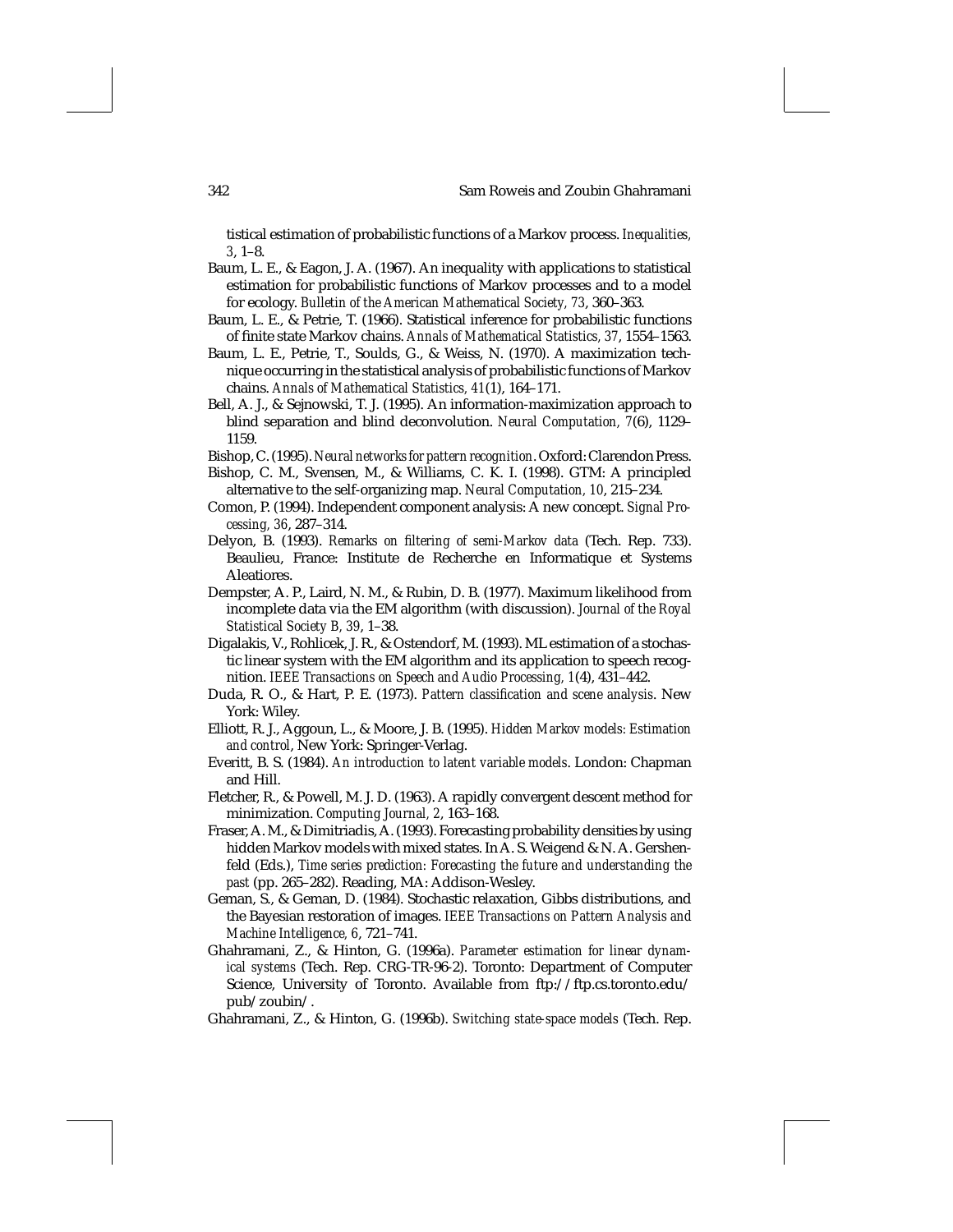tistical estimation of probabilistic functions of a Markov process. *Inequalities, 3*, 1–8.

- Baum, L. E., & Eagon, J. A. (1967). An inequality with applications to statistical estimation for probabilistic functions of Markov processes and to a model for ecology. *Bulletin of the American Mathematical Society, 73*, 360–363.
- Baum, L. E., & Petrie, T. (1966). Statistical inference for probabilistic functions of finite state Markov chains. *Annals of Mathematical Statistics, 37*, 1554–1563.
- Baum, L. E., Petrie, T., Soulds, G., & Weiss, N. (1970). A maximization technique occurring in the statistical analysis of probabilistic functions of Markov chains. *Annals of Mathematical Statistics, 41*(1), 164–171.
- Bell, A. J., & Sejnowski, T. J. (1995). An information-maximization approach to blind separation and blind deconvolution. *Neural Computation, 7*(6), 1129– 1159.
- Bishop, C. (1995).*Neural networks for pattern recognition*. Oxford: Clarendon Press.
- Bishop, C. M., Svensen, M., & Williams, C. K. I. (1998). GTM: A principled alternative to the self-organizing map. *Neural Computation, 10*, 215–234.
- Comon, P. (1994). Independent component analysis: A new concept. *Signal Processing, 36*, 287–314.
- Delyon, B. (1993). *Remarks on filtering of semi-Markov data* (Tech. Rep. 733). Beaulieu, France: Institute de Recherche en Informatique et Systems Aleatiores.
- Dempster, A. P., Laird, N. M., & Rubin, D. B. (1977). Maximum likelihood from incomplete data via the EM algorithm (with discussion). *Journal of the Royal Statistical Society B, 39*, 1–38.
- Digalakis, V., Rohlicek, J. R., & Ostendorf, M. (1993). ML estimation of a stochastic linear system with the EM algorithm and its application to speech recognition. *IEEE Transactions on Speech and Audio Processing, 1*(4), 431–442.
- Duda, R. O., & Hart, P. E. (1973). *Pattern classification and scene analysis*. New York: Wiley.
- Elliott, R. J., Aggoun, L., & Moore, J. B. (1995). *Hidden Markov models: Estimation and control*, New York: Springer-Verlag.
- Everitt, B. S. (1984). *An introduction to latent variable models*. London: Chapman and Hill.
- Fletcher, R., & Powell, M. J. D. (1963). A rapidly convergent descent method for minimization. *Computing Journal, 2*, 163–168.
- Fraser, A. M., & Dimitriadis, A. (1993). Forecasting probability densities by using hidden Markov models with mixed states. In A. S. Weigend & N. A. Gershenfeld (Eds.), *Time series prediction: Forecasting the future and understanding the past* (pp. 265–282). Reading, MA: Addison-Wesley.
- Geman, S., & Geman, D. (1984). Stochastic relaxation, Gibbs distributions, and the Bayesian restoration of images. *IEEE Transactions on Pattern Analysis and Machine Intelligence, 6*, 721–741.
- Ghahramani, Z., & Hinton, G. (1996a). *Parameter estimation for linear dynamical systems* (Tech. Rep. CRG-TR-96-2). Toronto: Department of Computer Science, University of Toronto. Available from ftp://ftp.cs.toronto.edu/ pub/zoubin/.
- Ghahramani, Z., & Hinton, G. (1996b). *Switching state-space models* (Tech. Rep.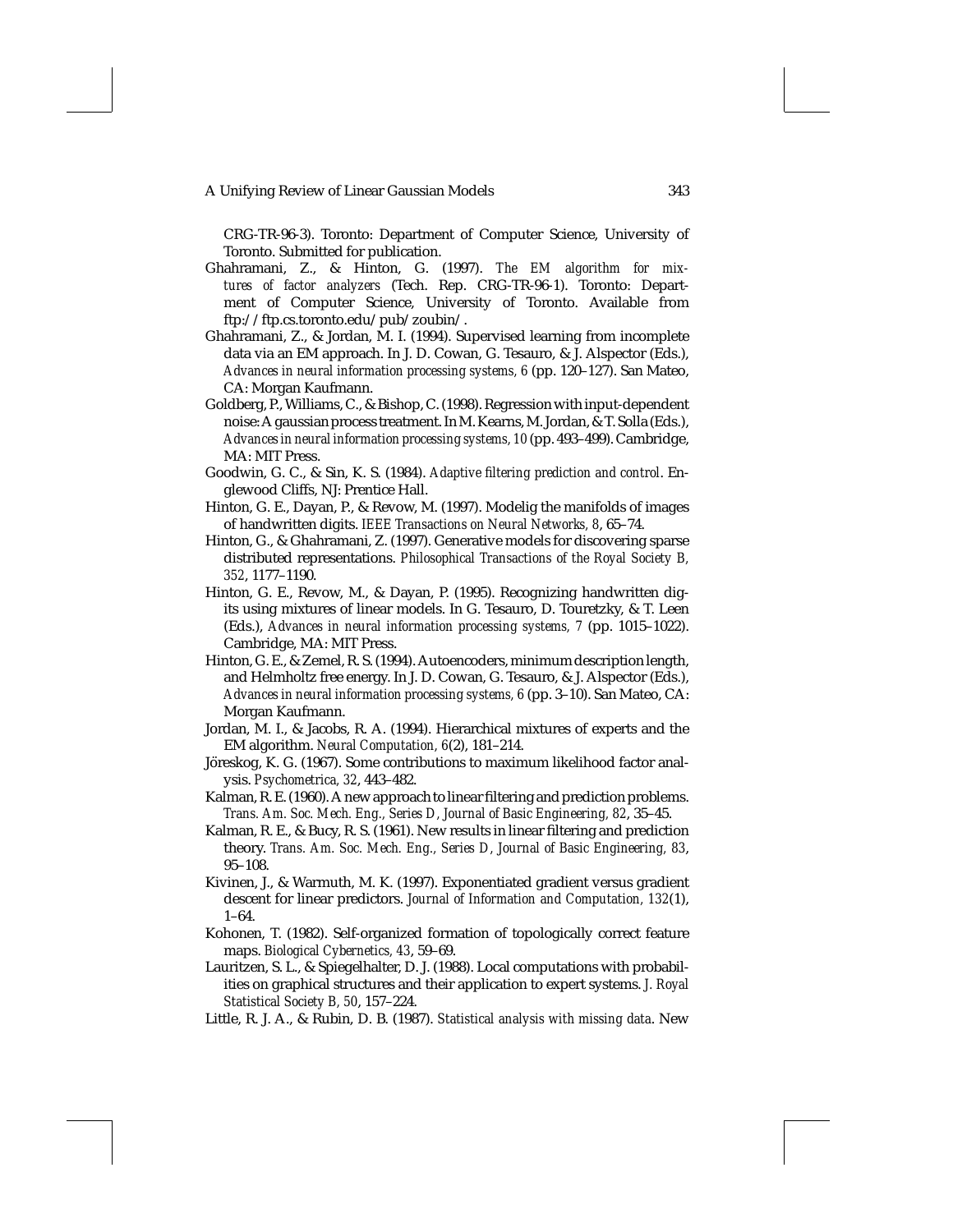CRG-TR-96-3). Toronto: Department of Computer Science, University of Toronto. Submitted for publication.

- Ghahramani, Z., & Hinton, G. (1997). *The EM algorithm for mixtures of factor analyzers* (Tech. Rep. CRG-TR-96-1). Toronto: Department of Computer Science, University of Toronto. Available from ftp://ftp.cs.toronto.edu/pub/zoubin/.
- Ghahramani, Z., & Jordan, M. I. (1994). Supervised learning from incomplete data via an EM approach. In J. D. Cowan, G. Tesauro, & J. Alspector (Eds.), *Advances in neural information processing systems, 6* (pp. 120–127). San Mateo, CA: Morgan Kaufmann.
- Goldberg, P., Williams, C., & Bishop, C. (1998). Regression with input-dependent noise: A gaussian process treatment. In M. Kearns, M. Jordan, & T. Solla (Eds.), *Advances in neural information processing systems, 10* (pp. 493–499). Cambridge, MA: MIT Press.
- Goodwin, G. C., & Sin, K. S. (1984). *Adaptive filtering prediction and control*. Englewood Cliffs, NJ: Prentice Hall.
- Hinton, G. E., Dayan, P., & Revow, M. (1997). Modelig the manifolds of images of handwritten digits. *IEEE Transactions on Neural Networks, 8*, 65–74.
- Hinton, G., & Ghahramani, Z. (1997). Generative models for discovering sparse distributed representations. *Philosophical Transactions of the Royal Society B, 352*, 1177–1190.
- Hinton, G. E., Revow, M., & Dayan, P. (1995). Recognizing handwritten digits using mixtures of linear models. In G. Tesauro, D. Touretzky, & T. Leen (Eds.), *Advances in neural information processing systems, 7* (pp. 1015–1022). Cambridge, MA: MIT Press.
- Hinton, G. E., & Zemel, R. S. (1994). Autoencoders, minimum description length, and Helmholtz free energy. In J. D. Cowan, G. Tesauro, & J. Alspector (Eds.), *Advances in neural information processing systems, 6* (pp. 3–10). San Mateo, CA: Morgan Kaufmann.
- Jordan, M. I., & Jacobs, R. A. (1994). Hierarchical mixtures of experts and the EM algorithm. *Neural Computation, 6*(2), 181–214.
- Jöreskog, K. G. (1967). Some contributions to maximum likelihood factor analysis. *Psychometrica, 32*, 443–482.
- Kalman, R. E. (1960). A new approach to linear filtering and prediction problems. *Trans. Am. Soc. Mech. Eng., Series D, Journal of Basic Engineering, 82*, 35–45.
- Kalman, R. E., & Bucy, R. S. (1961). New results in linear filtering and prediction theory. *Trans. Am. Soc. Mech. Eng., Series D, Journal of Basic Engineering, 83*, 95–108.
- Kivinen, J., & Warmuth, M. K. (1997). Exponentiated gradient versus gradient descent for linear predictors. *Journal of Information and Computation, 132*(1), 1–64.
- Kohonen, T. (1982). Self-organized formation of topologically correct feature maps. *Biological Cybernetics, 43*, 59–69.
- Lauritzen, S. L., & Spiegelhalter, D. J. (1988). Local computations with probabilities on graphical structures and their application to expert systems. *J. Royal Statistical Society B, 50*, 157–224.
- Little, R. J. A., & Rubin, D. B. (1987). *Statistical analysis with missing data*. New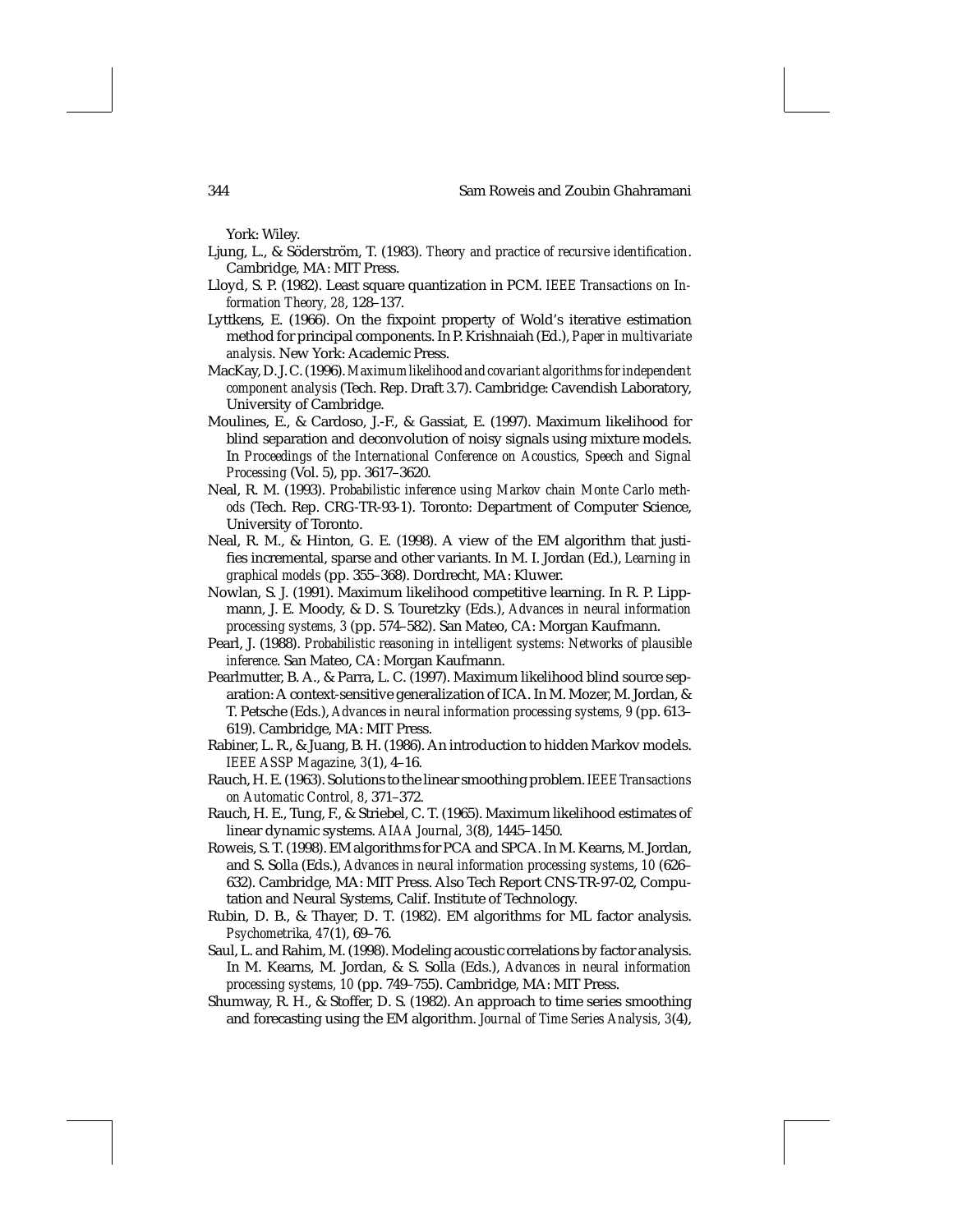York: Wiley.

- Ljung, L., & Söderström, T. (1983). *Theory and practice of recursive identification*. Cambridge, MA: MIT Press.
- Lloyd, S. P. (1982). Least square quantization in PCM. *IEEE Transactions on Information Theory, 28*, 128–137.
- Lyttkens, E. (1966). On the fixpoint property of Wold's iterative estimation method for principal components. In P. Krishnaiah (Ed.), *Paper in multivariate analysis*. New York: Academic Press.
- MacKay, D. J. C. (1996).*Maximum likelihood and covariant algorithms for independent component analysis* (Tech. Rep. Draft 3.7). Cambridge: Cavendish Laboratory, University of Cambridge.
- Moulines, E., & Cardoso, J.-F., & Gassiat, E. (1997). Maximum likelihood for blind separation and deconvolution of noisy signals using mixture models. In *Proceedings of the International Conference on Acoustics, Speech and Signal Processing* (Vol. 5), pp. 3617–3620.
- Neal, R. M. (1993). *Probabilistic inference using Markov chain Monte Carlo methods* (Tech. Rep. CRG-TR-93-1). Toronto: Department of Computer Science, University of Toronto.
- Neal, R. M., & Hinton, G. E. (1998). A view of the EM algorithm that justifies incremental, sparse and other variants. In M. I. Jordan (Ed.), *Learning in graphical models* (pp. 355–368). Dordrecht, MA: Kluwer.
- Nowlan, S. J. (1991). Maximum likelihood competitive learning. In R. P. Lippmann, J. E. Moody, & D. S. Touretzky (Eds.), *Advances in neural information processing systems, 3* (pp. 574–582). San Mateo, CA: Morgan Kaufmann.
- Pearl, J. (1988). *Probabilistic reasoning in intelligent systems: Networks of plausible inference*. San Mateo, CA: Morgan Kaufmann.
- Pearlmutter, B. A., & Parra, L. C. (1997). Maximum likelihood blind source separation: A context-sensitive generalization of ICA. In M. Mozer, M. Jordan, & T. Petsche (Eds.), *Advances in neural information processing systems, 9* (pp. 613– 619). Cambridge, MA: MIT Press.
- Rabiner, L. R., & Juang, B. H. (1986). An introduction to hidden Markov models. *IEEE ASSP Magazine, 3*(1), 4–16.
- Rauch, H. E. (1963). Solutions to the linear smoothing problem.*IEEE Transactions on Automatic Control, 8*, 371–372.
- Rauch, H. E., Tung, F., & Striebel, C. T. (1965). Maximum likelihood estimates of linear dynamic systems. *AIAA Journal, 3*(8), 1445–1450.
- Roweis, S. T. (1998). EM algorithms for PCA and SPCA. In M. Kearns, M. Jordan, and S. Solla (Eds.), *Advances in neural information processing systems*, *10* (626– 632). Cambridge, MA: MIT Press. Also Tech Report CNS-TR-97-02, Computation and Neural Systems, Calif. Institute of Technology.
- Rubin, D. B., & Thayer, D. T. (1982). EM algorithms for ML factor analysis. *Psychometrika, 47*(1), 69–76.
- Saul, L. and Rahim, M. (1998). Modeling acoustic correlations by factor analysis. In M. Kearns, M. Jordan, & S. Solla (Eds.), *Advances in neural information processing systems, 10* (pp. 749–755). Cambridge, MA: MIT Press.
- Shumway, R. H., & Stoffer, D. S. (1982). An approach to time series smoothing and forecasting using the EM algorithm. *Journal of Time Series Analysis, 3*(4),